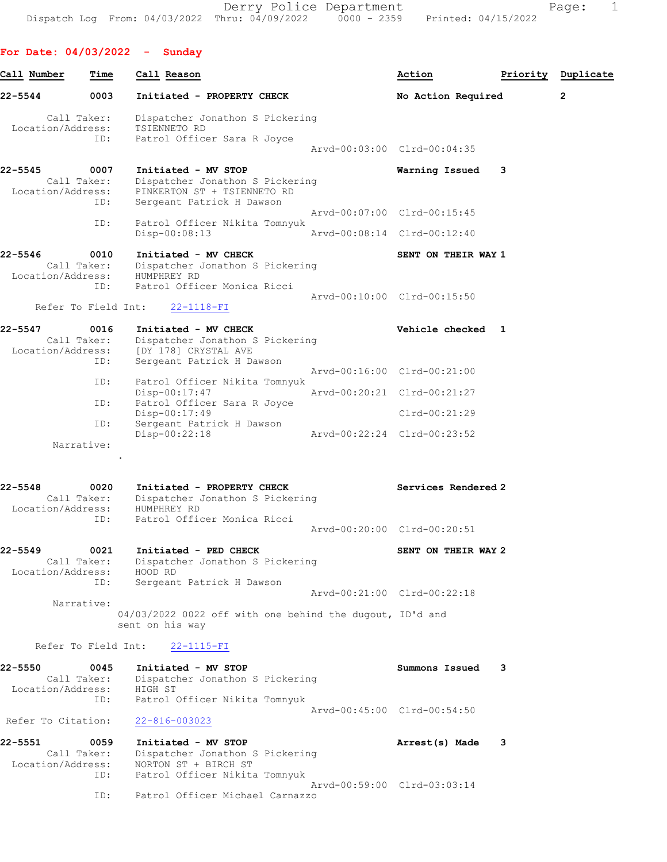Derry Police Department Fage: 1 Dispatch Log From: 04/03/2022 Thru: 04/09/2022 0000 - 2359 Printed: 04/15/2022

For Date: 04/03/2022 - Sunday Call Number Time Call Reason and Call Cassette Call Call Action and Priority Duplicate 22-5544 0003 Initiated - PROPERTY CHECK No Action Required 2 Call Taker: Dispatcher Jonathon S Pickering Location/Address: TSIENNETO RD ID: Patrol Officer Sara R Joyce Arvd-00:03:00 Clrd-00:04:35 22-5545 0007 Initiated - MV STOP Warning Issued 3 Call Taker: Dispatcher Jonathon S Pickering Location/Address: PINKERTON ST + TSIENNETO RD ID: Sergeant Patrick H Dawson Arvd-00:07:00 Clrd-00:15:45 ID: Patrol Officer Nikita Tomnyuk Disp-00:08:13 Arvd-00:08:14 Clrd-00:12:40 22-5546 0010 Initiated - MV CHECK SENT ON THEIR WAY 1 Call Taker: Dispatcher Jonathon S Pickering Location/Address: HUMPHREY RD ID: Patrol Officer Monica Ricci Arvd-00:10:00 Clrd-00:15:50 Refer To Field Int: 22-1118-FI 22-5547 0016 Initiated - MV CHECK CHECK Vehicle checked 1 Call Taker: Dispatcher Jonathon S Pickering Location/Address: [DY 178] CRYSTAL AVE ID: Sergeant Patrick H Dawson Arvd-00:16:00 Clrd-00:21:00 ID: Patrol Officer Nikita Tomnyuk Disp-00:17:47 Arvd-00:20:21 Clrd-00:21:27<br>ID: Patrol Officer Sara R Joyce Patrol Officer Sara R Joyce<br>Disp-00:17:49 Disp-00:17:49 Clrd-00:21:29 ID: Sergeant Patrick H Dawson Disp-00:22:18 Arvd-00:22:24 Clrd-00:23:52 Narrative: . 22-5548 0020 Initiated - PROPERTY CHECK Services Rendered 2 Call Taker: Dispatcher Jonathon S Pickering Location/Address: HUMPHREY RD ID: Patrol Officer Monica Ricci Arvd-00:20:00 Clrd-00:20:51 22-5549 0021 Initiated - PED CHECK SENT ON THEIR WAY 2 Call Taker: Dispatcher Jonathon S Pickering Location/Address: HOOD RD ID: Sergeant Patrick H Dawson Arvd-00:21:00 Clrd-00:22:18 Narrative: 04/03/2022 0022 off with one behind the dugout, ID'd and sent on his way Refer To Field Int: 22-1115-FI 22-5550 0045 Initiated - MV STOP Summons Issued 3 Call Taker: Dispatcher Jonathon S Pickering Location/Address: HIGH ST ID: Patrol Officer Nikita Tomnyuk Arvd-00:45:00 Clrd-00:54:50 Refer To Citation: 22-816-003023 22-5551 0059 Initiated - MV STOP 10 100 100 100 Arrest(s) Made 3

 Call Taker: Dispatcher Jonathon S Pickering Location/Address: NORTON ST + BIRCH ST ID: Patrol Officer Nikita Tomnyuk Arvd-00:59:00 Clrd-03:03:14 ID: Patrol Officer Michael Carnazzo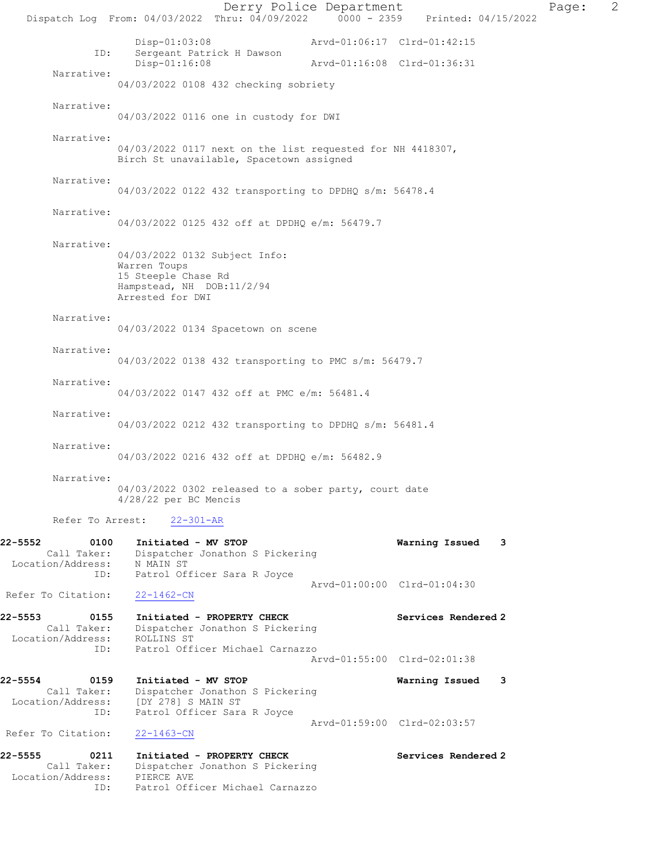Derry Police Department Page: 2 Dispatch Log From: 04/03/2022 Thru: 04/09/2022 0000 - 2359 Printed: 04/15/2022 Disp-01:03:08 Arvd-01:06:17 Clrd-01:42:15<br>TD: Sergeant Patrick H Dawson Sergeant Patrick H Dawson<br>Disp-01:16:08 Arvd-01:16:08 Clrd-01:36:31 Narrative: 04/03/2022 0108 432 checking sobriety Narrative: 04/03/2022 0116 one in custody for DWI Narrative: 04/03/2022 0117 next on the list requested for NH 4418307, Birch St unavailable, Spacetown assigned Narrative: 04/03/2022 0122 432 transporting to DPDHQ s/m: 56478.4 Narrative: 04/03/2022 0125 432 off at DPDHQ e/m: 56479.7 Narrative: 04/03/2022 0132 Subject Info: Warren Toups 15 Steeple Chase Rd Hampstead, NH DOB:11/2/94 Arrested for DWI Narrative: 04/03/2022 0134 Spacetown on scene Narrative: 04/03/2022 0138 432 transporting to PMC s/m: 56479.7 Narrative: 04/03/2022 0147 432 off at PMC e/m: 56481.4 Narrative: 04/03/2022 0212 432 transporting to DPDHQ s/m: 56481.4 Narrative: 04/03/2022 0216 432 off at DPDHQ e/m: 56482.9 Narrative: 04/03/2022 0302 released to a sober party, court date 4/28/22 per BC Mencis Refer To Arrest: 22-301-AR 22-5552 0100 Initiated - MV STOP Warning Issued 3 Call Taker: Dispatcher Jonathon S Pickering Location/Address: N MAIN ST<br>ID: Patrol Of: Patrol Officer Sara R Joyce Arvd-01:00:00 Clrd-01:04:30<br>22-1462-CN Refer To Citation: 22-5553 0155 Initiated - PROPERTY CHECK Services Rendered 2 Call Taker: Dispatcher Jonathon S Pickering Location/Address: ROLLINS ST Patrol Officer Michael Carnazzo Arvd-01:55:00 Clrd-02:01:38 22-5554 0159 Initiated - MV STOP Warning Issued 3 Call Taker: Dispatcher Jonathon S Pickering<br>ion/Address: [DY 278] S MAIN ST Location/Address:<br>ID: Patrol Officer Sara R Joyce Arvd-01:59:00 Clrd-02:03:57<br>22-1463-CN Refer To Citation: 22-5555 0211 Initiated - PROPERTY CHECK Services Rendered 2 Call Taker: Dispatcher Jonathon S Pickering Location/Address: PIERCE AVE ID: Patrol Officer Michael Carnazzo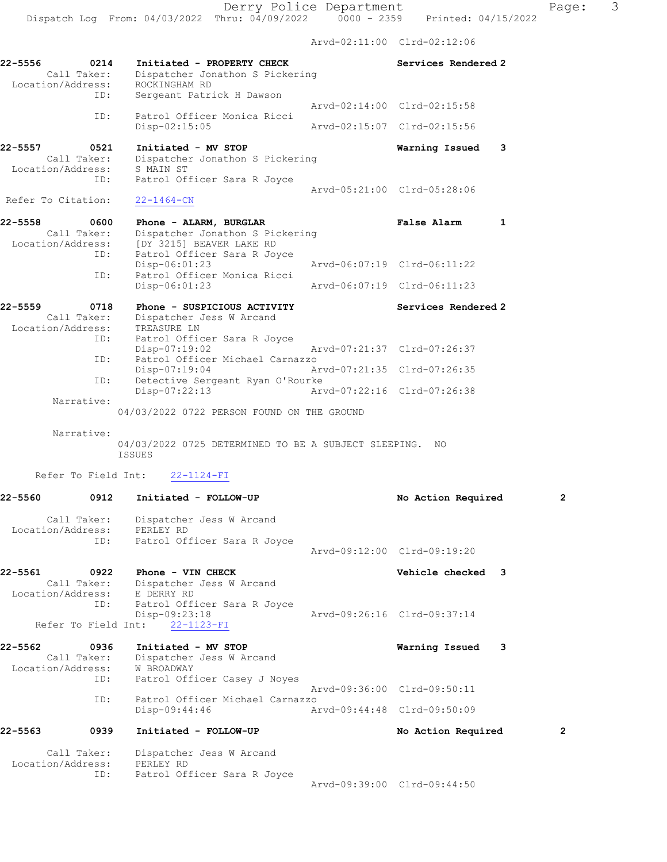Arvd-02:11:00 Clrd-02:12:06

| 22-5556            | 0214<br>Call Taker: | Initiated - PROPERTY CHECK                                                    |                             | Services Rendered 2         |                |
|--------------------|---------------------|-------------------------------------------------------------------------------|-----------------------------|-----------------------------|----------------|
| Location/Address:  |                     | Dispatcher Jonathon S Pickering<br>ROCKINGHAM RD                              |                             |                             |                |
|                    | ID:                 | Sergeant Patrick H Dawson                                                     |                             | Arvd-02:14:00 Clrd-02:15:58 |                |
|                    | ID:                 | Patrol Officer Monica Ricci<br>Disp-02:15:05                                  | Arvd-02:15:07 Clrd-02:15:56 |                             |                |
| 22-5557            | 0521                | Initiated - MV STOP                                                           |                             | Warning Issued              | 3              |
| Location/Address:  | Call Taker:         | Dispatcher Jonathon S Pickering<br>S MAIN ST                                  |                             |                             |                |
|                    | ID:                 | Patrol Officer Sara R Joyce                                                   |                             |                             |                |
| Refer To Citation: |                     | $22 - 1464 - CN$                                                              |                             | Aryd-05:21:00 Clrd-05:28:06 |                |
| 22-5558            | 0600                | Phone - ALARM, BURGLAR                                                        |                             | <b>False Alarm</b>          | 1              |
|                    | Call Taker:         | Dispatcher Jonathon S Pickering<br>Location/Address: [DY 3215] BEAVER LAKE RD |                             |                             |                |
|                    | ID:                 | Patrol Officer Sara R Joyce<br>Disp-06:01:23                                  |                             | Arvd-06:07:19 Clrd-06:11:22 |                |
|                    | ID:                 | Patrol Officer Monica Ricci<br>$Disp-06:01:23$                                |                             | Arvd-06:07:19 Clrd-06:11:23 |                |
|                    |                     |                                                                               |                             |                             |                |
| $22 - 5559$        | 0718<br>Call Taker: | Phone - SUSPICIOUS ACTIVITY<br>Dispatcher Jess W Arcand                       |                             | Services Rendered 2         |                |
| Location/Address:  | ID:                 | TREASURE LN<br>Patrol Officer Sara R Joyce                                    |                             |                             |                |
|                    | ID:                 | $Disp-07:19:02$<br>Patrol Officer Michael Carnazzo                            |                             | Arvd-07:21:37 Clrd-07:26:37 |                |
|                    | ID:                 | $Disp-07:19:04$<br>Detective Sergeant Ryan O'Rourke                           |                             | Arvd-07:21:35 Clrd-07:26:35 |                |
|                    |                     | Disp-07:22:13                                                                 |                             | Arvd-07:22:16 Clrd-07:26:38 |                |
|                    | Narrative:          | 04/03/2022 0722 PERSON FOUND ON THE GROUND                                    |                             |                             |                |
|                    | Narrative:          |                                                                               |                             |                             |                |
|                    |                     | 04/03/2022 0725 DETERMINED TO BE A SUBJECT SLEEPING. NO<br><b>ISSUES</b>      |                             |                             |                |
|                    |                     |                                                                               |                             |                             |                |
|                    | Refer To Field Int: | $22 - 1124 - FI$                                                              |                             |                             |                |
| $22 - 5560$        | 0912                | Initiated - FOLLOW-UP                                                         |                             | No Action Required          | 2              |
| Location/Address:  | Call Taker:         | Dispatcher Jess W Arcand<br>PERLEY RD                                         |                             |                             |                |
|                    | ID:                 | Patrol Officer Sara R Joyce                                                   |                             | Arvd-09:12:00 Clrd-09:19:20 |                |
|                    |                     |                                                                               |                             |                             |                |
| 22-5561            | 0922<br>Call Taker: | Phone - VIN CHECK<br>Dispatcher Jess W Arcand                                 |                             | Vehicle checked 3           |                |
| Location/Address:  | ID:                 | E DERRY RD<br>Patrol Officer Sara R Joyce                                     |                             |                             |                |
|                    | Refer To Field Int: | Disp-09:23:18<br>$22 - 1123 - FI$                                             |                             | Arvd-09:26:16 Clrd-09:37:14 |                |
|                    |                     |                                                                               |                             |                             |                |
| 22-5562            | 0936<br>Call Taker: | Initiated - MV STOP<br>Dispatcher Jess W Arcand                               |                             | Warning Issued              | 3              |
| Location/Address:  | ID:                 | <b>W BROADWAY</b><br>Patrol Officer Casey J Noyes                             |                             |                             |                |
|                    | ID:                 | Patrol Officer Michael Carnazzo                                               |                             | Arvd-09:36:00 Clrd-09:50:11 |                |
|                    |                     | Disp-09:44:46                                                                 |                             | Arvd-09:44:48 Clrd-09:50:09 |                |
| 22-5563            | 0939                | Initiated - FOLLOW-UP                                                         |                             | No Action Required          | $\overline{2}$ |
|                    | Call Taker:         | Dispatcher Jess W Arcand                                                      |                             |                             |                |
| Location/Address:  | ID:                 | PERLEY RD<br>Patrol Officer Sara R Joyce                                      |                             |                             |                |
|                    |                     |                                                                               |                             | Arvd-09:39:00 Clrd-09:44:50 |                |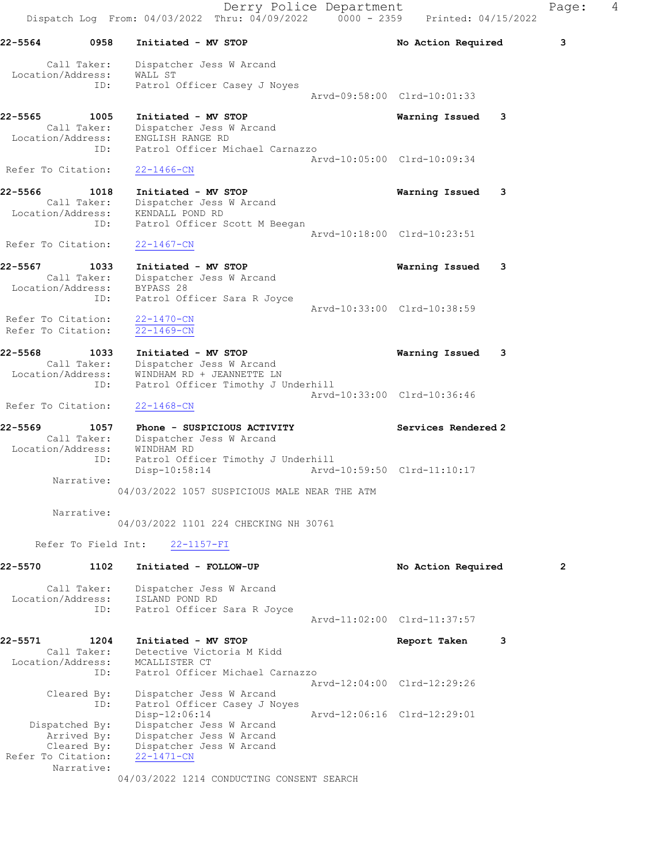Derry Police Department Fage: 4 Dispatch Log From:  $04/03/2022$  Thru:  $04/09/2022$  0000 - 2359 Printed: 04/15/2022 22-5564 0958 Initiated - MV STOP No Action Required 3 Call Taker: Dispatcher Jess W Arcand Location/Address: WALL ST ID: Patrol Officer Casey J Noyes Arvd-09:58:00 Clrd-10:01:33 22-5565 1005 Initiated - MV STOP Warning Issued 3 Call Taker: Dispatcher Jess W Arcand Location/Address: ENGLISH RANGE RD ID: Patrol Officer Michael Carnazzo Arvd-10:05:00 Clrd-10:09:34<br>22-1466-CN Refer To Citation: 22-5566 1018 Initiated - MV STOP Warning Issued 3 Call Taker: Dispatcher Jess W Arcand Location/Address: KENDALL POND RD ID: Patrol Officer Scott M Beegan Arvd-10:18:00 Clrd-10:23:51 Refer To Citation: 22-1467-CN 22-5567 1033 Initiated - MV STOP Warning Issued 3 Call Taker: Dispatcher Jess W Arcand Location/Address: BYPASS 28 ID: Patrol Officer Sara R Joyce Arvd-10:33:00 Clrd-10:38:59 Refer To Citation: 22-1470-CN Refer To Citation: 22-1469-CN 22-5568 1033 Initiated - MV STOP Warning Issued 3 Call Taker: Dispatcher Jess W Arcand Location/Address: WINDHAM RD + JEANNETTE LN ID: Patrol Officer Timothy J Underhill Arvd-10:33:00 Clrd-10:36:46 Refer To Citation: 22-1468-CN 22-5569 1057 Phone - SUSPICIOUS ACTIVITY Services Rendered 2 Call Taker: Dispatcher Jess W Arcand Location/Address: WINDHAM RD ID: Patrol Officer Timothy J Underhill Disp-10:58:14 Arvd-10:59:50 Clrd-11:10:17 Narrative: 04/03/2022 1057 SUSPICIOUS MALE NEAR THE ATM Narrative: 04/03/2022 1101 224 CHECKING NH 30761 Refer To Field Int: 22-1157-FI 22-5570 1102 Initiated - FOLLOW-UP No Action Required 2 Call Taker: Dispatcher Jess W Arcand Location/Address: ISLAND POND RD ID: Patrol Officer Sara R Joyce Arvd-11:02:00 Clrd-11:37:57 22-5571 1204 Initiated - MV STOP 1200 120 Report Taken 3 Call Taker: Detective Victoria M Kidd Location/Address: MCALLISTER CT ID: Patrol Officer Michael Carnazzo Arvd-12:04:00 Clrd-12:29:26 Cleared By: Dispatcher Jess W Arcand ID: Patrol Officer Casey J Noyes<br>Disp-12:06:14 Disp-12:06:14 Arvd-12:06:16 Clrd-12:29:01 Dispatched By: Dispatcher Jess W Arcand Arrived By: Dispatcher Jess W Arcand Cleared By: Dispatcher Jess W Arcand Refer To Citation: 22-1471-CN Narrative:

04/03/2022 1214 CONDUCTING CONSENT SEARCH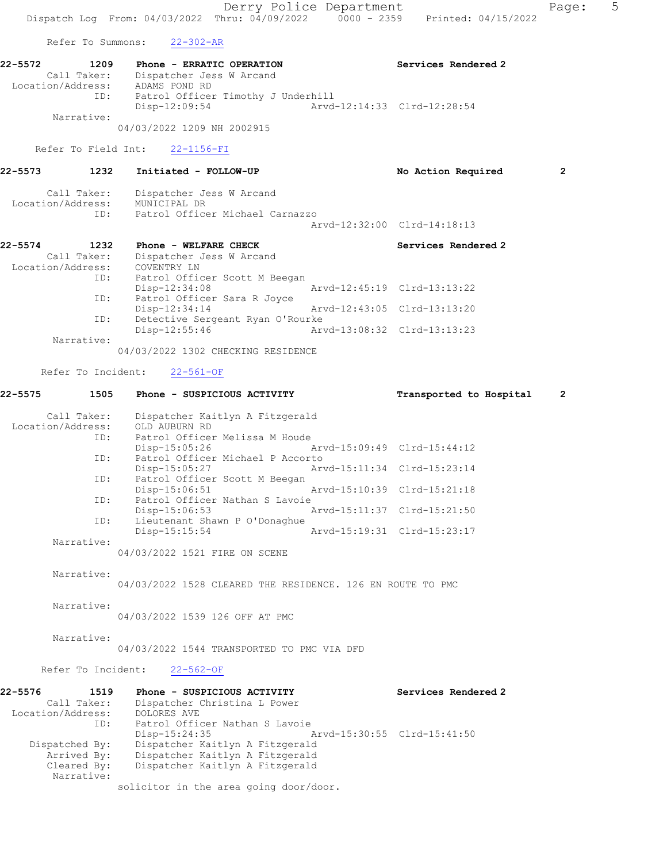Derry Police Department Fage: 5 Dispatch Log From: 04/03/2022 Thru: 04/09/2022 0000 - 2359 Printed: 04/15/2022 Refer To Summons: 22-302-AR 22-5572 1209 Phone - ERRATIC OPERATION Services Rendered 2 Call Taker: Dispatcher Jess W Arcand Location/Address: ADAMS POND RD ID: Patrol Officer Timothy J Underhill Disp-12:09:54 Arvd-12:14:33 Clrd-12:28:54 Narrative: 04/03/2022 1209 NH 2002915 Refer To Field Int: 22-1156-FI 22-5573 1232 Initiated - FOLLOW-UP No Action Required 2 Call Taker: Dispatcher Jess W Arcand Location/Address: MUNICIPAL DR ID: Patrol Officer Michael Carnazzo Arvd-12:32:00 Clrd-14:18:13 22-5574 1232 Phone - WELFARE CHECK Services Rendered 2 Call Taker: Dispatcher Jess W Arcand Location/Address: COVENTRY LN ID: Patrol Officer Scott M Beegan<br>Disp-12:34:08 Disp-12:34:08 Arvd-12:45:19 Clrd-13:13:22<br>
Disp-12:34:14 Arvd-12:43:05 Clrd-13:13:20<br>
Disp-12:34:14 Arvd-12:43:05 Clrd-13:13:20 Patrol Officer Sara R Joyce Disp-12:34:14 Arvd-12:43:05 Clrd-13:13:20 ID: Detective Sergeant Ryan O'Rourke<br>Disp-12:55:46 Art Arvd-13:08:32 Clrd-13:13:23 Narrative: 04/03/2022 1302 CHECKING RESIDENCE Refer To Incident: 22-561-OF 22-5575 1505 Phone - SUSPICIOUS ACTIVITY Transported to Hospital 2 Call Taker: Dispatcher Kaitlyn A Fitzgerald Location/Address: OLD AUBURN RD Patrol Officer Melissa M Houde<br>Disp-15:05:26 Disp-15:05:26 Arvd-15:09:49 Clrd-15:44:12 ID: Patrol Officer Michael P Accorto<br>Disp-15:05:27 Art Arvd-15:11:34 Clrd-15:23:14 ID: Patrol Officer Scott M Beegan<br>Disp-15:06:51 Arvd-15:10:39 Clrd-15:21:18 ID: Patrol Officer Nathan S Lavoie<br>Disp-15:06:53 Disp-15:06:53 Arvd-15:11:37 Clrd-15:21:50 ID: Lieutenant Shawn P O'Donaghue Arvd-15:19:31 Clrd-15:23:17 Narrative: 04/03/2022 1521 FIRE ON SCENE Narrative: 04/03/2022 1528 CLEARED THE RESIDENCE. 126 EN ROUTE TO PMC Narrative: 04/03/2022 1539 126 OFF AT PMC Narrative: 04/03/2022 1544 TRANSPORTED TO PMC VIA DFD Refer To Incident: 22-562-OF 22-5576 1519 Phone - SUSPICIOUS ACTIVITY Services Rendered 2 Call Taker: Dispatcher Christina L Power Location/Address: DOLORES AVE ID: Patrol Officer Nathan S Lavoie Disp-15:24:35 Arvd-15:30:55 Clrd-15:41:50 Dispatched By: Dispatcher Kaitlyn A Fitzgerald Arrived By: Dispatcher Kaitlyn A Fitzgerald Cleared By: Dispatcher Kaitlyn A Fitzgerald Narrative:

solicitor in the area going door/door.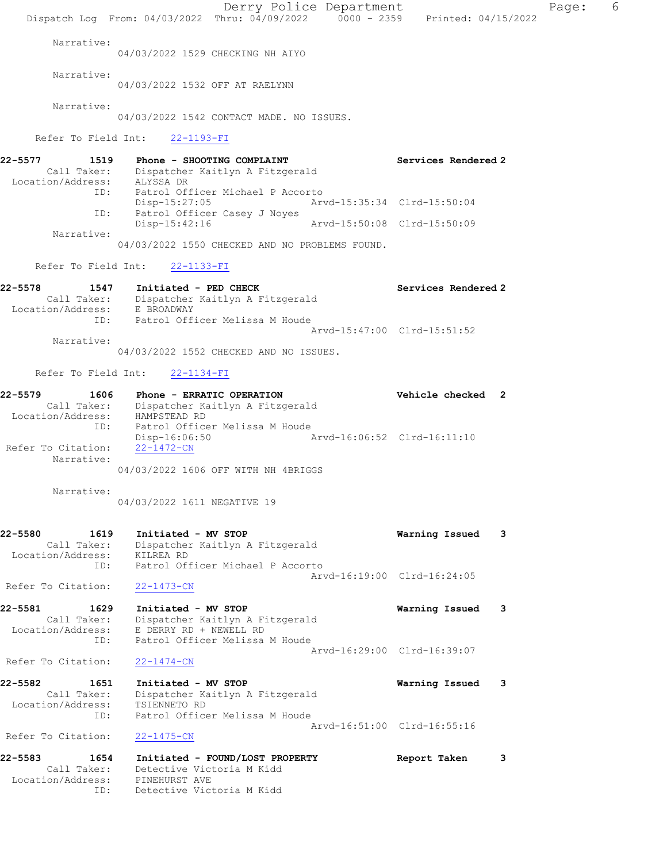Derry Police Department Fage: 6 Dispatch Log From: 04/03/2022 Thru: 04/09/2022 0000 - 2359 Printed: 04/15/2022 Narrative: 04/03/2022 1529 CHECKING NH AIYO Narrative: 04/03/2022 1532 OFF AT RAELYNN Narrative: 04/03/2022 1542 CONTACT MADE. NO ISSUES. Refer To Field Int: 22-1193-FI 22-5577 1519 Phone - SHOOTING COMPLAINT Services Rendered 2 Call Taker: Dispatcher Kaitlyn A Fitzgerald Location/Address: ALYSSA DR ID: Patrol Officer Michael P Accorto Disp-15:27:05 Arvd-15:35:34 Clrd-15:50:04 ID: Patrol Officer Casey J Noyes Disp-15:42:16 Arvd-15:50:08 Clrd-15:50:09 Narrative: 04/03/2022 1550 CHECKED AND NO PROBLEMS FOUND. Refer To Field Int: 22-1133-FI 22-5578 1547 Initiated - PED CHECK 1988 Services Rendered 2 Call Taker: Dispatcher Kaitlyn A Fitzgerald Location/Address: E BROADWAY ID: Patrol Officer Melissa M Houde Arvd-15:47:00 Clrd-15:51:52 Narrative: 04/03/2022 1552 CHECKED AND NO ISSUES. Refer To Field Int: 22-1134-FI 22-5579 1606 Phone - ERRATIC OPERATION Vehicle checked 2 Call Taker: Dispatcher Kaitlyn A Fitzgerald Location/Address: HAMPSTEAD RD ID: Patrol Officer Melissa M Houde Disp-16:06:50 Arvd-16:06:52 Clrd-16:11:10 Refer To Citation:  $\frac{22-1472-CN}{22}$  Narrative: 04/03/2022 1606 OFF WITH NH 4BRIGGS Narrative: 04/03/2022 1611 NEGATIVE 19 22-5580 1619 Initiated - MV STOP Warning Issued 3 Call Taker: Dispatcher Kaitlyn A Fitzgerald Location/Address: KILREA RD ID: Patrol Officer Michael P Accorto Arvd-16:19:00 Clrd-16:24:05 Refer To Citation: 22-1473-CN 22-5581 1629 Initiated - MV STOP Warning Issued 3 Call Taker: Dispatcher Kaitlyn A Fitzgerald Location/Address: E DERRY RD + NEWELL RD ID: Patrol Officer Melissa M Houde Arvd-16:29:00 Clrd-16:39:07 Refer To Citation: 22-1474-CN 22-5582 1651 Initiated - MV STOP Warning Issued 3 Call Taker: Dispatcher Kaitlyn A Fitzgerald Location/Address: TSIENNETO RD ID: Patrol Officer Melissa M Houde Arvd-16:51:00 Clrd-16:55:16 Refer To Citation: 22-1475-CN 22-5583 1654 Initiated - FOUND/LOST PROPERTY Report Taken 3 Call Taker: Detective Victoria M Kidd Location/Address: PINEHURST AVE ID: Detective Victoria M Kidd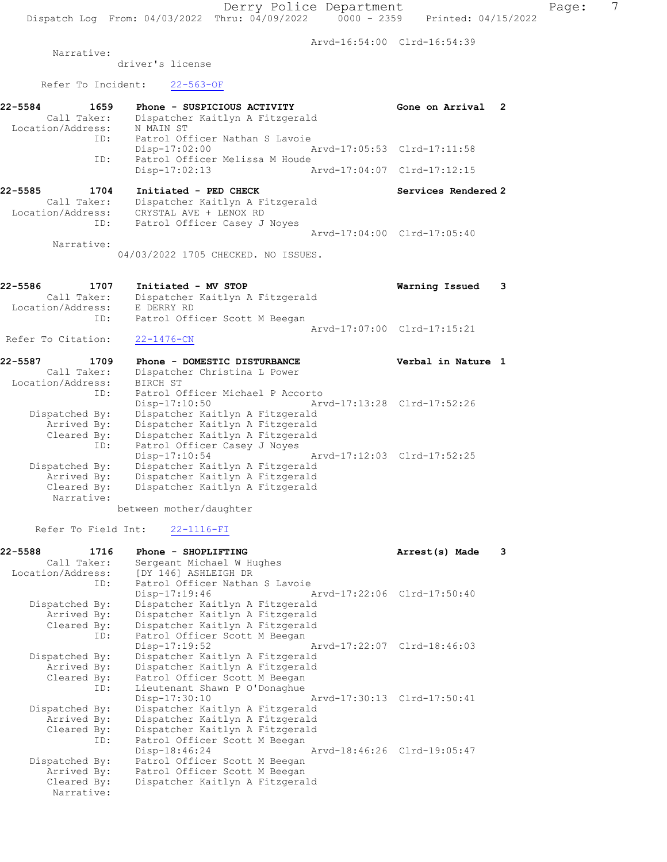Arvd-16:54:00 Clrd-16:54:39

Narrative:

driver's license

Refer To Incident: 22-563-OF

| $22 - 5584$       | 1659       | Phone - SUSPICIOUS ACTIVITY     |                             | Gone on Arrival<br>-2       |
|-------------------|------------|---------------------------------|-----------------------------|-----------------------------|
| Call Taker:       |            | Dispatcher Kaitlyn A Fitzgerald |                             |                             |
| Location/Address: |            | N MAIN ST                       |                             |                             |
|                   | ID:        | Patrol Officer Nathan S Lavoie  |                             |                             |
|                   |            | $Disp-17:02:00$                 | Arvd-17:05:53 Clrd-17:11:58 |                             |
|                   | ID:        | Patrol Officer Melissa M Houde  |                             |                             |
|                   |            | $Disp-17:02:13$                 |                             | Arvd-17:04:07 Clrd-17:12:15 |
| 22-5585           | 1704       | Initiated - PED CHECK           |                             | Services Rendered 2         |
| Call Taker:       |            | Dispatcher Kaitlyn A Fitzgerald |                             |                             |
| Location/Address: |            | CRYSTAL AVE + LENOX RD          |                             |                             |
|                   | ID:        | Patrol Officer Casey J Noyes    |                             |                             |
|                   |            |                                 |                             | Arvd-17:04:00 Clrd-17:05:40 |
|                   | Narrative: |                                 |                             |                             |

04/03/2022 1705 CHECKED. NO ISSUES.

| 22-5586            | 1707        | Initiated - MV STOP             | Warning Issued              | $\overline{\phantom{a}}$ 3 |
|--------------------|-------------|---------------------------------|-----------------------------|----------------------------|
|                    | Call Taker: | Dispatcher Kaitlyn A Fitzgerald |                             |                            |
| Location/Address:  |             | E DERRY RD                      |                             |                            |
|                    | ID:         | Patrol Officer Scott M Beegan   |                             |                            |
|                    |             |                                 | Aryd-17:07:00 Clrd-17:15:21 |                            |
| Refer To Citation: |             | 22-1476-CN                      |                             |                            |

22-5587 1709 Phone - DOMESTIC DISTURBANCE Verbal in Nature 1 Call Taker: Dispatcher Christina L Power Location/Address: BIRCH ST ID: Patrol Officer Michael P Accorto<br>Disp-17:10:50 Art Arvd-17:13:28 Clrd-17:52:26 Dispatched By: Dispatcher Kaitlyn A Fitzgerald Arrived By: Dispatcher Kaitlyn A Fitzgerald Cleared By: Dispatcher Kaitlyn A Fitzgerald ID: Patrol Officer Casey J Noyes Disp-17:10:54 Arvd-17:12:03 Clrd-17:52:25 Dispatched By: Dispatcher Kaitlyn A Fitzgerald Arrived By: Dispatcher Kaitlyn A Fitzgerald Cleared By: Dispatcher Kaitlyn A Fitzgerald Narrative:

between mother/daughter

Refer To Field Int: 22-1116-FI

| 22-5588           | 1716           | Phone - SHOPLIFTING                       |                             | Arrest(s) Made | 3 |
|-------------------|----------------|-------------------------------------------|-----------------------------|----------------|---|
|                   | Call Taker:    | Sergeant Michael W Hughes                 |                             |                |   |
| Location/Address: |                | [DY 146] ASHLEIGH DR                      |                             |                |   |
|                   | ID:            | Patrol Officer Nathan S Lavoie            |                             |                |   |
|                   |                | Disp-17:19:46                             | Arvd-17:22:06 Clrd-17:50:40 |                |   |
|                   | Dispatched By: | Dispatcher Kaitlyn A Fitzgerald           |                             |                |   |
|                   | Arrived By:    | Dispatcher Kaitlyn A Fitzgerald           |                             |                |   |
|                   | Cleared By:    | Dispatcher Kaitlyn A Fitzgerald           |                             |                |   |
|                   | ID:            | Patrol Officer Scott M Beegan             |                             |                |   |
|                   |                | Disp-17:19:52                             | Arvd-17:22:07 Clrd-18:46:03 |                |   |
|                   | Dispatched By: | Dispatcher Kaitlyn A Fitzgerald           |                             |                |   |
|                   | Arrived By:    | Dispatcher Kaitlyn A Fitzgerald           |                             |                |   |
|                   |                | Cleared By: Patrol Officer Scott M Beegan |                             |                |   |
|                   | ID:            | Lieutenant Shawn P O'Donaghue             |                             |                |   |
|                   |                | Disp-17:30:10                             | Arvd-17:30:13 Clrd-17:50:41 |                |   |
|                   | Dispatched By: | Dispatcher Kaitlyn A Fitzgerald           |                             |                |   |
|                   | Arrived By:    | Dispatcher Kaitlyn A Fitzgerald           |                             |                |   |
|                   | Cleared By:    | Dispatcher Kaitlyn A Fitzgerald           |                             |                |   |
|                   | ID:            | Patrol Officer Scott M Beegan             |                             |                |   |
|                   |                | Disp-18:46:24                             | Arvd-18:46:26 Clrd-19:05:47 |                |   |
|                   | Dispatched By: | Patrol Officer Scott M Beegan             |                             |                |   |
|                   | Arrived By:    | Patrol Officer Scott M Beegan             |                             |                |   |
|                   | Cleared By:    | Dispatcher Kaitlyn A Fitzgerald           |                             |                |   |
|                   | Narrative:     |                                           |                             |                |   |
|                   |                |                                           |                             |                |   |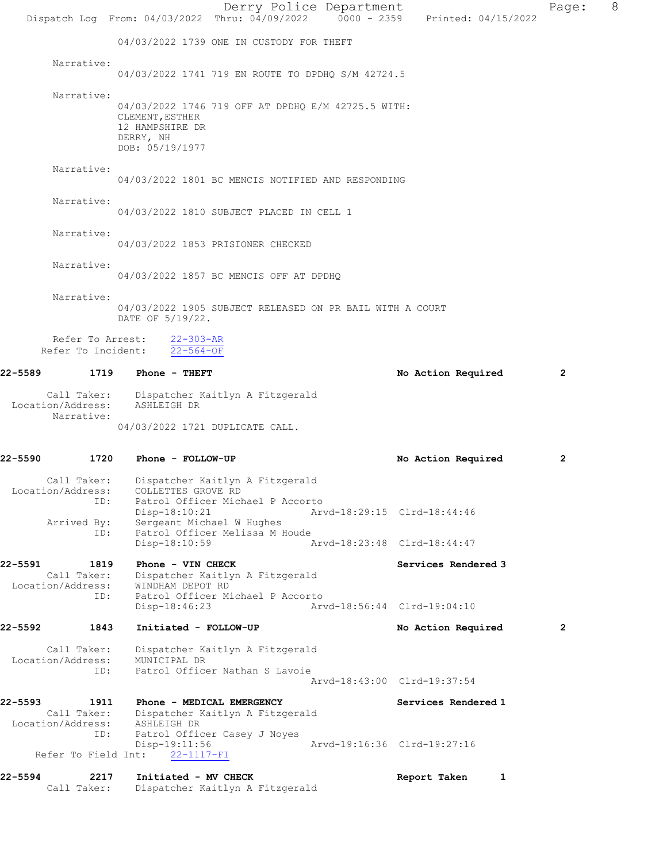|                              |                                          | Dispatch Log From: 04/03/2022 Thru: 04/09/2022 0000 - 2359 Printed: 04/15/2022                                                                                              |  | Derry Police Department     |                     |   | Page:        | 8 |
|------------------------------|------------------------------------------|-----------------------------------------------------------------------------------------------------------------------------------------------------------------------------|--|-----------------------------|---------------------|---|--------------|---|
|                              |                                          | 04/03/2022 1739 ONE IN CUSTODY FOR THEFT                                                                                                                                    |  |                             |                     |   |              |   |
|                              | Narrative:                               | 04/03/2022 1741 719 EN ROUTE TO DPDHQ S/M 42724.5                                                                                                                           |  |                             |                     |   |              |   |
|                              | Narrative:                               | 04/03/2022 1746 719 OFF AT DPDHQ E/M 42725.5 WITH:<br>CLEMENT, ESTHER<br>12 HAMPSHIRE DR<br>DERRY, NH<br>DOB: 05/19/1977                                                    |  |                             |                     |   |              |   |
|                              | Narrative:                               | 04/03/2022 1801 BC MENCIS NOTIFIED AND RESPONDING                                                                                                                           |  |                             |                     |   |              |   |
|                              | Narrative:                               | 04/03/2022 1810 SUBJECT PLACED IN CELL 1                                                                                                                                    |  |                             |                     |   |              |   |
|                              | Narrative:                               | 04/03/2022 1853 PRISIONER CHECKED                                                                                                                                           |  |                             |                     |   |              |   |
|                              | Narrative:                               | 04/03/2022 1857 BC MENCIS OFF AT DPDHQ                                                                                                                                      |  |                             |                     |   |              |   |
|                              | Narrative:                               | 04/03/2022 1905 SUBJECT RELEASED ON PR BAIL WITH A COURT<br>DATE OF 5/19/22.                                                                                                |  |                             |                     |   |              |   |
|                              | Refer To Arrest:                         | $22 - 303 - AR$<br>Refer To Incident: 22-564-OF                                                                                                                             |  |                             |                     |   |              |   |
|                              |                                          | 22-5589 1719 Phone - THEFT                                                                                                                                                  |  |                             | No Action Required  |   | $\mathbf{2}$ |   |
| Location/Address:            | Narrative:                               | Call Taker: Dispatcher Kaitlyn A Fitzgerald<br>ASHLEIGH DR<br>04/03/2022 1721 DUPLICATE CALL.                                                                               |  |                             |                     |   |              |   |
| 22-5590                      | 1720                                     | Phone - FOLLOW-UP                                                                                                                                                           |  |                             | No Action Required  |   | 2            |   |
| Location/Address:            | Call Taker:<br>ID:<br>Arrived By:<br>ID: | Dispatcher Kaitlyn A Fitzgerald<br>COLLETTES GROVE RD<br>Patrol Officer Michael P Accorto<br>$Disp-18:10:21$<br>Sergeant Michael W Hughes<br>Patrol Officer Melissa M Houde |  | Arvd-18:29:15 Clrd-18:44:46 |                     |   |              |   |
| 22-5591                      | 1819                                     | Disp-18:10:59<br>Phone - VIN CHECK                                                                                                                                          |  | Arvd-18:23:48 Clrd-18:44:47 | Services Rendered 3 |   |              |   |
| Location/Address:            | Call Taker:<br>ID:                       | Dispatcher Kaitlyn A Fitzgerald<br>WINDHAM DEPOT RD<br>Patrol Officer Michael P Accorto<br>$Disp-18:46:23$                                                                  |  | Arvd-18:56:44 Clrd-19:04:10 |                     |   |              |   |
| 22-5592                      | 1843                                     | Initiated - FOLLOW-UP                                                                                                                                                       |  |                             | No Action Required  |   | $\mathbf{2}$ |   |
| Location/Address:            | Call Taker:<br>ID:                       | Dispatcher Kaitlyn A Fitzgerald<br>MUNICIPAL DR<br>Patrol Officer Nathan S Lavoie                                                                                           |  | Arvd-18:43:00 Clrd-19:37:54 |                     |   |              |   |
| 22-5593<br>Location/Address: | 1911<br>Call Taker:<br>ID:               | Phone - MEDICAL EMERGENCY<br>Dispatcher Kaitlyn A Fitzgerald<br>ASHLEIGH DR<br>Patrol Officer Casey J Noyes                                                                 |  |                             | Services Rendered 1 |   |              |   |
|                              | Refer To Field Int:                      | Disp-19:11:56<br>22-1117-FI                                                                                                                                                 |  | Arvd-19:16:36 Clrd-19:27:16 |                     |   |              |   |
| 22-5594                      | 2217<br>Call Taker:                      | Initiated - MV CHECK<br>Dispatcher Kaitlyn A Fitzgerald                                                                                                                     |  |                             | Report Taken        | 1 |              |   |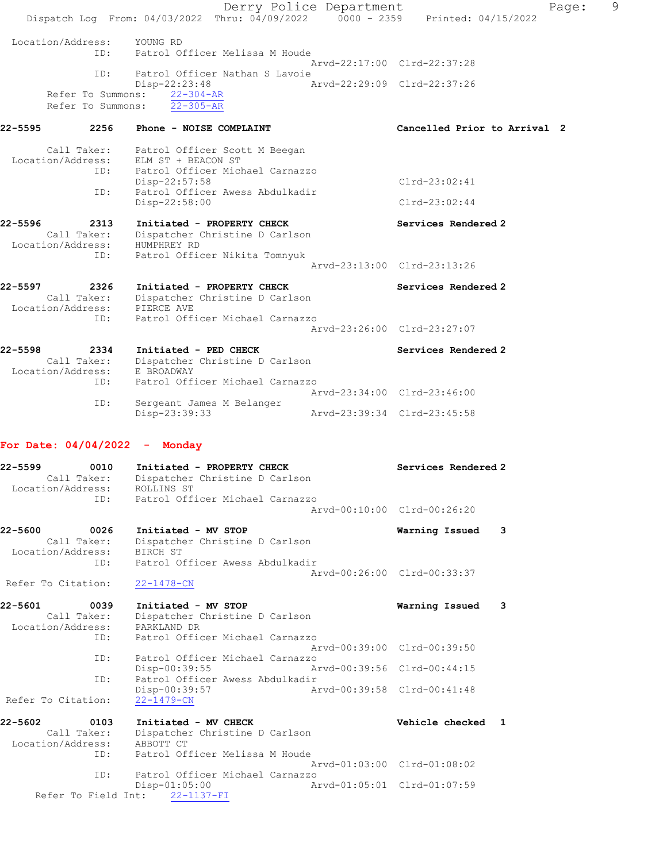|                              |                                        | Derry Police Department<br>Dispatch Log From: 04/03/2022 Thru: 04/09/2022 0000 - 2359                     | 9<br>Page:<br>Printed: 04/15/2022 |
|------------------------------|----------------------------------------|-----------------------------------------------------------------------------------------------------------|-----------------------------------|
| Location/Address:            | ID:                                    | YOUNG RD<br>Patrol Officer Melissa M Houde                                                                | Arvd-22:17:00 Clrd-22:37:28       |
|                              | ID:                                    | Patrol Officer Nathan S Lavoie                                                                            |                                   |
|                              | Refer To Summons:<br>Refer To Summons: | Disp-22:23:48<br>$22 - 304 - AR$<br>$22 - 305 - AR$                                                       | Arvd-22:29:09 Clrd-22:37:26       |
| 22-5595                      | 2256                                   | Phone - NOISE COMPLAINT                                                                                   | Cancelled Prior to Arrival 2      |
| Location/Address:            | Call Taker:<br>ID:                     | Patrol Officer Scott M Beegan<br>ELM ST + BEACON ST<br>Patrol Officer Michael Carnazzo                    |                                   |
|                              | ID:                                    | $Disp-22:57:58$<br>Patrol Officer Awess Abdulkadir                                                        | $Clrd-23:02:41$                   |
|                              |                                        | Disp-22:58:00                                                                                             | $Clrd-23:02:44$                   |
| 22-5596                      | 2313                                   | Initiated - PROPERTY CHECK<br>Call Taker: Dispatcher Christine D Carlson<br>Location/Address: HUMPHREY RD | Services Rendered 2               |
|                              | ID:                                    | Patrol Officer Nikita Tomnyuk                                                                             | Arvd-23:13:00 Clrd-23:13:26       |
| 22-5597                      | 2326                                   | Initiated - PROPERTY CHECK<br>Call Taker: Dispatcher Christine D Carlson<br>Location/Address: PIERCE AVE  | Services Rendered 2               |
|                              | ID:                                    | Patrol Officer Michael Carnazzo                                                                           | Arvd-23:26:00 Clrd-23:27:07       |
| 22-5598<br>Location/Address: | 2334<br>Call Taker:                    | Initiated - PED CHECK<br>Dispatcher Christine D Carlson<br>E BROADWAY                                     | Services Rendered 2               |
|                              | ID:<br>ID:                             | Patrol Officer Michael Carnazzo<br>Sergeant James M Belanger                                              | Arvd-23:34:00 Clrd-23:46:00       |
|                              |                                        | Disp-23:39:33                                                                                             | Arvd-23:39:34 Clrd-23:45:58       |
|                              |                                        | For Date: $04/04/2022 -$ Monday                                                                           |                                   |
| 22-5599<br>Location/Address: | 0010                                   | Initiated - PROPERTY CHECK<br>Call Taker: Dispatcher Christine D Carlson<br>ROLLINS ST                    | Services Rendered 2               |
|                              | ID:                                    | Patrol Officer Michael Carnazzo                                                                           | Arvd-00:10:00 Clrd-00:26:20       |
| 22-5600<br>Location/Address: | 0026<br>Call Taker:<br>ID:             | Initiated - MV STOP<br>Dispatcher Christine D Carlson<br>BIRCH ST<br>Patrol Officer Awess Abdulkadir      | Warning Issued<br>-3              |
| Refer To Citation:           |                                        | $22 - 1478 - CN$                                                                                          | Arvd-00:26:00 Clrd-00:33:37       |
| 22-5601<br>Location/Address: | 0039<br>Call Taker:<br>ID:             | Initiated - MV STOP<br>Dispatcher Christine D Carlson<br>PARKLAND DR<br>Patrol Officer Michael Carnazzo   | Warning Issued<br>- 3             |
|                              | ID:                                    | Patrol Officer Michael Carnazzo                                                                           | Arvd-00:39:00 Clrd-00:39:50       |
|                              | ID:                                    | Disp-00:39:55<br>Patrol Officer Awess Abdulkadir                                                          | Arvd-00:39:56 Clrd-00:44:15       |
| Refer To Citation:           |                                        | Disp-00:39:57<br>$22 - 1479 - CN$                                                                         | Arvd-00:39:58 Clrd-00:41:48       |

22-5602 0103 Initiated - MV CHECK Vehicle checked 1 Call Taker: Dispatcher Christine D Carlson Location/Address: ABBOTT CT ID: Patrol Officer Melissa M Houde Arvd-01:03:00 Clrd-01:08:02 ID: Patrol Officer Michael Carnazzo Disp-01:05:00 Arvd-01:05:01 Clrd-01:07:59 Refer To Field Int: 22-1137-FI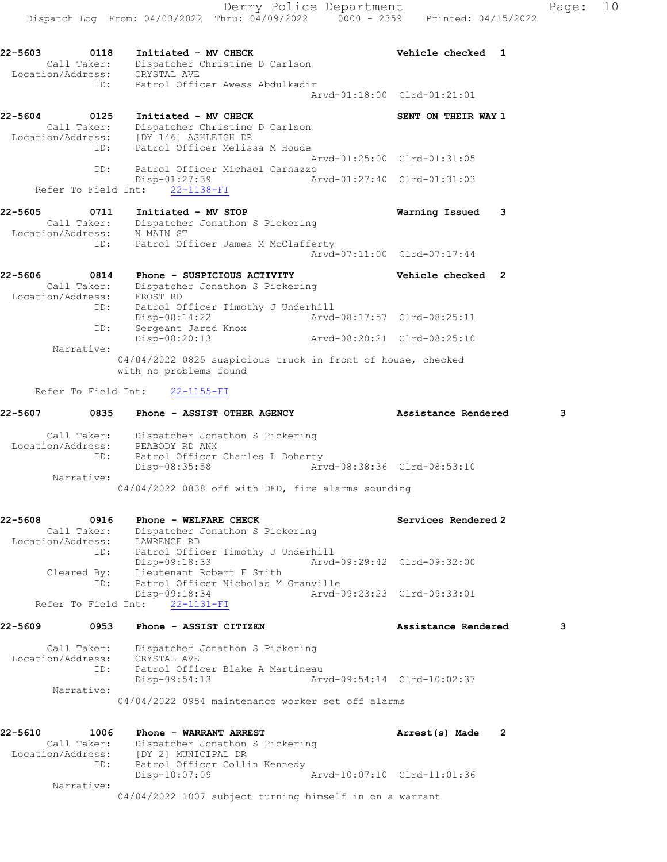Derry Police Department Fage: 10 Dispatch Log From: 04/03/2022 Thru: 04/09/2022 0000 - 2359 Printed: 04/15/2022 22-5603 0118 Initiated - MV CHECK Vehicle checked 1 Call Taker: Dispatcher Christine D Carlson Location/Address: CRYSTAL AVE ID: Patrol Officer Awess Abdulkadir Arvd-01:18:00 Clrd-01:21:01 22-5604 0125 Initiated - MV CHECK SENT ON THEIR WAY 1 Call Taker: Dispatcher Christine D Carlson Location/Address: [DY 146] ASHLEIGH DR ID: Patrol Officer Melissa M Houde Arvd-01:25:00 Clrd-01:31:05 ID: Patrol Officer Michael Carnazzo Disp-01:27:39 Arvd-01:27:40 Clrd-01:31:03 Refer To Field Int: 22-1138-FI 22-5605 0711 Initiated - MV STOP Warning Issued 3 Call Taker: Dispatcher Jonathon S Pickering Location/Address: N MAIN ST ID: Patrol Officer James M McClafferty Arvd-07:11:00 Clrd-07:17:44 22-5606 0814 Phone - SUSPICIOUS ACTIVITY Vehicle checked 2 Call Taker: Dispatcher Jonathon S Pickering Location/Address: FROST RD ID: Patrol Officer Timothy J Underhill Disp-08:14:22 Arvd-08:17:57 Clrd-08:25:11 ID: Sergeant Jared Knox Disp-08:20:13 Arvd-08:20:21 Clrd-08:25:10 Narrative: 04/04/2022 0825 suspicious truck in front of house, checked with no problems found Refer To Field Int: 22-1155-FI 22-5607 0835 Phone - ASSIST OTHER AGENCY **Assistance Rendered** 3 Call Taker: Dispatcher Jonathon S Pickering Location/Address: PEABODY RD ANX ID: Patrol Officer Charles L Doherty Disp-08:35:58 Arvd-08:38:36 Clrd-08:53:10 Narrative: 04/04/2022 0838 off with DFD, fire alarms sounding 22-5608 0916 Phone - WELFARE CHECK Services Rendered 2 Call Taker: Dispatcher Jonathon S Pickering Location/Address: LAWRENCE RD ID: Patrol Officer Timothy J Underhill Disp-09:18:33 Arvd-09:29:42 Clrd-09:32:00 Cleared By: Lieutenant Robert F Smith ID: Patrol Officer Nicholas M Granville Disp-09:18:34 Arvd-09:23:23 Clrd-09:33:01 Refer To Field Int: 22-1131-FI 22-5609 0953 Phone - ASSIST CITIZEN Assistance Rendered 3 Call Taker: Dispatcher Jonathon S Pickering Location/Address: CRYSTAL AVE ID: Patrol Officer Blake A Martineau Disp-09:54:13 Arvd-09:54:14 Clrd-10:02:37 Narrative: 04/04/2022 0954 maintenance worker set off alarms 22-5610 1006 Phone - WARRANT ARREST Arrest(s) Made 2 Call Taker: Dispatcher Jonathon S Pickering Location/Address: [DY 2] MUNICIPAL DR

 Narrative: 04/04/2022 1007 subject turning himself in on a warrant

Disp-10:07:09 Arvd-10:07:10 Clrd-11:01:36

ID: Patrol Officer Collin Kennedy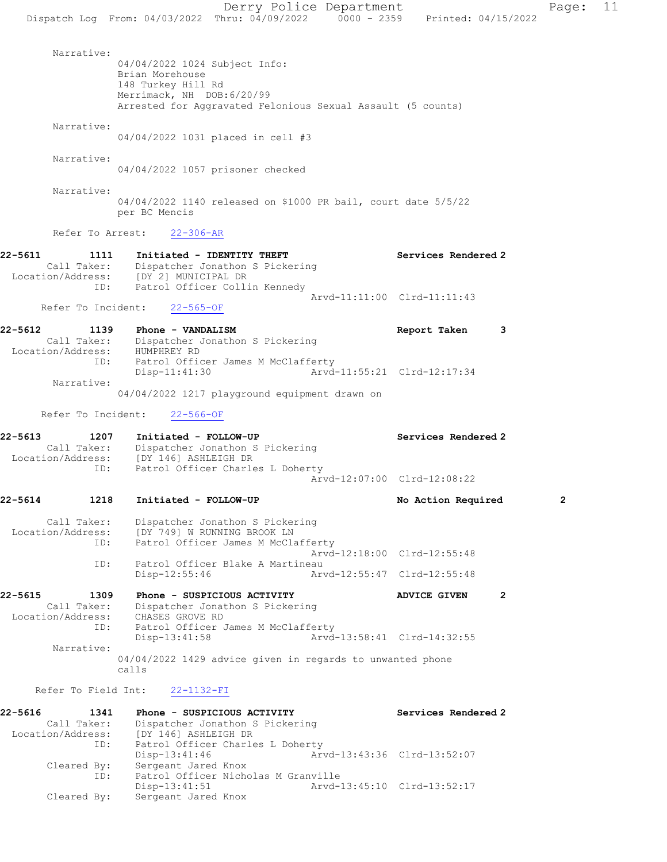Derry Police Department Page: 11 Dispatch Log From: 04/03/2022 Thru: 04/09/2022 0000 - 2359 Printed: 04/15/2022 Narrative: 04/04/2022 1024 Subject Info: Brian Morehouse 148 Turkey Hill Rd Merrimack, NH DOB:6/20/99 Arrested for Aggravated Felonious Sexual Assault (5 counts) Narrative: 04/04/2022 1031 placed in cell #3 Narrative: 04/04/2022 1057 prisoner checked Narrative:

04/04/2022 1140 released on \$1000 PR bail, court date 5/5/22 per BC Mencis

Refer To Arrest: 22-306-AR

- 22-5611 1111 Initiated IDENTITY THEFT Services Rendered 2 Call Taker: Dispatcher Jonathon S Pickering Location/Address: [DY 2] MUNICIPAL DR ID: Patrol Officer Collin Kennedy Arvd-11:11:00 Clrd-11:11:43 Refer To Incident: 22-565-OF
- 22-5612 1139 Phone VANDALISM **Report Taken** 3 Call Taker: Dispatcher Jonathon S Pickering Location/Address: HUMPHREY RD Patrol Officer James M McClafferty Disp-11:41:30 Arvd-11:55:21 Clrd-12:17:34 Narrative:

04/04/2022 1217 playground equipment drawn on

Refer To Incident: 22-566-OF

- 22-5613 1207 Initiated FOLLOW-UP Services Rendered 2 Call Taker: Dispatcher Jonathon S Pickering Location/Address: [DY 146] ASHLEIGH DR ID: Patrol Officer Charles L Doherty Arvd-12:07:00 Clrd-12:08:22
- 22-5614 1218 Initiated FOLLOW-UP No Action Required 2 Call Taker: Dispatcher Jonathon S Pickering Location/Address: [DY 749] W RUNNING BROOK LN ID: Patrol Officer James M McClafferty Arvd-12:18:00 Clrd-12:55:48<br>ID: Patrol Officer Blake A Martineau Patrol Officer Blake A Martineau<br>Disp-12:55:46 Arv Disp-12:55:46 Arvd-12:55:47 Clrd-12:55:48
- 22-5615 1309 Phone SUSPICIOUS ACTIVITY ADVICE GIVEN 2 Call Taker: Dispatcher Jonathon S Pickering Location/Address: CHASES GROVE RD ID: Patrol Officer James M McClafferty<br>Disp-13:41:58 Arvd-Arvd-13:58:41 Clrd-14:32:55 Narrative: 04/04/2022 1429 advice given in regards to unwanted phone calls

Refer To Field Int: 22-1132-FI

| 22-5616           | 1341        | Phone - SUSPICIOUS ACTIVITY |                                     |                             | Services Rendered 2 |
|-------------------|-------------|-----------------------------|-------------------------------------|-----------------------------|---------------------|
|                   | Call Taker: |                             | Dispatcher Jonathon S Pickering     |                             |                     |
| Location/Address: |             | [DY 146] ASHLEIGH DR        |                                     |                             |                     |
|                   | ID:         |                             | Patrol Officer Charles L Doherty    |                             |                     |
|                   |             | Disp-13:41:46               |                                     | Arvd-13:43:36 Clrd-13:52:07 |                     |
|                   | Cleared By: | Sergeant Jared Knox         |                                     |                             |                     |
|                   | ID:         |                             | Patrol Officer Nicholas M Granville |                             |                     |
|                   |             | $Disp-13:41:51$             |                                     | Arvd-13:45:10 Clrd-13:52:17 |                     |
|                   | Cleared By: | Sergeant Jared Knox         |                                     |                             |                     |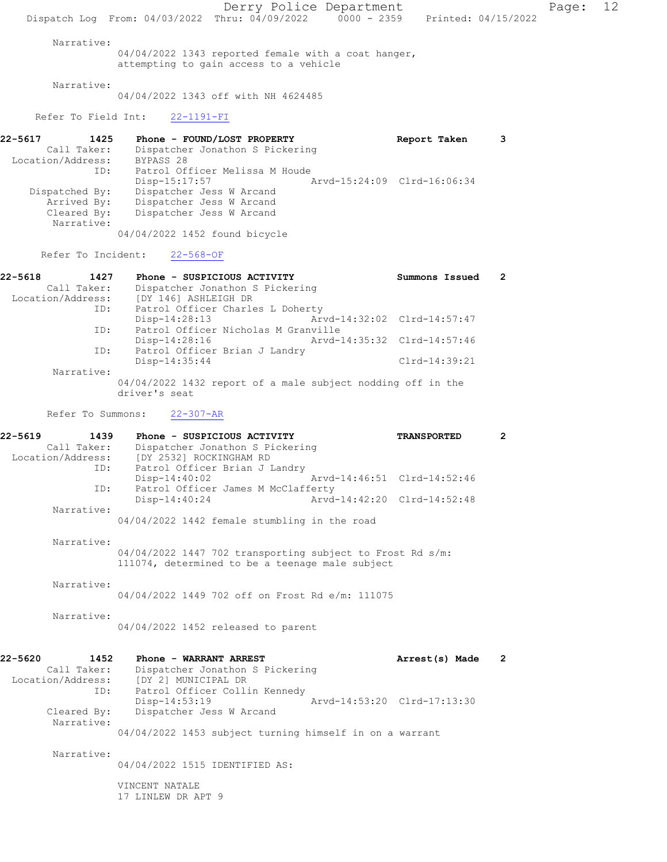Derry Police Department Page: 12 Dispatch Log From: 04/03/2022 Thru: 04/09/2022 0000 - 2359 Printed: 04/15/2022 Narrative: 04/04/2022 1343 reported female with a coat hanger, attempting to gain access to a vehicle Narrative: 04/04/2022 1343 off with NH 4624485 Refer To Field Int: 22-1191-FI 22-5617 1425 Phone - FOUND/LOST PROPERTY Report Taken 3 Call Taker: Dispatcher Jonathon S Pickering Location/Address: BYPASS 28 ID: Patrol Officer Melissa M Houde Disp-15:17:57 Arvd-15:24:09 Clrd-16:06:34 Dispatched By: Dispatcher Jess W Arcand Arrived By: Dispatcher Jess W Arcand Cleared By: Dispatcher Jess W Arcand Narrative: 04/04/2022 1452 found bicycle Refer To Incident: 22-568-OF 22-5618 1427 Phone - SUSPICIOUS ACTIVITY Summons Issued 2 Call Taker: Dispatcher Jonathon S Pickering Location/Address: [DY 146] ASHLEIGH DR ID: Patrol Officer Charles L Doherty Disp-14:28:13 Arvd-14:32:02 Clrd-14:57:47 ID: Patrol Officer Nicholas M Granville<br>Disp-14:28:16 Arvd-1 Disp-14:28:16 Arvd-14:35:32 Clrd-14:57:46 ID: Patrol Officer Brian J Landry Disp-14:35:44 Clrd-14:39:21 Narrative: 04/04/2022 1432 report of a male subject nodding off in the driver's seat Refer To Summons: 22-307-AR 22-5619 1439 Phone - SUSPICIOUS ACTIVITY TRANSPORTED 2 Call Taker: Dispatcher Jonathon S Pickering Location/Address: [DY 2532] ROCKINGHAM RD ID: Patrol Officer Brian J Landry Disp-14:40:02 Arvd-14:46:51 Clrd-14:52:46 ID: Patrol Officer James M McClafferty Disp-14:40:24 Arvd-14:42:20 Clrd-14:52:48 Narrative: 04/04/2022 1442 female stumbling in the road Narrative: 04/04/2022 1447 702 transporting subject to Frost Rd s/m: 111074, determined to be a teenage male subject Narrative: 04/04/2022 1449 702 off on Frost Rd e/m: 111075 Narrative: 04/04/2022 1452 released to parent 22-5620 1452 Phone - WARRANT ARREST **Arrest(s)** Made 2 Call Taker: Dispatcher Jonathon S Pickering Location/Address: [DY 2] MUNICIPAL DR ID: Patrol Officer Collin Kennedy<br>Disp-14:53:19 Disp-14:53:19 Disp-14:53:19 Dispatcher Jess W Arcand Cleared By: Dispatcher Jess W Arcand Dispatcher Jess W Arcand Narrative: 04/04/2022 1453 subject turning himself in on a warrant Narrative: 04/04/2022 1515 IDENTIFIED AS: VINCENT NATALE 17 LINLEW DR APT 9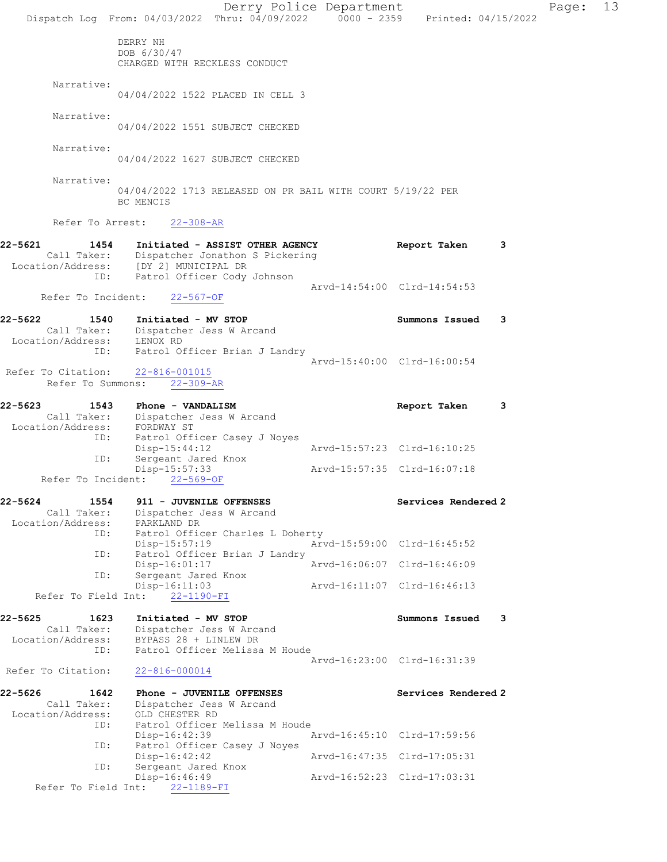Derry Police Department Page: 13 Dispatch Log From:  $04/03/2022$  Thru:  $04/09/2022$  0000 - 2359 Printed:  $04/15/2022$ DERRY NH DOB 6/30/47 CHARGED WITH RECKLESS CONDUCT Narrative: 04/04/2022 1522 PLACED IN CELL 3 Narrative: 04/04/2022 1551 SUBJECT CHECKED Narrative: 04/04/2022 1627 SUBJECT CHECKED Narrative: 04/04/2022 1713 RELEASED ON PR BAIL WITH COURT 5/19/22 PER BC MENCIS Refer To Arrest: 22-308-AR 22-5621 1454 Initiated - ASSIST OTHER AGENCY Report Taken 3 Call Taker: Dispatcher Jonathon S Pickering Location/Address: [DY 2] MUNICIPAL DR ID: Patrol Officer Cody Johnson Arvd-14:54:00 Clrd-14:54:53 Refer To Incident: 22-567-OF 22-5622 1540 Initiated - MV STOP<br>Call Taker: Dispatcher Jess W Arcand Call Taker: Dispatcher Jess W Arcand Location/Address: LENOX RD ID: Patrol Officer Brian J Landry Arvd-15:40:00 Clrd-16:00:54 Refer To Citation: 22-816-001015 Refer To Summons: 22-309-AR 22-5623 1543 Phone - VANDALISM Report Taken 3 Call Taker: Dispatcher Jess W Arcand Location/Address: FORDWAY ST ID: Patrol Officer Casey J Noyes Disp-15:44:12 Arvd-15:57:23 Clrd-16:10:25 ID: Sergeant Jared Knox Disp-15:57:33 Arvd-15:57:35 Clrd-16:07:18 Refer To Incident: 22-569-OF 22-5624 1554 911 - JUVENILE OFFENSES Services Rendered 2 Call Taker: Dispatcher Jess W Arcand Location/Address: PARKLAND DR ID: Patrol Officer Charles L Doherty Disp-15:57:19 Arvd-15:59:00 Clrd-16:45:52 ID: Patrol Officer Brian J Landry Disp-16:01:17 Arvd-16:06:07 Clrd-16:46:09 ID: Sergeant Jared Knox Disp-16:11:03 Arvd-16:11:07 Clrd-16:46:13 Refer To Field Int:  $22-1190-FI$ 22-5625 1623 Initiated - MV STOP Summons Issued 3 Call Taker: Dispatcher Jess W Arcand Location/Address: BYPASS 28 + LINLEW DR ID: Patrol Officer Melissa M Houde Arvd-16:23:00 Clrd-16:31:39 Refer To Citation: 22-816-000014 22-5626 1642 Phone - JUVENILE OFFENSES Services Rendered 2 Call Taker: Dispatcher Jess W Arcand Location/Address: OLD CHESTER RD<br>ID: Patrol Officer Patrol Officer Melissa M Houde<br>Disp-16:42:39 1 Arvd-16:45:10 Clrd-17:59:56 ID: Patrol Officer Casey J Noyes<br>Disp-16:42:42 Arvd-16:47:35 Clrd-17:05:31 ID: Sergeant Jared Knox<br>Disp-16:46:49 Arvd-16:52:23 Clrd-17:03:31 Refer To Field Int: 22-1189-FI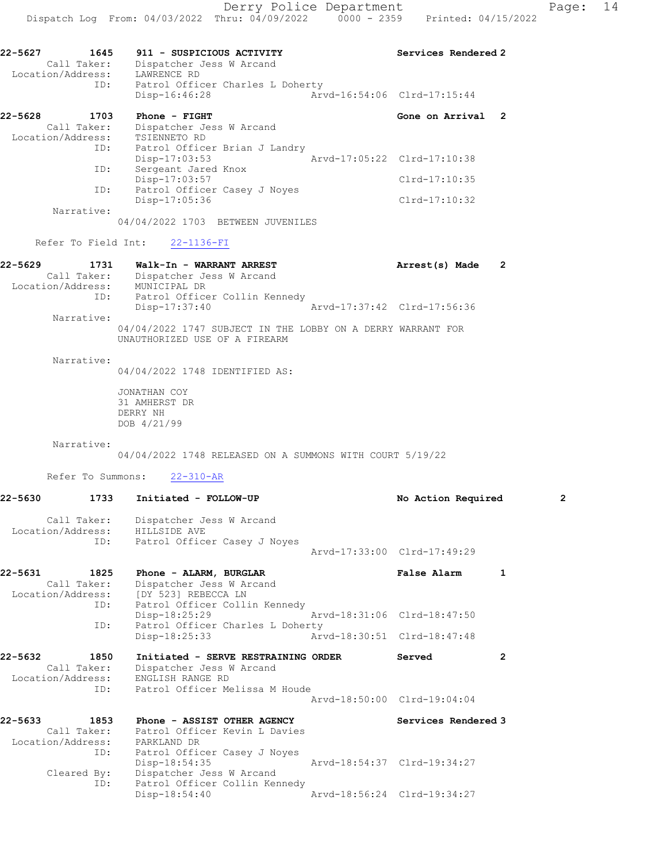| 22-5628           | 1703        | $Phone - FIGHT$               | Gone on Arrival 2           |  |
|-------------------|-------------|-------------------------------|-----------------------------|--|
|                   | Call Taker: | Dispatcher Jess W Arcand      |                             |  |
| Location/Address: |             | TSIENNETO RD                  |                             |  |
|                   | ID:         | Patrol Officer Brian J Landry |                             |  |
|                   |             | $Disp-17:03:53$               | Arvd-17:05:22 Clrd-17:10:38 |  |
|                   | ID:         | Sergeant Jared Knox           |                             |  |
|                   |             | Disp-17:03:57                 | Clrd-17:10:35               |  |
|                   | ID:         | Patrol Officer Casey J Noyes  |                             |  |
|                   |             | Disp-17:05:36                 | Clrd-17:10:32               |  |
|                   | Narrative:  |                               |                             |  |

04/04/2022 1703 BETWEEN JUVENILES

## Refer To Field Int: 22-1136-FI

| 22-5629<br>1731   | Walk-In - WARRANT ARREST                                    | Arrest(s) Made              |  |
|-------------------|-------------------------------------------------------------|-----------------------------|--|
| Call Taker:       | Dispatcher Jess W Arcand                                    |                             |  |
| Location/Address: | MUNICIPAL DR                                                |                             |  |
| ID:               | Patrol Officer Collin Kennedy                               |                             |  |
|                   | Disp-17:37:40                                               | Arvd-17:37:42 Clrd-17:56:36 |  |
| Narrative:        |                                                             |                             |  |
|                   | 04/04/2022 1747 SUBJECT IN THE LOBBY ON A DERRY WARRANT FOR |                             |  |

UNAUTHORIZED USE OF A FIREARM

Narrative:

04/04/2022 1748 IDENTIFIED AS:

JONATHAN COY 31 AMHERST DR DERRY NH DOB 4/21/99

Narrative:

04/04/2022 1748 RELEASED ON A SUMMONS WITH COURT 5/19/22

Refer To Summons: 22-310-AR

| 22-5630 | 1733                | Initiated - FOLLOW-UP                                                                                                                          | No Action Required          |                | $\overline{2}$ |
|---------|---------------------|------------------------------------------------------------------------------------------------------------------------------------------------|-----------------------------|----------------|----------------|
|         | Call Taker:         | Dispatcher Jess W Arcand<br>Location/Address: HILLSIDE AVE                                                                                     |                             |                |                |
|         |                     | ID: Patrol Officer Casey J Noyes                                                                                                               | Arvd-17:33:00 Clrd-17:49:29 |                |                |
| 22-5631 | 1825<br>Call Taker: | Phone - ALARM, BURGLAR<br>Dispatcher Jess W Arcand<br>Location/Address: [DY 523] REBECCA LN<br>ID: Patrol Officer Collin Kennedy               | <b>False Alarm</b>          | 1              |                |
|         | ID:                 | Disp-18:25:29<br>Patrol Officer Charles L Doherty                                                                                              | Arvd-18:31:06 Clrd-18:47:50 |                |                |
|         |                     | Disp-18:25:33                                                                                                                                  | Arvd-18:30:51 Clrd-18:47:48 |                |                |
| 22-5632 | 1850<br>Call Taker: | Initiated - SERVE RESTRAINING ORDER<br>Dispatcher Jess W Arcand<br>Location/Address: ENGLISH RANGE RD<br>ID: Patrol Officer Melissa M Houde    | Served                      | $\overline{2}$ |                |
|         |                     |                                                                                                                                                | Aryd-18:50:00 Clrd-19:04:04 |                |                |
| 22-5633 | ID:                 | 1853 Phone - ASSIST OTHER AGENCY<br>Call Taker: Patrol Officer Kevin L Davies<br>Location/Address: PARKLAND DR<br>Patrol Officer Casey J Noyes | Services Rendered 3         |                |                |
|         | Cleared By:<br>ID:  | Disp-18:54:35<br>Dispatcher Jess W Arcand<br>Patrol Officer Collin Kennedy                                                                     | Arvd-18:54:37 Clrd-19:34:27 |                |                |
|         |                     | $Disp-18:54:40$                                                                                                                                | Arvd-18:56:24 Clrd-19:34:27 |                |                |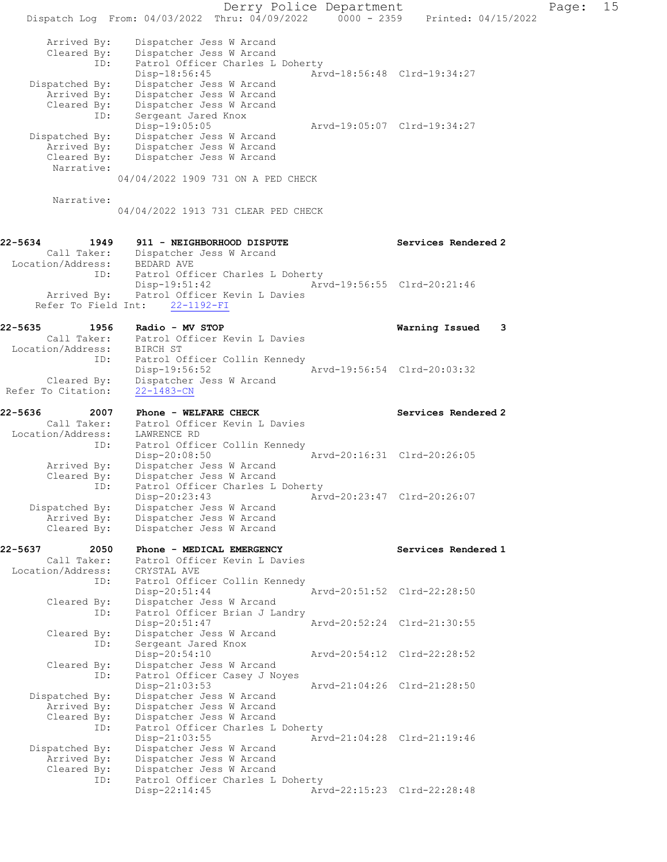|                                | Dispatch Log From: 04/03/2022 Thru: 04/09/2022 0000 - 2359 Printed: 04/15/2022 | Derry Police Department |                             | Page: | 15 |
|--------------------------------|--------------------------------------------------------------------------------|-------------------------|-----------------------------|-------|----|
| Arrived By:<br>Cleared By:     | Dispatcher Jess W Arcand<br>Dispatcher Jess W Arcand                           |                         |                             |       |    |
| ID:                            | Patrol Officer Charles L Doherty<br>$Disp-18:56:45$                            |                         | Arvd-18:56:48 Clrd-19:34:27 |       |    |
| Dispatched By:                 | Dispatcher Jess W Arcand                                                       |                         |                             |       |    |
| Arrived By:<br>Cleared By:     | Dispatcher Jess W Arcand<br>Dispatcher Jess W Arcand                           |                         |                             |       |    |
| ID:                            | Sergeant Jared Knox                                                            |                         |                             |       |    |
|                                | Disp-19:05:05                                                                  |                         | Arvd-19:05:07 Clrd-19:34:27 |       |    |
| Dispatched By:                 | Dispatcher Jess W Arcand                                                       |                         |                             |       |    |
| Arrived By:<br>Cleared By:     | Dispatcher Jess W Arcand<br>Dispatcher Jess W Arcand                           |                         |                             |       |    |
| Narrative:                     |                                                                                |                         |                             |       |    |
|                                | 04/04/2022 1909 731 ON A PED CHECK                                             |                         |                             |       |    |
| Narrative:                     |                                                                                |                         |                             |       |    |
|                                | 04/04/2022 1913 731 CLEAR PED CHECK                                            |                         |                             |       |    |
| 22-5634<br>1949<br>Call Taker: | 911 - NEIGHBORHOOD DISPUTE<br>Dispatcher Jess W Arcand                         |                         | Services Rendered 2         |       |    |
| Location/Address: BEDARD AVE   |                                                                                |                         |                             |       |    |
| ID:                            | Patrol Officer Charles L Doherty                                               |                         |                             |       |    |
| Arrived By:                    | $Disp-19:51:42$<br>Patrol Officer Kevin L Davies                               |                         | Arvd-19:56:55 Clrd-20:21:46 |       |    |
| Refer To Field Int:            | $22 - 1192 - FI$                                                               |                         |                             |       |    |
| 22-5635<br>1956                | Radio - MV STOP                                                                |                         | Warning Issued<br>3         |       |    |
| Call Taker:                    | Patrol Officer Kevin L Davies                                                  |                         |                             |       |    |
| Location/Address:              | BIRCH ST                                                                       |                         |                             |       |    |
| ID:                            | Patrol Officer Collin Kennedy<br>Disp-19:56:52                                 |                         | Arvd-19:56:54 Clrd-20:03:32 |       |    |
| Cleared By:                    | Dispatcher Jess W Arcand                                                       |                         |                             |       |    |
| Refer To Citation:             | $22 - 1483 - CN$                                                               |                         |                             |       |    |
|                                |                                                                                |                         |                             |       |    |
| 22-5636<br>2007                | Phone - WELFARE CHECK                                                          |                         | Services Rendered 2         |       |    |
| Call Taker:                    | Patrol Officer Kevin L Davies                                                  |                         |                             |       |    |
| Location/Address:<br>ID:       | LAWRENCE RD<br>Patrol Officer Collin Kennedy                                   |                         |                             |       |    |
|                                | Disp-20:08:50                                                                  |                         | Arvd-20:16:31 Clrd-20:26:05 |       |    |
| Arrived By:<br>Cleared By:     | Dispatcher Jess W Arcand<br>Dispatcher Jess W Arcand                           |                         |                             |       |    |
| ID:                            | Patrol Officer Charles L Doherty                                               |                         |                             |       |    |
|                                | Disp-20:23:43                                                                  |                         | Arvd-20:23:47 Clrd-20:26:07 |       |    |
| Dispatched By:<br>Arrived By:  | Dispatcher Jess W Arcand<br>Dispatcher Jess W Arcand                           |                         |                             |       |    |
| Cleared By:                    | Dispatcher Jess W Arcand                                                       |                         |                             |       |    |
| 22-5637<br>2050                | Phone - MEDICAL EMERGENCY                                                      |                         | Services Rendered 1         |       |    |
| Call Taker:                    | Patrol Officer Kevin L Davies                                                  |                         |                             |       |    |
| Location/Address:<br>ID:       | CRYSTAL AVE                                                                    |                         |                             |       |    |
|                                | Patrol Officer Collin Kennedy<br>Disp-20:51:44                                 |                         | Arvd-20:51:52 Clrd-22:28:50 |       |    |
| Cleared By:                    | Dispatcher Jess W Arcand                                                       |                         |                             |       |    |
| ID:                            | Patrol Officer Brian J Landry<br>Disp-20:51:47                                 |                         | Arvd-20:52:24 Clrd-21:30:55 |       |    |
| Cleared By:                    | Dispatcher Jess W Arcand                                                       |                         |                             |       |    |
| ID:                            | Sergeant Jared Knox                                                            |                         |                             |       |    |
| Cleared By:                    | Disp-20:54:10<br>Dispatcher Jess W Arcand                                      |                         | Arvd-20:54:12 Clrd-22:28:52 |       |    |
| ID:                            | Patrol Officer Casey J Noyes                                                   |                         |                             |       |    |
|                                | $Disp-21:03:53$                                                                |                         | Arvd-21:04:26 Clrd-21:28:50 |       |    |
| Dispatched By:<br>Arrived By:  | Dispatcher Jess W Arcand<br>Dispatcher Jess W Arcand                           |                         |                             |       |    |
| Cleared By:                    | Dispatcher Jess W Arcand                                                       |                         |                             |       |    |
| ID:                            | Patrol Officer Charles L Doherty<br>$Disp-21:03:55$                            |                         | Arvd-21:04:28 Clrd-21:19:46 |       |    |
| Dispatched By:                 | Dispatcher Jess W Arcand                                                       |                         |                             |       |    |
| Arrived By:                    | Dispatcher Jess W Arcand                                                       |                         |                             |       |    |
| Cleared By:<br>ID:             | Dispatcher Jess W Arcand<br>Patrol Officer Charles L Doherty<br>Disp-22:14:45  |                         | Arvd-22:15:23 Clrd-22:28:48 |       |    |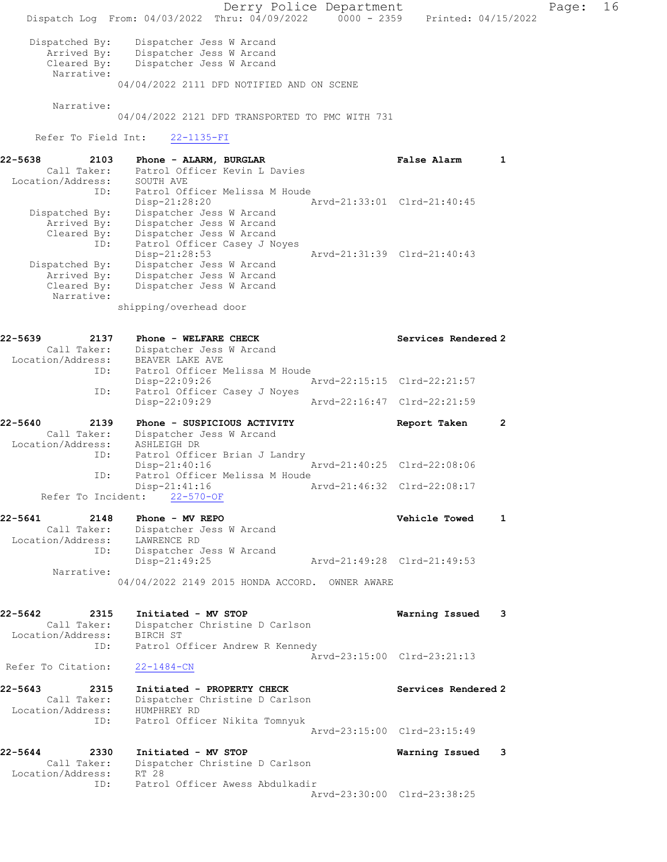Derry Police Department Page: 16 Dispatch Log From: 04/03/2022 Thru: 04/09/2022 0000 - 2359 Printed: 04/15/2022 Dispatched By: Dispatcher Jess W Arcand Arrived By: Dispatcher Jess W Arcand Cleared By: Dispatcher Jess W Arcand Narrative: 04/04/2022 2111 DFD NOTIFIED AND ON SCENE Narrative: 04/04/2022 2121 DFD TRANSPORTED TO PMC WITH 731 Refer To Field Int: 22-1135-FI 22-5638 2103 Phone - ALARM, BURGLAR False Alarm 1 Call Taker: Patrol Officer Kevin L Davies Location/Address: SOUTH AVE ID: Patrol Officer Melissa M Houde<br>Disp-21:28:20 Arvd-21:33:01 Clrd-21:40:45 Disp-21:28:20 Arvd-21:33:01 Clrd-21:40:45 Dispatched By: Dispatcher Jess W Arcand Arrived By: Dispatcher Jess W Arcand Cleared By: Dispatcher Jess W Arcand ID: Patrol Officer Casey J Noyes Disp-21:28:53 Arvd-21:31:39 Clrd-21:40:43 Dispatched By: Dispatcher Jess W Arcand Arrived By: Dispatcher Jess W Arcand Cleared By: Dispatcher Jess W Arcand Narrative: shipping/overhead door 22-5639 2137 Phone - WELFARE CHECK Services Rendered 2 Call Taker: Dispatcher Jess W Arcand Location/Address: BEAVER LAKE AVE ID: Patrol Officer Melissa M Houde Disp-22:09:26 Arvd-22:15:15 Clrd-22:21:57<br>ID: Patrol Officer Casey J Noyes Patrol Officer Casey J Noyes<br>Disp-22:09:29 Arvd-22:16:47 Clrd-22:21:59 22-5640 2139 Phone - SUSPICIOUS ACTIVITY TREPORT Taken 2 Call Taker: Dispatcher Jess W Arcand Location/Address: ASHLEIGH DR ID: Patrol Officer Brian J Landry<br>Disp-21:40:16 Disp-21:40:16 Arvd-21:40:25 Clrd-22:08:06 ID: Patrol Officer Melissa M Houde<br>Disp-21:41:16 A Arvd-21:46:32 Clrd-22:08:17 Refer To Incident: 22-570-OF 22-5641 2148 Phone - MV REPO<br>Call Taker: Dispatcher Jess W Arcand<br>All Call Taker: Dispatcher Jess W Arcand Call Taker: Dispatcher Jess W Arcand Location/Address: LAWRENCE RD ID: Dispatcher Jess W Arcand Disp-21:49:25 Arvd-21:49:28 Clrd-21:49:53 Narrative: 04/04/2022 2149 2015 HONDA ACCORD. OWNER AWARE 22-5642 2315 Initiated - MV STOP Warning Issued 3 Call Taker: Dispatcher Christine D Carlson Location/Address: BIRCH ST ID: Patrol Officer Andrew R Kennedy Arvd-23:15:00 Clrd-23:21:13<br>22-1484-CN Refer To Citation: 22-5643 2315 Initiated - PROPERTY CHECK Services Rendered 2 Call Taker: Dispatcher Christine D Carlson Location/Address: HUMPHREY RD ID: Patrol Officer Nikita Tomnyuk Arvd-23:15:00 Clrd-23:15:49 22-5644 2330 Initiated - MV STOP Warning Issued 3 Call Taker: Dispatcher Christine D Carlson Location/Address: RT 28 ID: Patrol Officer Awess Abdulkadir Arvd-23:30:00 Clrd-23:38:25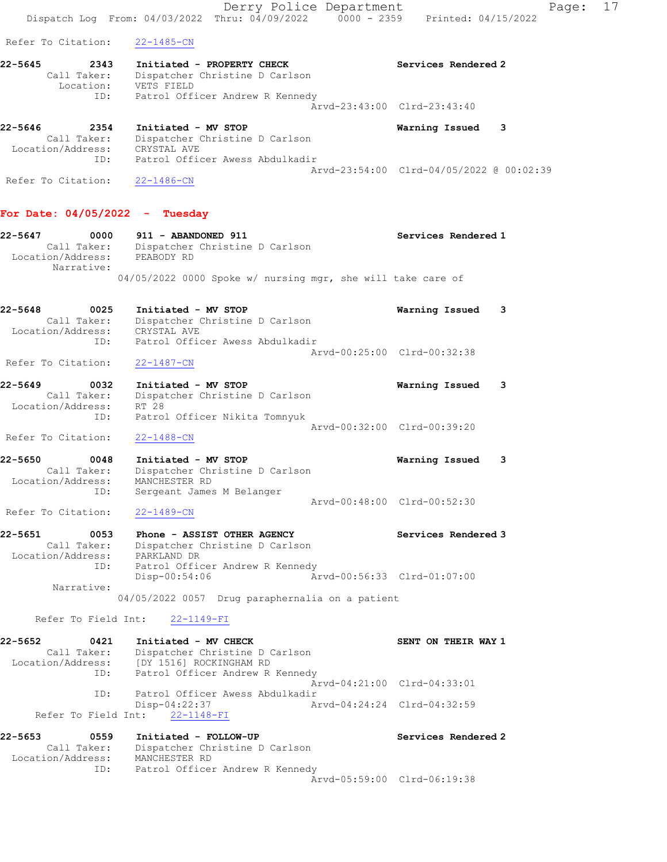Derry Police Department Fage: 17 Dispatch Log From: 04/03/2022 Thru: 04/09/2022 0000 - 2359 Printed: 04/15/2022 Refer To Citation: 22-1485-CN 22-5645 2343 Initiated - PROPERTY CHECK Services Rendered 2 Call Taker: Dispatcher Christine D Carlson Location: VETS FIELD ID: Patrol Officer Andrew R Kennedy Arvd-23:43:00 Clrd-23:43:40 22-5646 2354 Initiated - MV STOP Warning Issued 3 Call Taker: Dispatcher Christine D Carlson Location/Address: CRYSTAL AVE ID: Patrol Officer Awess Abdulkadir Arvd-23:54:00 Clrd-04/05/2022 @ 00:02:39 Refer To Citation: 22-1486-CN For Date: 04/05/2022 - Tuesday 22-5647 0000 911 - ABANDONED 911 Services Rendered 1 Call Taker: Dispatcher Christine D Carlson Location/Address: PEABODY RD Narrative: 04/05/2022 0000 Spoke w/ nursing mgr, she will take care of 22-5648 0025 Initiated - MV STOP Warning Issued 3 Call Taker: Dispatcher Christine D Carlson Location/Address: CRYSTAL AVE ID: Patrol Officer Awess Abdulkadir Arvd-00:25:00 Clrd-00:32:38 Refer To Citation: 22-1487-CN 22-5649 0032 Initiated - MV STOP Warning Issued 3 Call Taker: Dispatcher Christine D Carlson Location/Address: RT 28 ID: Patrol Officer Nikita Tomnyuk Arvd-00:32:00 Clrd-00:39:20 Refer To Citation: 22-1488-CN 22-5650 0048 Initiated - MV STOP Warning Issued 3 Call Taker: Dispatcher Christine D Carlson Location/Address: MANCHESTER RD ID: Sergeant James M Belanger Arvd-00:48:00 Clrd-00:52:30 Refer To Citation: 22-1489-CN 22-5651 0053 Phone - ASSIST OTHER AGENCY Services Rendered 3 Call Taker: Dispatcher Christine D Carlson Location/Address: PARKLAND DR ID: Patrol Officer Andrew R Kennedy Disp-00:54:06 Arvd-00:56:33 Clrd-01:07:00 Narrative: 04/05/2022 0057 Drug paraphernalia on a patient Refer To Field Int: 22-1149-FI 22-5652 0421 Initiated - MV CHECK SENT ON THEIR WAY 1 Call Taker: Dispatcher Christine D Carlson Location/Address: [DY 1516] ROCKINGHAM RD ID: Patrol Officer Andrew R Kennedy Arvd-04:21:00 Clrd-04:33:01 ID: Patrol Officer Awess Abdulkadir<br>Disp-04:22:37 Ar Disp-04:22:37 Arvd-04:24:24 Clrd-04:32:59 Refer To Field Int: 22-1148-FI 22-5653 0559 Initiated - FOLLOW-UP Services Rendered 2 Call Taker: Dispatcher Christine D Carlson Location/Address: MANCHESTER RD ID: Patrol Officer Andrew R Kennedy Arvd-05:59:00 Clrd-06:19:38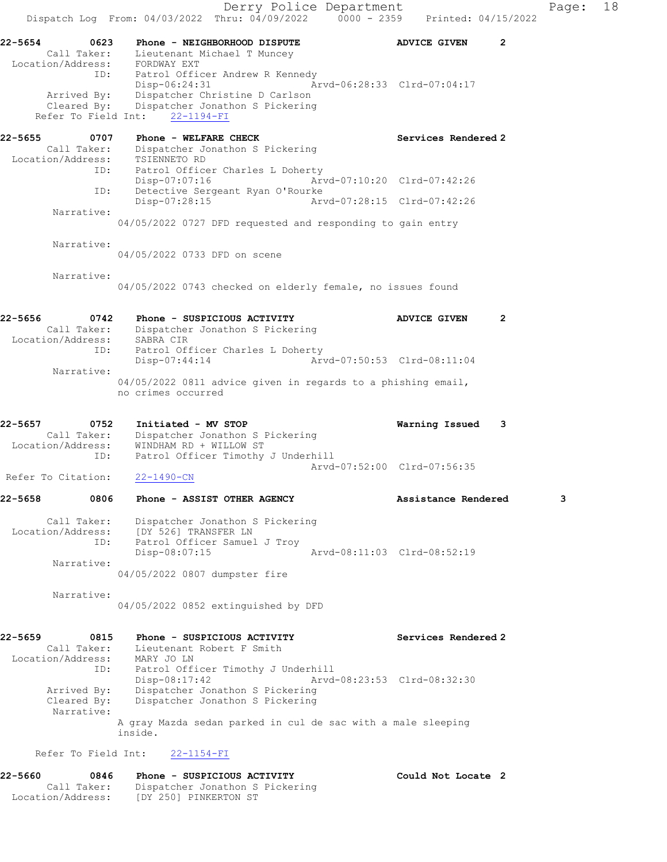Derry Police Department Fage: 18 Dispatch Log From:  $04/03/2022$  Thru:  $04/09/2022$  0000 - 2359 Printed: 04/15/2022 22-5654 0623 Phone - NEIGHBORHOOD DISPUTE ADVICE GIVEN 2 Call Taker: Lieutenant Michael T Muncey Location/Address: FORDWAY EXT ID: Patrol Officer Andrew R Kennedy Disp-06:24:31 Arvd-06:28:33 Clrd-07:04:17 Arrived By: Dispatcher Christine D Carlson Cleared By: Dispatcher Jonathon S Pickering Refer To Field Int: 22-1194-FI 22-5655 0707 Phone - WELFARE CHECK Services Rendered 2 Call Taker: Dispatcher Jonathon S Pickering Location/Address: TSIENNETO RD ID: Patrol Officer Charles L Doherty<br>Disp-07:07:16 Art Disp-07:07:16 Arvd-07:10:20 Clrd-07:42:26 ID: Detective Sergeant Ryan O'Rourke Disp-07:28:15 Arvd-07:28:15 Clrd-07:42:26 Narrative: 04/05/2022 0727 DFD requested and responding to gain entry Narrative: 04/05/2022 0733 DFD on scene Narrative: 04/05/2022 0743 checked on elderly female, no issues found 22-5656 0742 Phone - SUSPICIOUS ACTIVITY ADVICE GIVEN 2 Call Taker: Dispatcher Jonathon S Pickering Location/Address: SABRA CIR ID: Patrol Officer Charles L Doherty Disp-07:44:14 Arvd-07:50:53 Clrd-08:11:04 Narrative: 04/05/2022 0811 advice given in regards to a phishing email, no crimes occurred 22-5657 0752 Initiated - MV STOP Warning Issued 3 Call Taker: Dispatcher Jonathon S Pickering Location/Address: WINDHAM RD + WILLOW ST ID: Patrol Officer Timothy J Underhill Arvd-07:52:00 Clrd-07:56:35 Refer To Citation: 22-1490-CN 22-5658 0806 Phone - ASSIST OTHER AGENCY Assistance Rendered 3 Call Taker: Dispatcher Jonathon S Pickering Location/Address: [DY 526] TRANSFER LN ID: Patrol Officer Samuel J Troy Disp-08:07:15 Arvd-08:11:03 Clrd-08:52:19 Narrative: 04/05/2022 0807 dumpster fire Narrative: 04/05/2022 0852 extinguished by DFD 22-5659 0815 Phone - SUSPICIOUS ACTIVITY Services Rendered 2 Call Taker: Lieutenant Robert F Smith Location/Address: MARY JO LN ID: Patrol Officer Timothy J Underhill<br>Disp-08:17:42 Arvd-08:23:53 Clrd-08:32:30 Disp-08:17:42 Arvd-08:23:53 Clrd-08:32:30 Arrived By: Dispatcher Jonathon S Pickering Cleared By: Dispatcher Jonathon S Pickering Narrative: A gray Mazda sedan parked in cul de sac with a male sleeping inside. Refer To Field Int: 22-1154-FI 22-5660 0846 Phone - SUSPICIOUS ACTIVITY Could Not Locate 2 Call Taker: Dispatcher Jonathon S Pickering

Location/Address: [DY 250] PINKERTON ST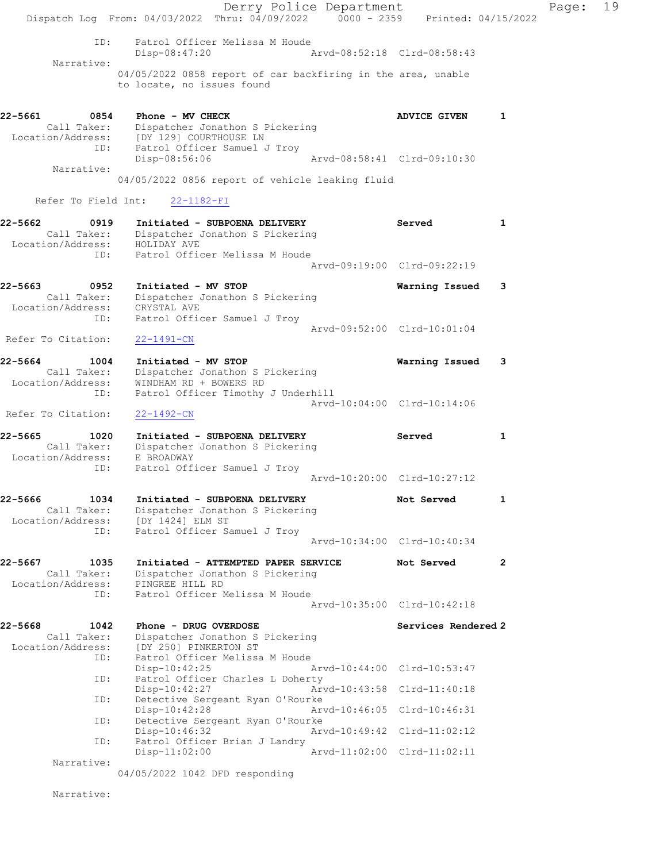Derry Police Department Fage: 19 Dispatch Log From:  $04/03/2022$  Thru:  $04/09/2022$  0000 - 2359 Printed: 04/15/2022 ID: Patrol Officer Melissa M Houde Disp-08:47:20 Arvd-08:52:18 Clrd-08:58:43 Narrative: 04/05/2022 0858 report of car backfiring in the area, unable to locate, no issues found 22-5661 0854 Phone - MV CHECK ADVICE GIVEN 1 Call Taker: Dispatcher Jonathon S Pickering Location/Address: [DY 129] COURTHOUSE LN ID: Patrol Officer Samuel J Troy Disp-08:56:06 Arvd-08:58:41 Clrd-09:10:30 Narrative: 04/05/2022 0856 report of vehicle leaking fluid Refer To Field Int: 22-1182-FI 22-5662 0919 Initiated - SUBPOENA DELIVERY Served 1 Call Taker: Dispatcher Jonathon S Pickering Location/Address: HOLIDAY AVE ID: Patrol Officer Melissa M Houde Arvd-09:19:00 Clrd-09:22:19 22-5663 0952 Initiated - MV STOP Warning Issued 3 Call Taker: Dispatcher Jonathon S Pickering Location/Address: CRYSTAL AVE ID: Patrol Officer Samuel J Troy Arvd-09:52:00 Clrd-10:01:04 Refer To Citation: 22-1491-CN 22-5664 1004 Initiated - MV STOP Warning Issued 3 Call Taker: Dispatcher Jonathon S Pickering Location/Address: WINDHAM RD + BOWERS RD ID: Patrol Officer Timothy J Underhill Arvd-10:04:00 Clrd-10:14:06 Refer To Citation: 22-1492-CN 22-5665 1020 Initiated - SUBPOENA DELIVERY Served 51 Call Taker: Dispatcher Jonathon S Pickering Location/Address: E BROADWAY ID: Patrol Officer Samuel J Troy Arvd-10:20:00 Clrd-10:27:12 22-5666 1034 Initiated - SUBPOENA DELIVERY Not Served 1 Call Taker: Dispatcher Jonathon S Pickering Location/Address: [DY 1424] ELM ST ID: Patrol Officer Samuel J Troy Arvd-10:34:00 Clrd-10:40:34 22-5667 1035 Initiated - ATTEMPTED PAPER SERVICE Not Served 2 Call Taker: Dispatcher Jonathon S Pickering Location/Address: PINGREE HILL RD ID: Patrol Officer Melissa M Houde Arvd-10:35:00 Clrd-10:42:18 22-5668 1042 Phone - DRUG OVERDOSE National Services Rendered 2 Call Taker: Dispatcher Jonathon S Pickering Location/Address: [DY 250] PINKERTON ST ID: Patrol Officer Melissa M Houde Disp-10:42:25 Arvd-10:44:00 Clrd-10:53:47<br>ID: Patrol Officer Charles L Doherty Patrol Officer Charles L Doherty<br>Disp-10:42:27 Art Disp-10:42:27 Arvd-10:43:58 Clrd-11:40:18<br>ID: Detective Sergeant Ryan O'Rourke Detective Sergeant Ryan O'Rourke Disp-10:42:28 Arvd-10:46:05 Clrd-10:46:31 ID: Detective Sergeant Ryan O'Rourke<br>Disp-10:46:32 Arvd-10:49:42 Clrd-11:02:12 Disp-10:46:32 Arvd-10:49:42 Clrd-11:02:12 ID: Patrol Officer Brian J Landry Disp-11:02:00 Arvd-11:02:00 Clrd-11:02:11 Narrative: 04/05/2022 1042 DFD responding

Narrative: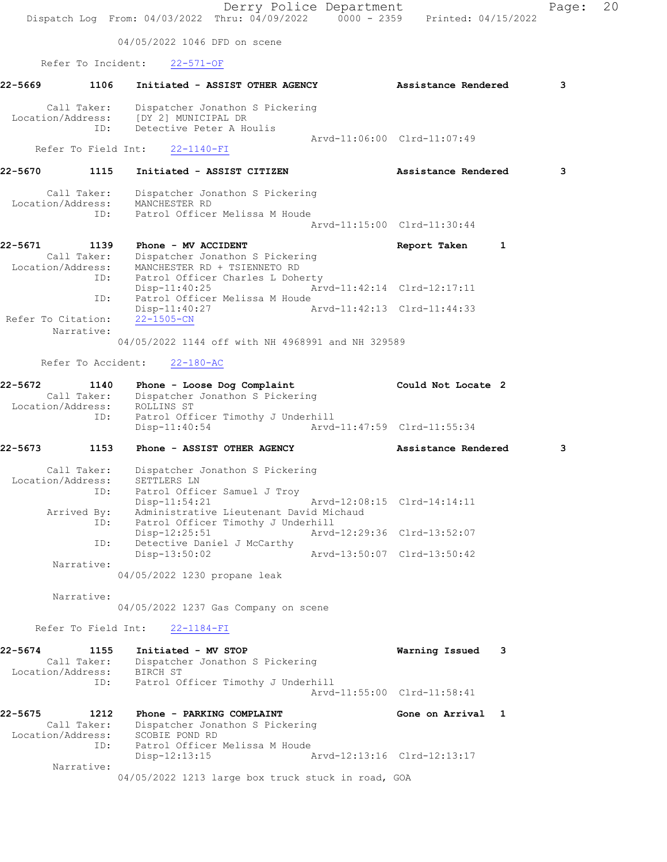Derry Police Department Fage: 20 Dispatch Log From: 04/03/2022 Thru: 04/09/2022 0000 - 2359 Printed: 04/15/2022 04/05/2022 1046 DFD on scene Refer To Incident: 22-571-OF 22-5669 1106 Initiated - ASSIST OTHER AGENCY Assistance Rendered 3 Call Taker: Dispatcher Jonathon S Pickering Location/Address: [DY 2] MUNICIPAL DR ID: Detective Peter A Houlis Arvd-11:06:00 Clrd-11:07:49 Refer To Field Int: 22-1140-FI 22-5670 1115 Initiated - ASSIST CITIZEN Assistance Rendered 3 Call Taker: Dispatcher Jonathon S Pickering Location/Address: MANCHESTER RD ID: Patrol Officer Melissa M Houde Arvd-11:15:00 Clrd-11:30:44 22-5671 1139 Phone - MV ACCIDENT Report Taken 1 Call Taker: Dispatcher Jonathon S Pickering Location/Address: MANCHESTER RD + TSIENNETO RD ID: Patrol Officer Charles L Doherty Disp-11:40:25 Arvd-11:42:14 Clrd-12:17:11 ID: Patrol Officer Melissa M Houde Disp-11:40:27 Arvd-11:42:13 Clrd-11:44:33 Refer To Citation: 22-1505-CN Narrative: 04/05/2022 1144 off with NH 4968991 and NH 329589 Refer To Accident: 22-180-AC 22-5672 1140 Phone - Loose Dog Complaint Could Not Locate 2 Call Taker: Dispatcher Jonathon S Pickering Location/Address: ROLLINS ST ID: Patrol Officer Timothy J Underhill<br>Disp-11:40:54 Arvd-Arvd-11:47:59 Clrd-11:55:34 22-5673 1153 Phone - ASSIST OTHER AGENCY Assistance Rendered 3 Call Taker: Dispatcher Jonathon S Pickering Location/Address: SETTLERS LN ID: Patrol Officer Samuel J Troy Disp-11:54:21 Arvd-12:08:15 Clrd-14:14:11 Arrived By: Administrative Lieutenant David Michaud ID: Patrol Officer Timothy J Underhill Disp-12:25:51 Arvd-12:29:36 Clrd-13:52:07 ID: Detective Daniel J McCarthy Disp-13:50:02 Arvd-13:50:07 Clrd-13:50:42 Narrative: 04/05/2022 1230 propane leak Narrative: 04/05/2022 1237 Gas Company on scene Refer To Field Int: 22-1184-FI 22-5674 1155 Initiated - MV STOP Warning Issued 3 Call Taker: Dispatcher Jonathon S Pickering Location/Address: BIRCH ST ID: Patrol Officer Timothy J Underhill Arvd-11:55:00 Clrd-11:58:41 22-5675 1212 Phone - PARKING COMPLAINT Gone on Arrival 1 Call Taker: Dispatcher Jonathon S Pickering Location/Address: SCOBIE POND RD ID: Patrol Officer Melissa M Houde Disp-12:13:15 Arvd-12:13:16 Clrd-12:13:17 Narrative: 04/05/2022 1213 large box truck stuck in road, GOA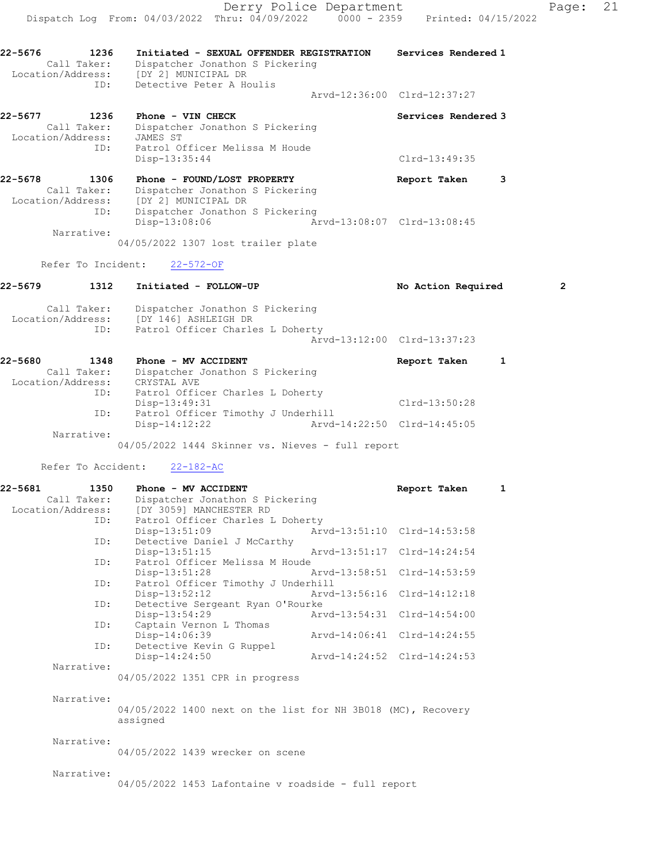Derry Police Department Fage: 21 Dispatch Log From: 04/03/2022 Thru: 04/09/2022 0000 - 2359 Printed: 04/15/2022 22-5676 1236 Initiated - SEXUAL OFFENDER REGISTRATION Services Rendered 1 Call Taker: Dispatcher Jonathon S Pickering Location/Address: [DY 2] MUNICIPAL DR ID: Detective Peter A Houlis Arvd-12:36:00 Clrd-12:37:27 22-5677 1236 Phone - VIN CHECK Services Rendered 3 Call Taker: Dispatcher Jonathon S Pickering Location/Address: JAMES ST ID: Patrol Officer Melissa M Houde Disp-13:35:44 Clrd-13:49:35 22-5678 1306 Phone - FOUND/LOST PROPERTY The Report Taken 3 Call Taker: Dispatcher Jonathon S Pickering Location/Address: [DY 2] MUNICIPAL DR

Disp-13:08:06 Arvd-13:08:07 Clrd-13:08:45

04/05/2022 1307 lost trailer plate

Refer To Incident: 22-572-OF

Narrative:

ID: Dispatcher Jonathon S Pickering

| 22-5679 | 1312                                    | Initiated - FOLLOW-UP                                                                       | No Action Required          | $\overline{2}$ |
|---------|-----------------------------------------|---------------------------------------------------------------------------------------------|-----------------------------|----------------|
|         | Call Taker:<br>Location/Address:<br>ID: | Dispatcher Jonathon S Pickering<br>[DY 146] ASHLEIGH DR<br>Patrol Officer Charles L Doherty | Arvd-13:12:00 Clrd-13:37:23 |                |
| 22-5680 | 1348<br>Call Taker:                     | Phone - MV ACCIDENT<br>Dispatcher Jonathon S Pickering                                      | Report Taken<br>1           |                |

| CATT TARET.       | preparenter condenon a rickering             |               |
|-------------------|----------------------------------------------|---------------|
| Location/Address: | CRYSTAL AVE                                  |               |
| ID:               | Patrol Officer Charles L Doherty             |               |
|                   | Disp-13:49:31                                | Clrd-13:50:28 |
| ID:               | Patrol Officer Timothy J Underhill           |               |
|                   | Disp-14:12:22<br>Arvd-14:22:50 Clrd-14:45:05 |               |
| Narrative:        |                                              |               |
|                   |                                              |               |

04/05/2022 1444 Skinner vs. Nieves - full report

Refer To Accident: 22-182-AC

| $22 - 5681$<br>1350 | Phone - MV ACCIDENT                                          |                             | Report Taken                | $\mathbf{1}$ |
|---------------------|--------------------------------------------------------------|-----------------------------|-----------------------------|--------------|
| Call Taker:         | Dispatcher Jonathon S Pickering                              |                             |                             |              |
|                     | Location/Address: [DY 3059] MANCHESTER RD                    |                             |                             |              |
| ID:                 | Patrol Officer Charles L Doherty                             |                             |                             |              |
|                     | $Disp-13:51:09$                                              |                             | Arvd-13:51:10 Clrd-14:53:58 |              |
| ID:                 | Detective Daniel J McCarthy                                  |                             |                             |              |
|                     | Disp-13:51:15                                                | Arvd-13:51:17 Clrd-14:24:54 |                             |              |
| ID:                 | Patrol Officer Melissa M Houde                               |                             |                             |              |
|                     | $Disp-13:51:28$                                              | Arvd-13:58:51 Clrd-14:53:59 |                             |              |
| ID:                 | Patrol Officer Timothy J Underhill                           |                             |                             |              |
|                     | Disp-13:52:12                                                | Arvd-13:56:16 Clrd-14:12:18 |                             |              |
| ID:                 | Detective Sergeant Ryan O'Rourke                             |                             |                             |              |
|                     | Disp-13:54:29                                                |                             | Arvd-13:54:31 Clrd-14:54:00 |              |
| ID:                 | Captain Vernon L Thomas                                      |                             |                             |              |
|                     | Disp-14:06:39                                                |                             | Arvd-14:06:41 Clrd-14:24:55 |              |
| ID:                 | Detective Kevin G Ruppel                                     |                             |                             |              |
|                     | $Disp-14:24:50$                                              |                             | Arvd-14:24:52 Clrd-14:24:53 |              |
| Narrative:          |                                                              |                             |                             |              |
|                     | 04/05/2022 1351 CPR in progress                              |                             |                             |              |
|                     |                                                              |                             |                             |              |
| Narrative:          |                                                              |                             |                             |              |
|                     | 04/05/2022 1400 next on the list for NH 3B018 (MC), Recovery |                             |                             |              |
|                     | assigned                                                     |                             |                             |              |
|                     |                                                              |                             |                             |              |
| Narrative:          |                                                              |                             |                             |              |
|                     | 04/05/2022 1439 wrecker on scene                             |                             |                             |              |
|                     |                                                              |                             |                             |              |
| Narrative:          |                                                              |                             |                             |              |
|                     | $04/05/2022$ 1453 Lafontaine v roadside - full report        |                             |                             |              |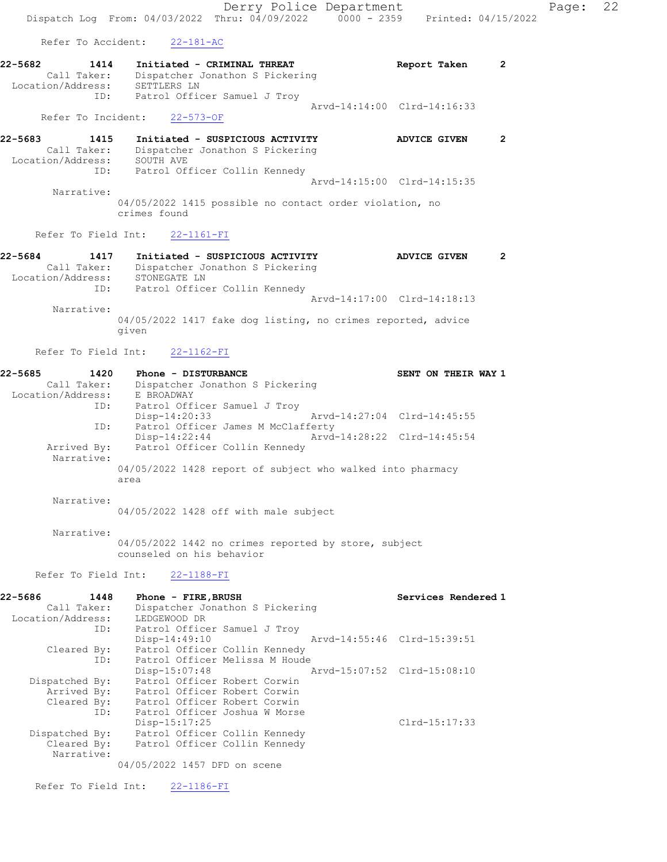Derry Police Department Fage: 22 Dispatch Log From: 04/03/2022 Thru: 04/09/2022 0000 - 2359 Printed: 04/15/2022 Refer To Accident: 22-181-AC 22-5682 1414 Initiated - CRIMINAL THREAT Report Taken 2 Call Taker: Dispatcher Jonathon S Pickering Location/Address: SETTLERS LN ID: Patrol Officer Samuel J Troy Arvd-14:14:00 Clrd-14:16:33 Refer To Incident: 22-573-OF 22-5683 1415 Initiated - SUSPICIOUS ACTIVITY ADVICE GIVEN 2 Call Taker: Dispatcher Jonathon S Pickering Location/Address: SOUTH AVE ID: Patrol Officer Collin Kennedy Arvd-14:15:00 Clrd-14:15:35 Narrative: 04/05/2022 1415 possible no contact order violation, no crimes found Refer To Field Int: 22-1161-FI 22-5684 1417 Initiated - SUSPICIOUS ACTIVITY ADVICE GIVEN 2 Call Taker: Dispatcher Jonathon S Pickering Location/Address: STONEGATE LN ID: Patrol Officer Collin Kennedy Arvd-14:17:00 Clrd-14:18:13 Narrative: 04/05/2022 1417 fake dog listing, no crimes reported, advice given Refer To Field Int: 22-1162-FI 22-5685 1420 Phone - DISTURBANCE SENT ON THEIR WAY 1 Call Taker: Dispatcher Jonathon S Pickering Location/Address: E BROADWAY ID: Patrol Officer Samuel J Troy<br>Disp-14:20:33 Disp-14:20:33 Arvd-14:27:04 Clrd-14:45:55 ID: Patrol Officer James M McClafferty<br>Disp-14:22:44 Arvd-14:28:22 Clrd-14:45:54 Disp-14:22:44 Arvd-14:28:22 Clrd-14:45:54 Arrived By: Patrol Officer Collin Kennedy Narrative: 04/05/2022 1428 report of subject who walked into pharmacy area Narrative: 04/05/2022 1428 off with male subject Narrative: 04/05/2022 1442 no crimes reported by store, subject counseled on his behavior Refer To Field Int: 22-1188-FI 22-5686 1448 Phone - FIRE,BRUSH Services Rendered 1 Call Taker: Dispatcher Jonathon S Pickering Location/Address: LEDGEWOOD DR ID: Patrol Officer Samuel J Troy<br>Disp-14:49:10 Arvd-14:55:46 Clrd-15:39:51 Cleared By: Patrol Officer Collin Kennedy ID: Patrol Officer Melissa M Houde Disp-15:07:48 Arvd-15:07:52 Clrd-15:08:10 Dispatched By: Patrol Officer Robert Corwin Arrived By: Patrol Officer Robert Corwin Cleared By: Patrol Officer Robert Corwin ID: Patrol Officer Joshua W Morse Disp-15:17:25 Clrd-15:17:33 Dispatched By: Patrol Officer Collin Kennedy Cleared By: Patrol Officer Collin Kennedy

04/05/2022 1457 DFD on scene

Refer To Field Int: 22-1186-FI

Narrative: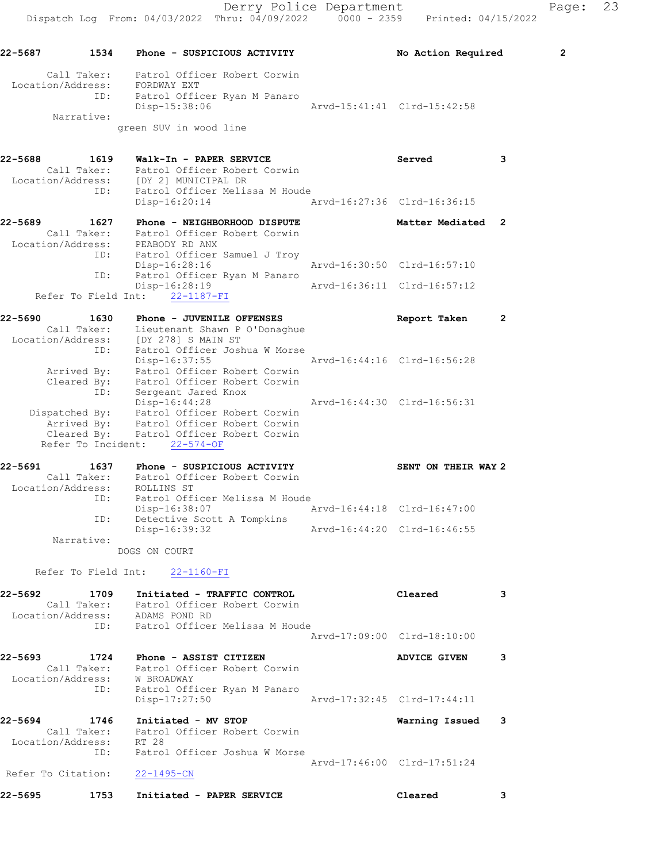22-5687 1534 Phone - SUSPICIOUS ACTIVITY No Action Required 2 Call Taker: Patrol Officer Robert Corwin Location/Address: FORDWAY EXT ID: Patrol Officer Ryan M Panaro Disp-15:38:06 Arvd-15:41:41 Clrd-15:42:58 Narrative: green SUV in wood line 22-5688 1619 Walk-In - PAPER SERVICE Served Served 3 Call Taker: Patrol Officer Robert Corwin Location/Address: [DY 2] MUNICIPAL DR ID: Patrol Officer Melissa M Houde Disp-16:20:14 Arvd-16:27:36 Clrd-16:36:15 22-5689 1627 Phone - NEIGHBORHOOD DISPUTE 1988 Matter Mediated 2 Call Taker: Patrol Officer Robert Corwin Location/Address: PEABODY RD ANX ID: Patrol Officer Samuel J Troy Disp-16:28:16 Arvd-16:30:50 Clrd-16:57:10 ID: Patrol Officer Ryan M Panaro Disp-16:28:19 Arvd-16:36:11 Clrd-16:57:12 Disp-16:28:19<br>Refer To Field Int: 22-1187-FI 22-5690 1630 Phone - JUVENILE OFFENSES Report Taken 2 Call Taker: Lieutenant Shawn P O'Donaghue Location/Address: [DY 278] S MAIN ST ID: Patrol Officer Joshua W Morse Disp-16:37:55 Arvd-16:44:16 Clrd-16:56:28 Arrived By: Patrol Officer Robert Corwin Cleared By: Patrol Officer Robert Corwin ID: Sergeant Jared Knox Disp-16:44:28 Arvd-16:44:30 Clrd-16:56:31 Dispatched By: Patrol Officer Robert Corwin Arrived By: Patrol Officer Robert Corwin Cleared By: Patrol Officer Robert Corwin Refer To Incident: 22-574-OF 22-5691 1637 Phone - SUSPICIOUS ACTIVITY SENT ON THEIR WAY 2 Call Taker: Patrol Officer Robert Corwin Location/Address: ROLLINS ST ID: Patrol Officer Melissa M Houde Disp-16:38:07 Arvd-16:44:18 Clrd-16:47:00 ID: Detective Scott A Tompkins Disp-16:39:32 Arvd-16:44:20 Clrd-16:46:55 Narrative: DOGS ON COURT Refer To Field Int: 22-1160-FI 22-5692 1709 Initiated - TRAFFIC CONTROL Cleared 3 Call Taker: Patrol Officer Robert Corwin Location/Address: ADAMS POND RD ID: Patrol Officer Melissa M Houde Arvd-17:09:00 Clrd-18:10:00 22-5693 1724 Phone - ASSIST CITIZEN ADVICE GIVEN 3 Call Taker: Patrol Officer Robert Corwin Location/Address: W BROADWAY ID: Patrol Officer Ryan M Panaro Disp-17:27:50 Arvd-17:32:45 Clrd-17:44:11 22-5694 1746 Initiated - MV STOP 1746 Narning Issued 3<br>Call Taker: Patrol Officer Robert Corwin Call Taker: Patrol Officer Robert Corwin Location/Address: RT 28 ID: Patrol Officer Joshua W Morse Arvd-17:46:00 Clrd-17:51:24 Refer To Citation: 22-1495-CN 22-5695 1753 Initiated - PAPER SERVICE Cleared 3

Derry Police Department Fage: 23 Dispatch Log From: 04/03/2022 Thru: 04/09/2022 0000 - 2359 Printed: 04/15/2022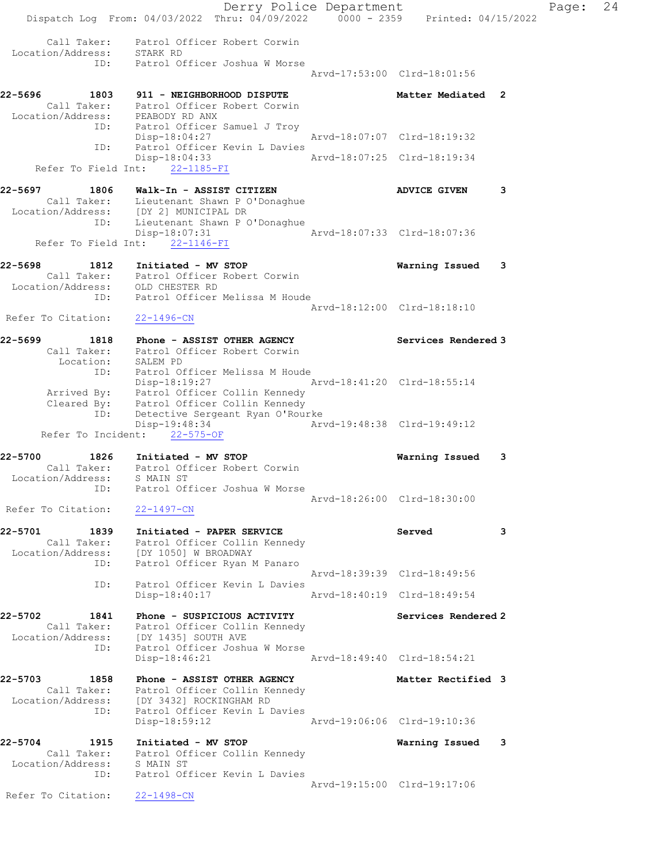Derry Police Department Fage: 24 Dispatch Log From: 04/03/2022 Thru: 04/09/2022 0000 - 2359 Printed: 04/15/2022 Call Taker: Patrol Officer Robert Corwin Location/Address: STARK RD ID: Patrol Officer Joshua W Morse Arvd-17:53:00 Clrd-18:01:56 22-5696 1803 911 - NEIGHBORHOOD DISPUTE 1988 Matter Mediated 2 Call Taker: Patrol Officer Robert Corwin Location/Address: PEABODY RD ANX ID: Patrol Officer Samuel J Troy Disp-18:04:27 Arvd-18:07:07 Clrd-18:19:32 ID: Patrol Officer Kevin L Davies Disp-18:04:33 Arvd-18:07:25 Clrd-18:19:34 Refer To Field Int: 22-1185-FI 22-5697 1806 Walk-In - ASSIST CITIZEN ADVICE GIVEN 3 Call Taker: Lieutenant Shawn P O'Donaghue Location/Address: [DY 2] MUNICIPAL DR ID: Lieutenant Shawn P O'Donaghue Disp-18:07:31 Arvd-18:07:33 Clrd-18:07:36 Refer To Field Int: 22-1146-FI 22-5698 1812 Initiated - MV STOP Warning Issued 3 Call Taker: Patrol Officer Robert Corwin Location/Address: OLD CHESTER RD ID: Patrol Officer Melissa M Houde Arvd-18:12:00 Clrd-18:18:10 Refer To Citation: 22-1496-CN 22-5699 1818 Phone - ASSIST OTHER AGENCY Services Rendered 3 Call Taker: Patrol Officer Robert Corwin Location: SALEM PD ID: Patrol Officer Melissa M Houde Disp-18:19:27 Arvd-18:41:20 Clrd-18:55:14 Arrived By: Patrol Officer Collin Kennedy Cleared By: Patrol Officer Collin Kennedy ID: Detective Sergeant Ryan O'Rourke Disp-19:48:34 Arvd-19:48:38 Clrd-19:49:12 Refer To Incident: 22-575-OF 22-5700 1826 Initiated - MV STOP Warning Issued 3 Call Taker: Patrol Officer Robert Corwin Location/Address: S MAIN ST ID: Patrol Officer Joshua W Morse Arvd-18:26:00 Clrd-18:30:00 Refer To Citation: 22-1497-CN 22-5701 1839 Initiated - PAPER SERVICE Served 3 Call Taker: Patrol Officer Collin Kennedy Location/Address: [DY 1050] W BROADWAY ID: Patrol Officer Ryan M Panaro Arvd-18:39:39 Clrd-18:49:56 ID: Patrol Officer Kevin L Davies Disp-18:40:17 Arvd-18:40:19 Clrd-18:49:54 22-5702 1841 Phone - SUSPICIOUS ACTIVITY Services Rendered 2 Call Taker: Patrol Officer Collin Kennedy Location/Address: [DY 1435] SOUTH AVE ID: Patrol Officer Joshua W Morse Disp-18:46:21 Arvd-18:49:40 Clrd-18:54:21 22-5703 1858 Phone - ASSIST OTHER AGENCY Nether Rectified 3 Call Taker: Patrol Officer Collin Kennedy Location/Address: [DY 3432] ROCKINGHAM RD ID: Patrol Officer Kevin L Davies Disp-18:59:12 Arvd-19:06:06 Clrd-19:10:36 22-5704 1915 Initiated - MV STOP Warning Issued 3 Call Taker: Patrol Officer Collin Kennedy Location/Address: S MAIN ST ID: Patrol Officer Kevin L Davies Arvd-19:15:00 Clrd-19:17:06 Refer To Citation: 22-1498-CN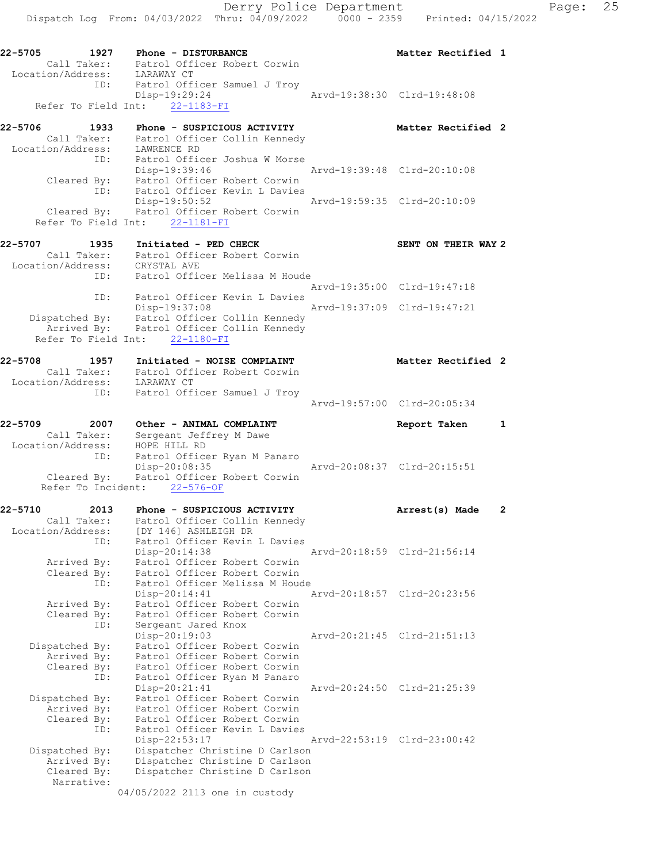Refer To Field Int: 22-1183-FI 22-5706 1933 Phone - SUSPICIOUS ACTIVITY **1956 Matter Rectified** 2 Call Taker: Patrol Officer Collin Kennedy Location/Address: LAWRENCE RD ID: Patrol Officer Joshua W Morse Disp-19:39:46 Arvd-19:39:48 Clrd-20:10:08 Cleared By: Patrol Officer Robert Corwin ID: Patrol Officer Kevin L Davies Disp-19:50:52 Arvd-19:59:35 Clrd-20:10:09 Cleared By: Patrol Officer Robert Corwin Refer To Field Int: 22-1181-FI 22-5707 1935 Initiated - PED CHECK SENT ON THEIR WAY 2 Call Taker: Patrol Officer Robert Corwin

### Location/Address: CRYSTAL AVE ID: Patrol Officer Melissa M Houde Arvd-19:35:00 Clrd-19:47:18 ID: Patrol Officer Kevin L Davies<br>Disp-19:37:08 Disp-19:37:08 Arvd-19:37:09 Clrd-19:47:21 Dispatched By: Patrol Officer Collin Kennedy Arrived By: Patrol Officer Collin Kennedy Refer To Field Int: 22-1180-FI

# 22-5708 1957 Initiated - NOISE COMPLAINT Notater Rectified 2 Call Taker: Patrol Officer Robert Corwin Location/Address: LARAWAY CT ID: Patrol Officer Samuel J Troy Arvd-19:57:00 Clrd-20:05:34

22-5709 2007 Other - ANIMAL COMPLAINT Report Taken 1 Call Taker: Sergeant Jeffrey M Dawe Location/Address: HOPE HILL RD ID: Patrol Officer Ryan M Panaro Disp-20:08:35 Arvd-20:08:37 Clrd-20:15:51 Cleared By: Patrol Officer Robert Corwin Refer To Incident: 22-576-OF

| 22-5710        | 2013 | Phone - SUSPICIOUS ACTIVITY                 | Arrest(s) Made              | $\overline{2}$ |
|----------------|------|---------------------------------------------|-----------------------------|----------------|
| Call Taker:    |      | Patrol Officer Collin Kennedy               |                             |                |
|                |      | Location/Address: [DY 146] ASHLEIGH DR      |                             |                |
|                | ID:  | Patrol Officer Kevin L Davies               |                             |                |
|                |      | $Disp-20:14:38$                             | Arvd-20:18:59 Clrd-21:56:14 |                |
| Arrived By:    |      | Patrol Officer Robert Corwin                |                             |                |
|                |      | Cleared By: Patrol Officer Robert Corwin    |                             |                |
|                | ID:  | Patrol Officer Melissa M Houde              |                             |                |
|                |      | $Disp-20:14:41$                             | Arvd-20:18:57 Clrd-20:23:56 |                |
|                |      | Arrived By: Patrol Officer Robert Corwin    |                             |                |
|                |      | Cleared By: Patrol Officer Robert Corwin    |                             |                |
|                | ID:  | Sergeant Jared Knox                         |                             |                |
|                |      | Disp-20:19:03                               | Arvd-20:21:45 Clrd-21:51:13 |                |
| Dispatched By: |      | Patrol Officer Robert Corwin                |                             |                |
| Arrived By:    |      | Patrol Officer Robert Corwin                |                             |                |
|                |      | Cleared By: Patrol Officer Robert Corwin    |                             |                |
|                | ID:  | Patrol Officer Ryan M Panaro                |                             |                |
|                |      | $Disp-20:21:41$                             | Arvd-20:24:50 Clrd-21:25:39 |                |
|                |      | Dispatched By: Patrol Officer Robert Corwin |                             |                |
| Arrived By:    |      | Patrol Officer Robert Corwin                |                             |                |
|                |      | Cleared By: Patrol Officer Robert Corwin    |                             |                |
|                | ID:  | Patrol Officer Kevin L Davies               |                             |                |
|                |      | Disp-22:53:17                               | Arvd-22:53:19 Clrd-23:00:42 |                |
| Dispatched By: |      | Dispatcher Christine D Carlson              |                             |                |
|                |      | Arrived By: Dispatcher Christine D Carlson  |                             |                |
| Cleared By:    |      | Dispatcher Christine D Carlson              |                             |                |
| Narrative:     |      |                                             |                             |                |
|                |      | 04/05/2022 2113 one in custody              |                             |                |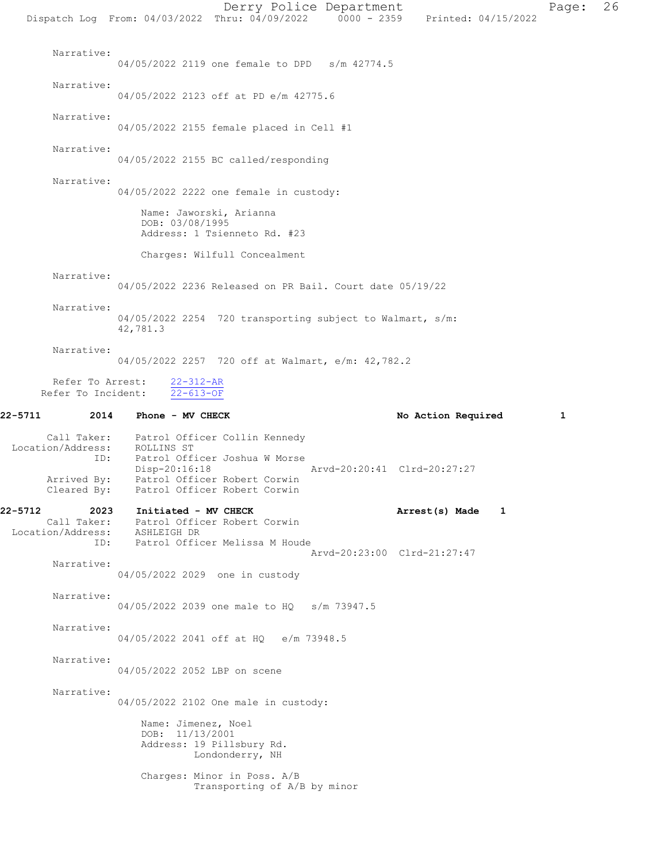Derry Police Department Page: 26 Dispatch Log From: 04/03/2022 Thru: 04/09/2022 0000 - 2359 Printed: 04/15/2022 Narrative: 04/05/2022 2119 one female to DPD s/m 42774.5 Narrative: 04/05/2022 2123 off at PD e/m 42775.6 Narrative: 04/05/2022 2155 female placed in Cell #1 Narrative: 04/05/2022 2155 BC called/responding Narrative: 04/05/2022 2222 one female in custody: Name: Jaworski, Arianna DOB: 03/08/1995 Address: 1 Tsienneto Rd. #23 Charges: Wilfull Concealment Narrative: 04/05/2022 2236 Released on PR Bail. Court date 05/19/22 Narrative: 04/05/2022 2254 720 transporting subject to Walmart, s/m: 42,781.3 Narrative: 04/05/2022 2257 720 off at Walmart, e/m: 42,782.2 Refer To Arrest: 22-312-AR Refer To Incident: 22-613-OF 22-5711 2014 Phone - MV CHECK 20 No Action Required 1 Call Taker: Patrol Officer Collin Kennedy Location/Address: ROLLINS ST ID: Patrol Officer Joshua W Morse Disp-20:16:18 Arvd-20:20:41 Clrd-20:27:27 Arrived By: Patrol Officer Robert Corwin Cleared By: Patrol Officer Robert Corwin 22-5712 2023 Initiated - MV CHECK 2001 1 Arrest(s) Made 1 Call Taker: Patrol Officer Robert Corwin Location/Address: ASHLEIGH DR ID: Patrol Officer Melissa M Houde Arvd-20:23:00 Clrd-21:27:47 Narrative: 04/05/2022 2029 one in custody Narrative: 04/05/2022 2039 one male to HQ s/m 73947.5 Narrative: 04/05/2022 2041 off at HQ e/m 73948.5 Narrative: 04/05/2022 2052 LBP on scene Narrative: 04/05/2022 2102 One male in custody: Name: Jimenez, Noel DOB: 11/13/2001 Address: 19 Pillsbury Rd. Londonderry, NH Charges: Minor in Poss. A/B Transporting of A/B by minor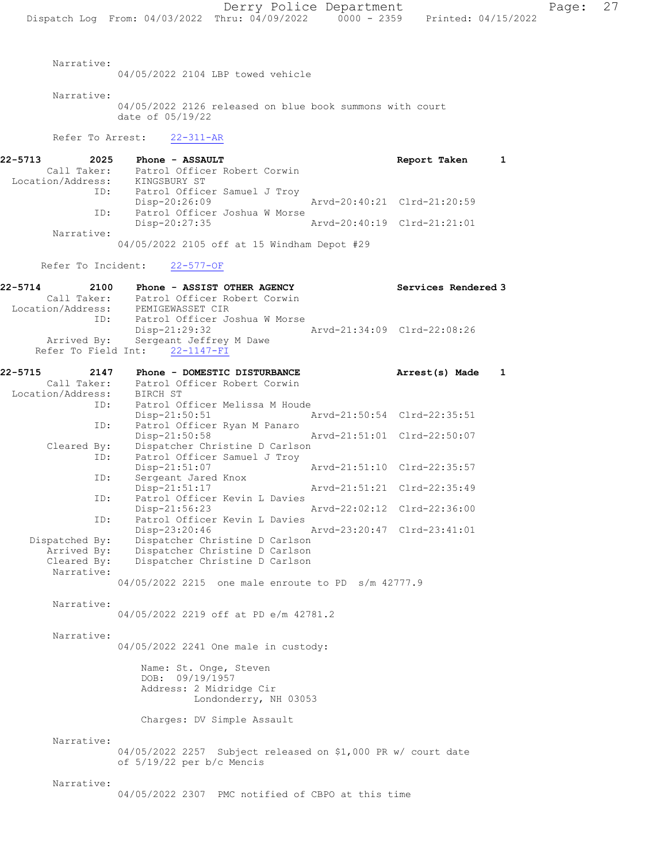04/05/2022 2104 LBP towed vehicle

Narrative:

 Narrative: 04/05/2022 2126 released on blue book summons with court date of 05/19/22 Refer To Arrest: 22-311-AR 22-5713 2025 Phone - ASSAULT Report Taken 1 Call Taker: Patrol Officer Robert Corwin Location/Address: KINGSBURY ST ID: Patrol Officer Samuel J Troy<br>Disp-20:26:09 Disp-20:26:09 Arvd-20:40:21 Clrd-21:20:59 ID: Patrol Officer Joshua W Morse Disp-20:27:35 Arvd-20:40:19 Clrd-21:21:01 Narrative: 04/05/2022 2105 off at 15 Windham Depot #29 Refer To Incident: 22-577-OF 22-5714 2100 Phone - ASSIST OTHER AGENCY Services Rendered 3 Call Taker: Patrol Officer Robert Corwin Location/Address: PEMIGEWASSET CIR ID: Patrol Officer Joshua W Morse Disp-21:29:32 Arvd-21:34:09 Clrd-22:08:26 Arrived By: Sergeant Jeffrey M Dawe Refer To Field Int: 22-1147-FI 22-5715 2147 Phone - DOMESTIC DISTURBANCE Arrest(s) Made 1 Call Taker: Patrol Officer Robert Corwin Location/Address: BIRCH ST ID: Patrol Officer Melissa M Houde<br>Disp-21:50:51 Disp-21:50:51 Arvd-21:50:54 Clrd-22:35:51<br>ID: Patrol Officer Ryan M Panaro Patrol Officer Ryan M Panaro Disp-21:50:58 Arvd-21:51:01 Clrd-22:50:07 Cleared By: Dispatcher Christine D Carlson ID: Patrol Officer Samuel J Troy<br>Disp-21:51:07 Disp-21:51:07 <br>
D: Sergeant Jared Knox<br>
D: Sergeant Jared Knox Sergeant Jared Knox Disp-21:51:17 Arvd-21:51:21 Clrd-22:35:49 ID: Patrol Officer Kevin L Davies<br>Disp-21:56:23 Disp-21:56:23 Arvd-22:02:12 Clrd-22:36:00 ID: Patrol Officer Kevin L Davies Disp-23:20:46 Arvd-23:20:47 Clrd-23:41:01<br>Dispatched By: Dispatcher Christine D Carlson Dispatched By: Dispatcher Christine D Carlson Arrived By: Dispatcher Christine D Carlson Cleared By: Dispatcher Christine D Carlson Narrative: 04/05/2022 2215 one male enroute to PD s/m 42777.9 Narrative: 04/05/2022 2219 off at PD e/m 42781.2 Narrative: 04/05/2022 2241 One male in custody: Name: St. Onge, Steven DOB: 09/19/1957 Address: 2 Midridge Cir Londonderry, NH 03053 Charges: DV Simple Assault Narrative: 04/05/2022 2257 Subject released on \$1,000 PR w/ court date of 5/19/22 per b/c Mencis Narrative: 04/05/2022 2307 PMC notified of CBPO at this time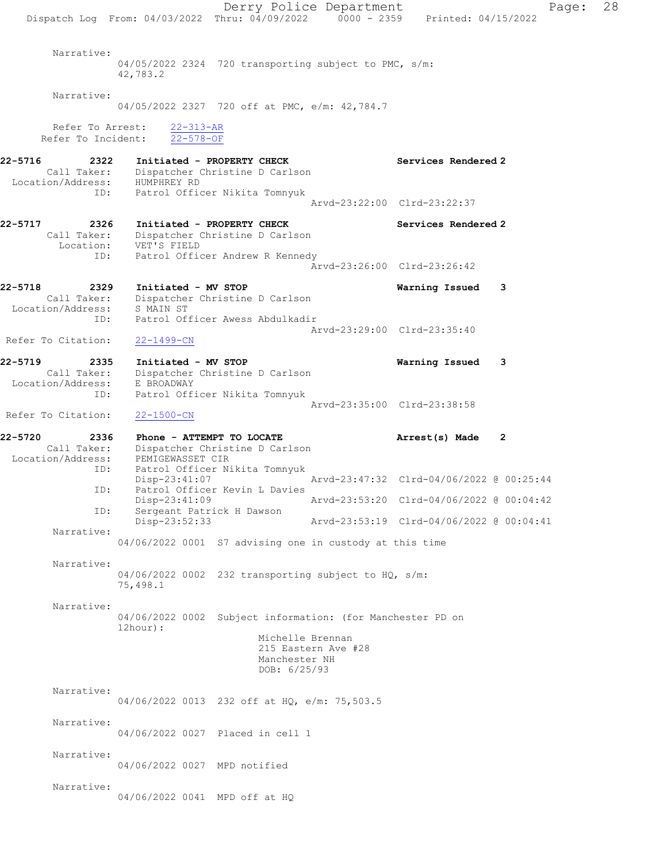Derry Police Department Page: 28 Dispatch Log From:  $04/03/2022$  Thru:  $04/09/2022$  0000 - 2359 Printed: 04/15/2022 Narrative: 04/05/2022 2324 720 transporting subject to PMC, s/m: 42,783.2 Narrative: 04/05/2022 2327 720 off at PMC, e/m: 42,784.7 Refer To Arrest: 22-313-AR Refer To Incident: 22-578-OF 22-5716 2322 Initiated - PROPERTY CHECK Services Rendered 2 Call Taker: Dispatcher Christine D Carlson Location/Address: HUMPHREY RD ID: Patrol Officer Nikita Tomnyuk Arvd-23:22:00 Clrd-23:22:37 22-5717 2326 Initiated - PROPERTY CHECK Services Rendered 2 Call Taker: Dispatcher Christine D Carlson Location: VET'S FIELD ID: Patrol Officer Andrew R Kennedy Arvd-23:26:00 Clrd-23:26:42 22-5718 2329 Initiated - MV STOP Warning Issued 3 Call Taker: Dispatcher Christine D Carlson Location/Address: S MAIN ST ID: Patrol Officer Awess Abdulkadir Arvd-23:29:00 Clrd-23:35:40 Refer To Citation: 22-1499-CN 22-5719 2335 Initiated - MV STOP Warning Issued 3 Call Taker: Dispatcher Christine D Carlson Location/Address: E BROADWAY ID: Patrol Officer Nikita Tomnyuk Arvd-23:35:00 Clrd-23:38:58 Refer To Citation: 22-1500-CN 22-5720 2336 Phone - ATTEMPT TO LOCATE Arrest(s) Made 2 Call Taker: Dispatcher Christine D Carlson Location/Address: PEMIGEWASSET CIR ID: Patrol Officer Nikita Tomnyuk Arvd-23:47:32 Clrd-04/06/2022 @ 00:25:44 ID: Patrol Officer Kevin L Davies<br>Disp-23:41:09 Disp-23:41:09 Arvd-23:53:20 Clrd-04/06/2022 @ 00:04:42 ID: Sergeant Patrick H Dawson<br>Disp-23:52:33 Disp-23:52:33 Arvd-23:53:19 Clrd-04/06/2022 @ 00:04:41 Narrative: 04/06/2022 0001 S7 advising one in custody at this time Narrative: 04/06/2022 0002 232 transporting subject to HQ, s/m: 75,498.1 Narrative: 04/06/2022 0002 Subject information: (for Manchester PD on 12hour): Michelle Brennan 215 Eastern Ave #28 Manchester NH DOB: 6/25/93 Narrative: 04/06/2022 0013 232 off at HQ, e/m: 75,503.5 Narrative: 04/06/2022 0027 Placed in cell 1 Narrative: 04/06/2022 0027 MPD notified Narrative: 04/06/2022 0041 MPD off at HQ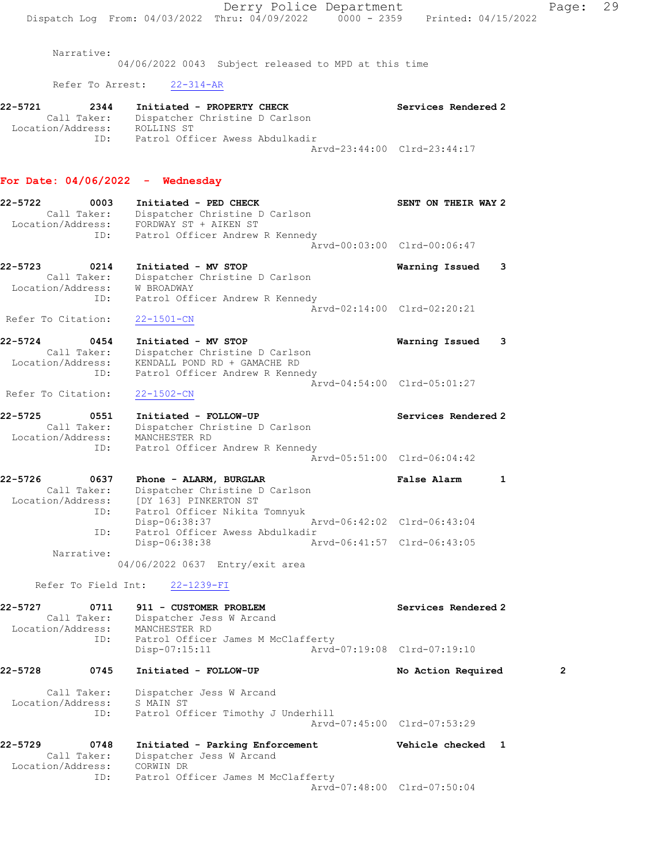|                                                            | Derry Police Department                                                                                                                                |                             | 29<br>Page:  |
|------------------------------------------------------------|--------------------------------------------------------------------------------------------------------------------------------------------------------|-----------------------------|--------------|
|                                                            | Dispatch Log From: 04/03/2022 Thru: 04/09/2022 0000 - 2359 Printed: 04/15/2022                                                                         |                             |              |
| Narrative:                                                 | 04/06/2022 0043 Subject released to MPD at this time                                                                                                   |                             |              |
|                                                            | Refer To Arrest: 22-314-AR                                                                                                                             |                             |              |
| 22-5721<br>2344                                            | Initiated - PROPERTY CHECK                                                                                                                             | Services Rendered 2         |              |
| Location/Address: ROLLINS ST                               | Call Taker: Dispatcher Christine D Carlson                                                                                                             |                             |              |
|                                                            | ID: Patrol Officer Awess Abdulkadir                                                                                                                    | Arvd-23:44:00 Clrd-23:44:17 |              |
| For Date: $04/06/2022 -$ Wednesday                         |                                                                                                                                                        |                             |              |
| 22-5722<br>0003                                            | Initiated - PED CHECK<br>Call Taker: Dispatcher Christine D Carlson                                                                                    | SENT ON THEIR WAY 2         |              |
|                                                            | Location/Address: FORDWAY ST + AIKEN ST<br>ID: Patrol Officer Andrew R Kennedy                                                                         |                             |              |
|                                                            |                                                                                                                                                        | Arvd-00:03:00 Clrd-00:06:47 |              |
| 22-5723<br>0214<br>Location/Address:                       | Initiated - MV STOP<br>Call Taker: Dispatcher Christine D Carlson<br>W BROADWAY                                                                        | Warning Issued 3            |              |
| ID:<br>Refer To Citation:                                  | Patrol Officer Andrew R Kennedy<br>22-1501-CN                                                                                                          | Arvd-02:14:00 Clrd-02:20:21 |              |
| 22-5724<br>0454<br>ID:                                     | Initiated - MV STOP<br>Call Taker: Dispatcher Christine D Carlson<br>Location/Address: KENDALL POND RD + GAMACHE RD<br>Patrol Officer Andrew R Kennedy | Warning Issued 3            |              |
| Refer To Citation:                                         | $22 - 1502 - CN$                                                                                                                                       | Arvd-04:54:00 Clrd-05:01:27 |              |
| 22-5725<br>0551<br>Location/Address: MANCHESTER RD<br>ID:  | Initiated - FOLLOW-UP<br>Call Taker: Dispatcher Christine D Carlson<br>Patrol Officer Andrew R Kennedy                                                 | Services Rendered 2         |              |
|                                                            |                                                                                                                                                        | Arvd-05:51:00 Clrd-06:04:42 |              |
| 22-5726<br>0637<br>Location/Address:<br>ID:                | Phone - ALARM, BURGLAR<br>Call Taker: Dispatcher Christine D Carlson<br>[DY 163] PINKERTON ST<br>Patrol Officer Nikita Tomnyuk                         | False Alarm<br>1            |              |
| ID:                                                        | Disp-06:38:37<br>Patrol Officer Awess Abdulkadir                                                                                                       | Arvd-06:42:02 Clrd-06:43:04 |              |
| Narrative:                                                 | Disp-06:38:38                                                                                                                                          | Arvd-06:41:57 Clrd-06:43:05 |              |
|                                                            | 04/06/2022 0637 Entry/exit area                                                                                                                        |                             |              |
| Refer To Field Int:                                        | $22 - 1239 - FI$                                                                                                                                       |                             |              |
| 22-5727<br>0711<br>Call Taker:<br>Location/Address:<br>ID: | 911 - CUSTOMER PROBLEM<br>Dispatcher Jess W Arcand<br>MANCHESTER RD<br>Patrol Officer James M McClafferty                                              | Services Rendered 2         |              |
|                                                            | $Disp-07:15:11$                                                                                                                                        | Arvd-07:19:08 Clrd-07:19:10 |              |
| 22-5728<br>0745                                            | Initiated - FOLLOW-UP                                                                                                                                  | No Action Required          | $\mathbf{2}$ |
| Call Taker:<br>Location/Address:<br>ID:                    | Dispatcher Jess W Arcand<br>S MAIN ST<br>Patrol Officer Timothy J Underhill                                                                            | Arvd-07:45:00 Clrd-07:53:29 |              |
| 22-5729<br>0748                                            | Initiated - Parking Enforcement                                                                                                                        | Vehicle checked 1           |              |
| Call Taker:<br>Location/Address: CORWIN DR<br>ID:          | Dispatcher Jess W Arcand<br>Patrol Officer James M McClafferty                                                                                         |                             |              |
|                                                            |                                                                                                                                                        | Arvd-07:48:00 Clrd-07:50:04 |              |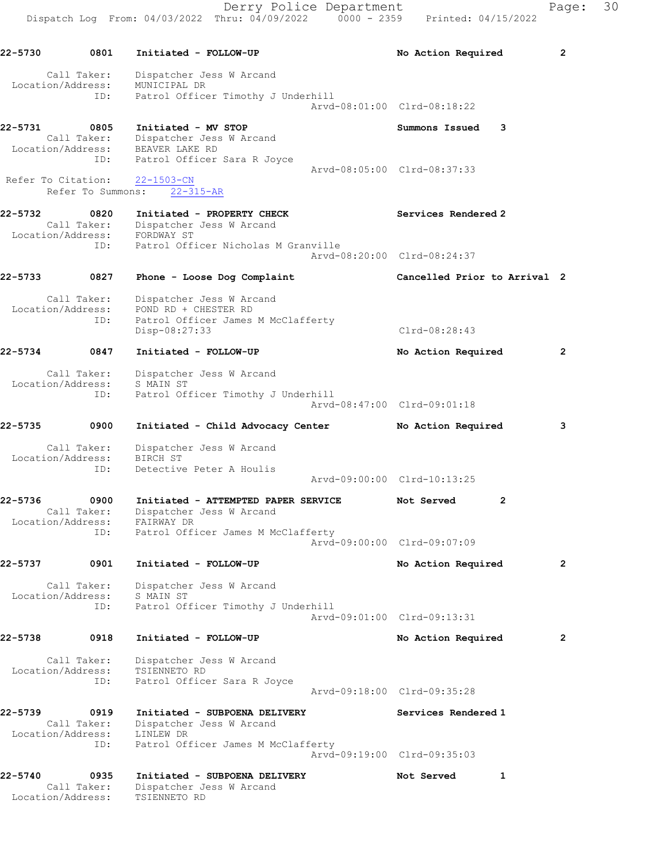Derry Police Department Fage: 30 Dispatch Log From: 04/03/2022 Thru: 04/09/2022 0000 - 2359 Printed: 04/15/2022 22-5730 0801 Initiated - FOLLOW-UP No Action Required 2 Call Taker: Dispatcher Jess W Arcand Location/Address: MUNICIPAL DR ID: Patrol Officer Timothy J Underhill Arvd-08:01:00 Clrd-08:18:22 22-5731 0805 Initiated - MV STOP Summons Issued 3 Call Taker: Dispatcher Jess W Arcand Location/Address: BEAVER LAKE RD ID: Patrol Officer Sara R Joyce Arvd-08:05:00 Clrd-08:37:33 Refer To Citation: 22-1503-CN Refer To Summons: 22-315-AR 22-5732 0820 Initiated - PROPERTY CHECK Services Rendered 2 Call Taker: Dispatcher Jess W Arcand Location/Address: FORDWAY ST ID: Patrol Officer Nicholas M Granville Arvd-08:20:00 Clrd-08:24:37 22-5733 0827 Phone - Loose Dog Complaint Cancelled Prior to Arrival 2 Call Taker: Dispatcher Jess W Arcand Location/Address: POND RD + CHESTER RD ID: Patrol Officer James M McClafferty Disp-08:27:33 Clrd-08:28:43 22-5734 0847 Initiated - FOLLOW-UP No Action Required 2 Call Taker: Dispatcher Jess W Arcand Location/Address: S MAIN ST ID: Patrol Officer Timothy J Underhill Arvd-08:47:00 Clrd-09:01:18 22-5735 0900 Initiated - Child Advocacy Center No Action Required 3 Call Taker: Dispatcher Jess W Arcand Location/Address: BIRCH ST ID: Detective Peter A Houlis Arvd-09:00:00 Clrd-10:13:25 22-5736 0900 Initiated - ATTEMPTED PAPER SERVICE Not Served 2 Call Taker: Dispatcher Jess W Arcand Location/Address: FAIRWAY DR ID: Patrol Officer James M McClafferty Arvd-09:00:00 Clrd-09:07:09 22-5737 0901 Initiated - FOLLOW-UP No Action Required 2 Call Taker: Dispatcher Jess W Arcand Location/Address: S MAIN ST ID: Patrol Officer Timothy J Underhill Arvd-09:01:00 Clrd-09:13:31 22-5738 0918 Initiated - FOLLOW-UP No Action Required 2 Call Taker: Dispatcher Jess W Arcand

 Location/Address: TSIENNETO RD ID: Patrol Officer Sara R Joyce Arvd-09:18:00 Clrd-09:35:28 22-5739 0919 Initiated - SUBPOENA DELIVERY Services Rendered 1

 Call Taker: Dispatcher Jess W Arcand Location/Address: LINLEW DR ID: Patrol Officer James M McClafferty Arvd-09:19:00 Clrd-09:35:03

22-5740 0935 Initiated - SUBPOENA DELIVERY Not Served 1 Call Taker: Dispatcher Jess W Arcand Location/Address: TSIENNETO RD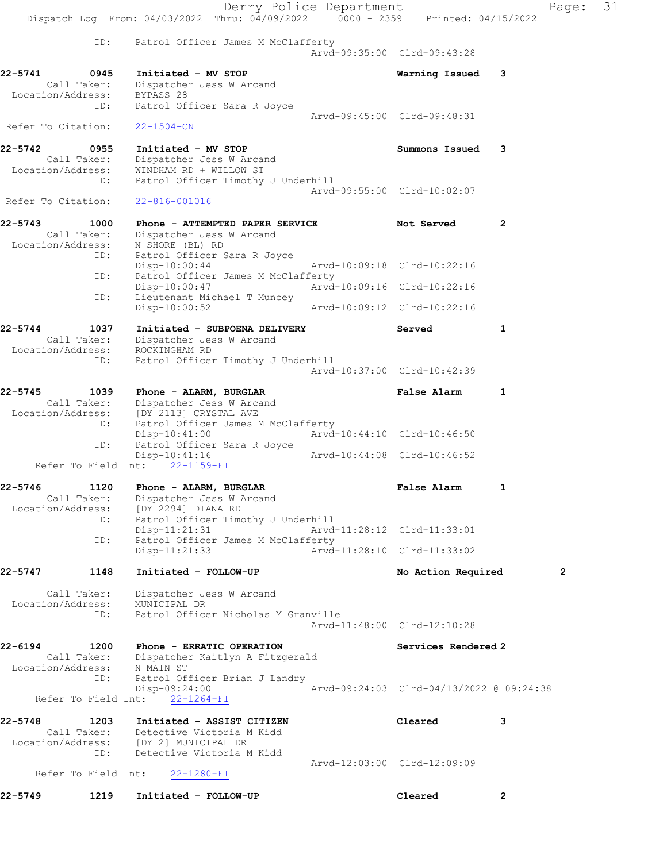|                                                     | Dispatch Log From: 04/03/2022 Thru: 04/09/2022                                                   | Derry Police Department<br>$0000 - 2359$ |                                          | Pac            |
|-----------------------------------------------------|--------------------------------------------------------------------------------------------------|------------------------------------------|------------------------------------------|----------------|
|                                                     |                                                                                                  |                                          | Printed: 04/15/2022                      |                |
| ID:                                                 | Patrol Officer James M McClafferty                                                               |                                          | Arvd-09:35:00 Clrd-09:43:28              |                |
| 22-5741<br>0945<br>Call Taker:<br>Location/Address: | Initiated - MV STOP<br>Dispatcher Jess W Arcand<br>BYPASS 28                                     |                                          | Warning Issued                           | 3              |
| ID:                                                 | Patrol Officer Sara R Joyce                                                                      |                                          | Arvd-09:45:00 Clrd-09:48:31              |                |
| Refer To Citation:                                  | $22 - 1504 - CN$                                                                                 |                                          |                                          |                |
| 22-5742<br>0955<br>Call Taker:<br>Location/Address: | Initiated - MV STOP<br>Dispatcher Jess W Arcand<br>WINDHAM RD + WILLOW ST                        |                                          | Summons Issued                           | 3              |
| ID:<br>Refer To Citation:                           | Patrol Officer Timothy J Underhill<br>$22 - 816 - 001016$                                        |                                          | Arvd-09:55:00 Clrd-10:02:07              |                |
| 22-5743<br>1000                                     | Phone - ATTEMPTED PAPER SERVICE                                                                  |                                          | Not Served                               | $\overline{2}$ |
| Call Taker:<br>Location/Address:                    | Dispatcher Jess W Arcand<br>N SHORE (BL) RD                                                      |                                          |                                          |                |
| ID:<br>ID:                                          | Patrol Officer Sara R Joyce<br>$Disp-10:00:44$<br>Patrol Officer James M McClafferty             |                                          | Arvd-10:09:18 Clrd-10:22:16              |                |
| ID:                                                 | Disp-10:00:47<br>Lieutenant Michael T Muncey                                                     |                                          | Arvd-10:09:16 Clrd-10:22:16              |                |
|                                                     | Disp-10:00:52                                                                                    |                                          | Arvd-10:09:12 Clrd-10:22:16              |                |
| 22-5744<br>1037<br>Call Taker:<br>Location/Address: | Initiated - SUBPOENA DELIVERY<br>Dispatcher Jess W Arcand<br>ROCKINGHAM RD                       |                                          | Served                                   | 1              |
| ID:                                                 | Patrol Officer Timothy J Underhill                                                               |                                          | Arvd-10:37:00 Clrd-10:42:39              |                |
| 22-5745<br>1039<br>Call Taker:<br>Location/Address: | Phone - ALARM, BURGLAR<br>Dispatcher Jess W Arcand<br>[DY 2113] CRYSTAL AVE                      |                                          | False Alarm                              | 1              |
| ID:<br>ID:                                          | Patrol Officer James M McClafferty<br>$Disp-10:41:00$<br>Patrol Officer Sara R Joyce             |                                          | Arvd-10:44:10 Clrd-10:46:50              |                |
| Refer To Field Int:                                 | Disp-10:41:16<br>$22 - 1159 - FI$                                                                | Arvd-10:44:08 Clrd-10:46:52              |                                          |                |
| 22-5746<br>1120<br>Call Taker:<br>Location/Address: | Phone - ALARM, BURGLAR<br>Dispatcher Jess W Arcand<br>[DY 2294] DIANA RD                         |                                          | False Alarm                              | 1              |
| ID:                                                 | Patrol Officer Timothy J Underhill<br>$Disp-11:21:31$                                            |                                          | Arvd-11:28:12 Clrd-11:33:01              |                |
| ID:                                                 | Patrol Officer James M McClafferty<br>$Disp-11:21:33$                                            |                                          | Arvd-11:28:10 Clrd-11:33:02              |                |
| 22-5747<br>1148                                     | Initiated - FOLLOW-UP                                                                            |                                          | No Action Required                       | 2              |
| Call Taker:<br>Location/Address:<br>ID:             | Dispatcher Jess W Arcand<br>MUNICIPAL DR<br>Patrol Officer Nicholas M Granville                  |                                          | Arvd-11:48:00 Clrd-12:10:28              |                |
| 22-6194<br>1200                                     | Phone - ERRATIC OPERATION                                                                        |                                          | Services Rendered 2                      |                |
| Call Taker:<br>Location/Address:<br>ID:             | Dispatcher Kaitlyn A Fitzgerald<br>N MAIN ST<br>Patrol Officer Brian J Landry<br>$Disp-09:24:00$ |                                          | Arvd-09:24:03 Clrd-04/13/2022 @ 09:24:38 |                |
| Refer To Field Int:                                 | $22 - 1264 - FI$                                                                                 |                                          |                                          |                |
| 22-5748<br>1203<br>Call Taker:<br>Location/Address: | Initiated - ASSIST CITIZEN<br>Detective Victoria M Kidd<br>[DY 2] MUNICIPAL DR                   |                                          | Cleared                                  | 3              |
| ID:<br>Refer To Field Int:                          | Detective Victoria M Kidd<br>22-1280-FI                                                          |                                          | Arvd-12:03:00 Clrd-12:09:09              |                |

22-5749 1219 Initiated - FOLLOW-UP Cleared 2

 $Page: 31$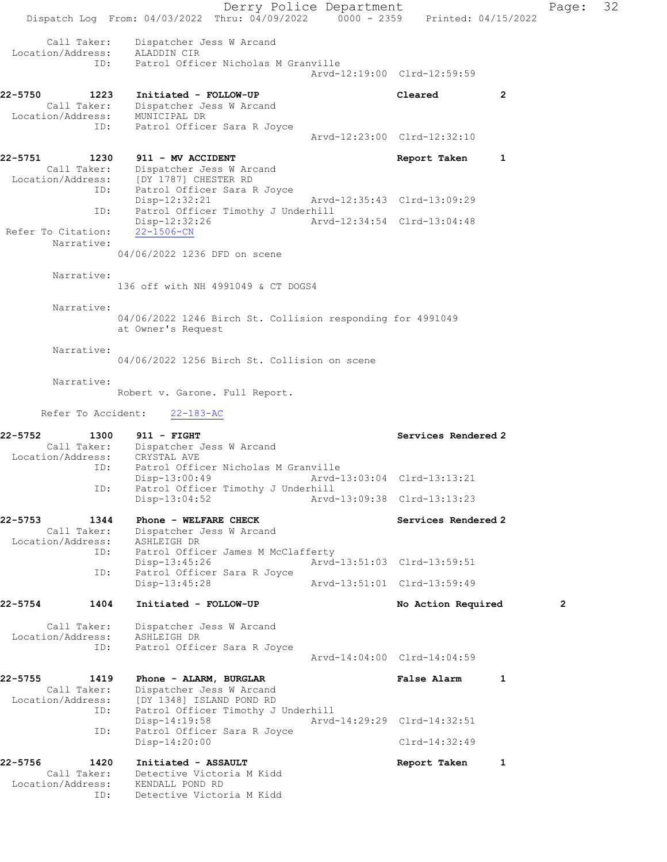Derry Police Department Page: 32 Dispatch Log From: 04/03/2022 Thru: 04/09/2022 0000 - 2359 Printed: 04/15/2022 Call Taker: Dispatcher Jess W Arcand Location/Address: ALADDIN CIR ID: Patrol Officer Nicholas M Granville Arvd-12:19:00 Clrd-12:59:59 22-5750 1223 Initiated - FOLLOW-UP Cleared 2 Call Taker: Dispatcher Jess W Arcand Location/Address: MUNICIPAL DR ID: Patrol Officer Sara R Joyce Arvd-12:23:00 Clrd-12:32:10 22-5751 1230 911 - MV ACCIDENT **Report Taken** 1 Call Taker: Dispatcher Jess W Arcand Location/Address: [DY 1787] CHESTER RD<br>TD: Patrol Officer Sara R Patrol Officer Sara R Joyce Disp-12:32:21 Arvd-12:35:43 Clrd-13:09:29 ID: Patrol Officer Timothy J Underhill<br>Disp-12:32:26 Arvd Disp-12:32:26 Arvd-12:34:54 Clrd-13:04:48 Refer To Citation: Narrative: 04/06/2022 1236 DFD on scene Narrative: 136 off with NH 4991049 & CT DOGS4 Narrative: 04/06/2022 1246 Birch St. Collision responding for 4991049 at Owner's Request Narrative: 04/06/2022 1256 Birch St. Collision on scene Narrative: Robert v. Garone. Full Report. Refer To Accident: 22-183-AC 22-5752 1300 911 - FIGHT Services Rendered 2 Call Taker: Dispatcher Jess W Arcand Location/Address: CRYSTAL AVE ID: Patrol Officer Nicholas M Granville<br>Disp-13:00:49 Arvd-1 Disp-13:00:49 Arvd-13:03:04 Clrd-13:13:21<br>ID: Patrol Officer Timothy J Underhill Patrol Officer Timothy J Underhill<br>Disp-13:04:52 Arvd Disp-13:04:52 Arvd-13:09:38 Clrd-13:13:23 22-5753 1344 Phone - WELFARE CHECK Services Rendered 2 Call Taker: Dispatcher Jess W Arcand Location/Address: ASHLEIGH DR<br>ID: Patrol Officer<br>Disp-13:45:26 Patrol Officer James M McClafferty Arvd-13:51:03 Clrd-13:59:51 ID: Patrol Officer Sara R Joyce<br>Disp-13:45:28 Arvd-13:51:01 Clrd-13:59:49 22-5754 1404 Initiated - FOLLOW-UP No Action Required 2 Call Taker: Dispatcher Jess W Arcand Location/Address: ASHLEIGH DR ID: Patrol Officer Sara R Joyce Arvd-14:04:00 Clrd-14:04:59 22-5755 1419 Phone - ALARM, BURGLAR 1 1 False Alarm 1 Call Taker: Dispatcher Jess W Arcand Location/Address: [DY 1348] ISLAND POND RD ID: Patrol Officer Timothy J Underhill<br>Disp-14:19:58 Arvd-Disp-14:19:58 Arvd-14:29:29 Clrd-14:32:51<br>ID: Patrol Officer Sara R Joyce Patrol Officer Sara R Joyce Disp-14:20:00 Clrd-14:32:49 22-5756 1420 Initiated - ASSAULT 1 22-5756 Report Taken 1 Call Taker: Detective Victoria M Kidd Location/Address: KENDALL POND RD ID: Detective Victoria M Kidd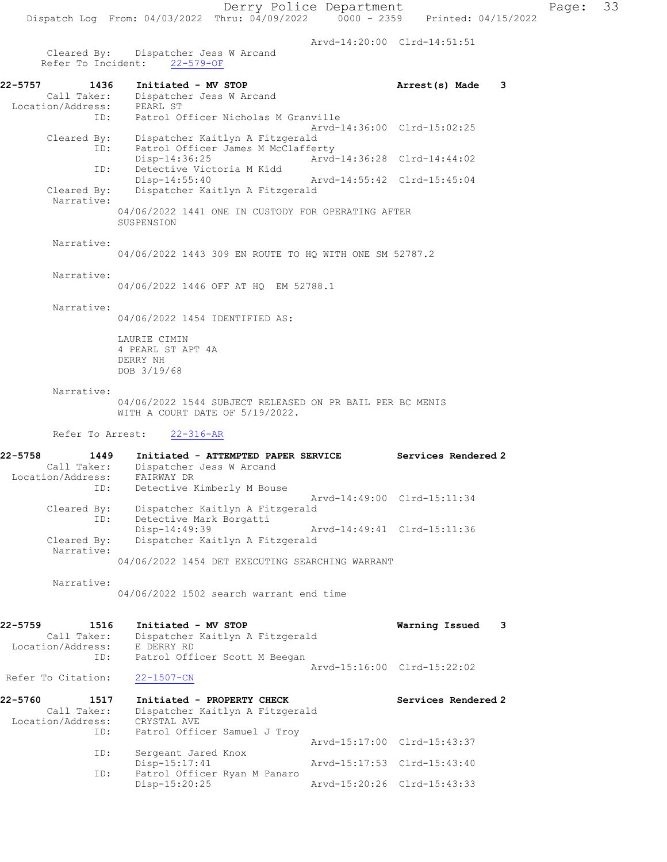Arvd-14:20:00 Clrd-14:51:51

 Cleared By: Dispatcher Jess W Arcand Refer To Incident: 22-579-OF

| 22-5757<br>1436<br>Call Taker:<br>Location/Address: | Initiated - MV STOP<br>Dispatcher Jess W Arcand<br>PEARL ST      | Arrest(s) Made              | 3 |
|-----------------------------------------------------|------------------------------------------------------------------|-----------------------------|---|
|                                                     | ID: Patrol Officer Nicholas M Granville                          |                             |   |
|                                                     |                                                                  | Arvd-14:36:00 Clrd-15:02:25 |   |
| Cleared By:                                         | Dispatcher Kaitlyn A Fitzgerald                                  |                             |   |
|                                                     | Patrol Officer James M McClafferty<br>ID:                        |                             |   |
|                                                     | $Disp-14:36:25$                                                  | Arvd-14:36:28 Clrd-14:44:02 |   |
|                                                     | Detective Victoria M Kidd<br>ID:                                 |                             |   |
|                                                     | $Disp-14:55:40$                                                  | Arvd-14:55:42 Clrd-15:45:04 |   |
| Cleared By:<br>Narrative:                           | Dispatcher Kaitlyn A Fitzgerald                                  |                             |   |
|                                                     | 04/06/2022 1441 ONE IN CUSTODY FOR OPERATING AFTER<br>SUSPENSION |                             |   |
| Narrative:                                          | 04/06/2022 1443 309 EN ROUTE TO HO WITH ONE SM 52787.2           |                             |   |
| Narrative:                                          | 04/06/2022 1446 OFF AT HO EM 52788.1                             |                             |   |

### Narrative:

04/06/2022 1454 IDENTIFIED AS:

LAURIE CIMIN 4 PEARL ST APT 4A DERRY NH DOB 3/19/68

#### Narrative:

04/06/2022 1544 SUBJECT RELEASED ON PR BAIL PER BC MENIS WITH A COURT DATE OF 5/19/2022.

Refer To Arrest: 22-316-AR

| 22-5758<br>1449   | Initiated - ATTEMPTED PAPER SERVICE             | Services Rendered 2         |
|-------------------|-------------------------------------------------|-----------------------------|
| Call Taker:       | Dispatcher Jess W Arcand                        |                             |
| Location/Address: | FAIRWAY DR                                      |                             |
| ID:               | Detective Kimberly M Bouse                      |                             |
|                   |                                                 | Arvd-14:49:00 Clrd-15:11:34 |
| Cleared By:       | Dispatcher Kaitlyn A Fitzgerald                 |                             |
| ID:               | Detective Mark Borgatti                         |                             |
|                   | Disp-14:49:39                                   | Arvd-14:49:41 Clrd-15:11:36 |
| Cleared By:       | Dispatcher Kaitlyn A Fitzgerald                 |                             |
| Narrative:        |                                                 |                             |
|                   | 04/06/2022 1454 DET EXECUTING SEARCHING WARRANT |                             |

 Narrative: 04/06/2022 1502 search warrant end time

| 22-5759           | 1516        | Initiated - MV STOP             | Warning Issued 3            |  |
|-------------------|-------------|---------------------------------|-----------------------------|--|
|                   | Call Taker: | Dispatcher Kaitlyn A Fitzgerald |                             |  |
| Location/Address: |             | E DERRY RD                      |                             |  |
|                   | ID:         | Patrol Officer Scott M Beegan   |                             |  |
|                   |             |                                 | Arvd-15:16:00 Clrd-15:22:02 |  |

## Refer To Citation: 22-1507-CN

| 22-5760           | 1517        | Initiated - PROPERTY CHECK      |                             | Services Rendered 2 |  |
|-------------------|-------------|---------------------------------|-----------------------------|---------------------|--|
|                   | Call Taker: | Dispatcher Kaitlyn A Fitzgerald |                             |                     |  |
| Location/Address: |             | CRYSTAL AVE                     |                             |                     |  |
|                   | ID:         | Patrol Officer Samuel J Troy    |                             |                     |  |
|                   |             |                                 | Arvd-15:17:00 Clrd-15:43:37 |                     |  |
|                   | ID:         | Sergeant Jared Knox             |                             |                     |  |
|                   |             | $Disp-15:17:41$                 | Arvd-15:17:53 Clrd-15:43:40 |                     |  |
|                   | ID:         | Patrol Officer Ryan M Panaro    |                             |                     |  |
|                   |             | $Disp-15:20:25$                 | Arvd-15:20:26 Clrd-15:43:33 |                     |  |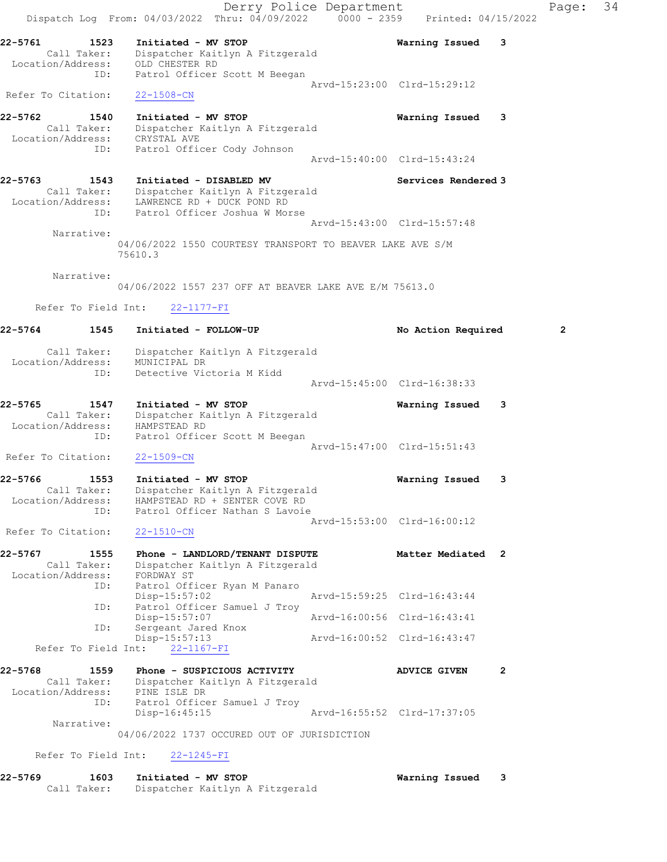Derry Police Department The Rage: 34 Dispatch Log From: 04/03/2022 Thru: 04/09/2022 0000 - 2359 Printed: 04/15/2022 22-5761 1523 Initiated - MV STOP Warning Issued 3 Call Taker: Dispatcher Kaitlyn A Fitzgerald Location/Address: OLD CHESTER RD ID: Patrol Officer Scott M Beegan Arvd-15:23:00 Clrd-15:29:12 Refer To Citation: 22-1508-CN 22-5762 1540 Initiated - MV STOP Warning Issued 3 Call Taker: Dispatcher Kaitlyn A Fitzgerald Location/Address: CRYSTAL AVE ID: Patrol Officer Cody Johnson Arvd-15:40:00 Clrd-15:43:24 22-5763 1543 Initiated - DISABLED MV 1980 Services Rendered 3 Call Taker: Dispatcher Kaitlyn A Fitzgerald Location/Address: LAWRENCE RD + DUCK POND RD ID: Patrol Officer Joshua W Morse Arvd-15:43:00 Clrd-15:57:48 Narrative: 04/06/2022 1550 COURTESY TRANSPORT TO BEAVER LAKE AVE S/M 75610.3 Narrative: 04/06/2022 1557 237 OFF AT BEAVER LAKE AVE E/M 75613.0 Refer To Field Int: 22-1177-FI 22-5764 1545 Initiated - FOLLOW-UP 12 No Action Required 2 Call Taker: Dispatcher Kaitlyn A Fitzgerald Location/Address: MUNICIPAL DR ID: Detective Victoria M Kidd Arvd-15:45:00 Clrd-16:38:33 22-5765 1547 Initiated - MV STOP Warning Issued 3 Call Taker: Dispatcher Kaitlyn A Fitzgerald Location/Address: HAMPSTEAD RD ID: Patrol Officer Scott M Beegan Arvd-15:47:00 Clrd-15:51:43 Refer To Citation: 22-1509-CN 22-5766 1553 Initiated - MV STOP Warning Issued 3 Call Taker: Dispatcher Kaitlyn A Fitzgerald Location/Address: HAMPSTEAD RD + SENTER COVE RD ID: Patrol Officer Nathan S Lavoie Arvd-15:53:00 Clrd-16:00:12 Refer To Citation: 22-1510-CN 22-5767 1555 Phone - LANDLORD/TENANT DISPUTE 158 Matter Mediated 2 Call Taker: Dispatcher Kaitlyn A Fitzgerald Location/Address: FORDWAY ST ID: Patrol Officer Ryan M Panaro Disp-15:57:02 Arvd-15:59:25 Clrd-16:43:44 ID: Patrol Officer Samuel J Troy Disp-15:57:07 Arvd-16:00:56 Clrd-16:43:41 ID: Sergeant Jared Knox Disp-15:57:13 Arvd-16:00:52 Clrd-16:43:47 Refer To Field Int: 22-1167-FI 22-5768 1559 Phone - SUSPICIOUS ACTIVITY AND ADVICE GIVEN 2 Call Taker: Dispatcher Kaitlyn A Fitzgerald Location/Address: PINE ISLE DR ID: Patrol Officer Samuel J Troy Disp-16:45:15 Arvd-16:55:52 Clrd-17:37:05 Narrative: 04/06/2022 1737 OCCURED OUT OF JURISDICTION Refer To Field Int: 22-1245-FI 22-5769 1603 Initiated - MV STOP Warning Issued 3

Call Taker: Dispatcher Kaitlyn A Fitzgerald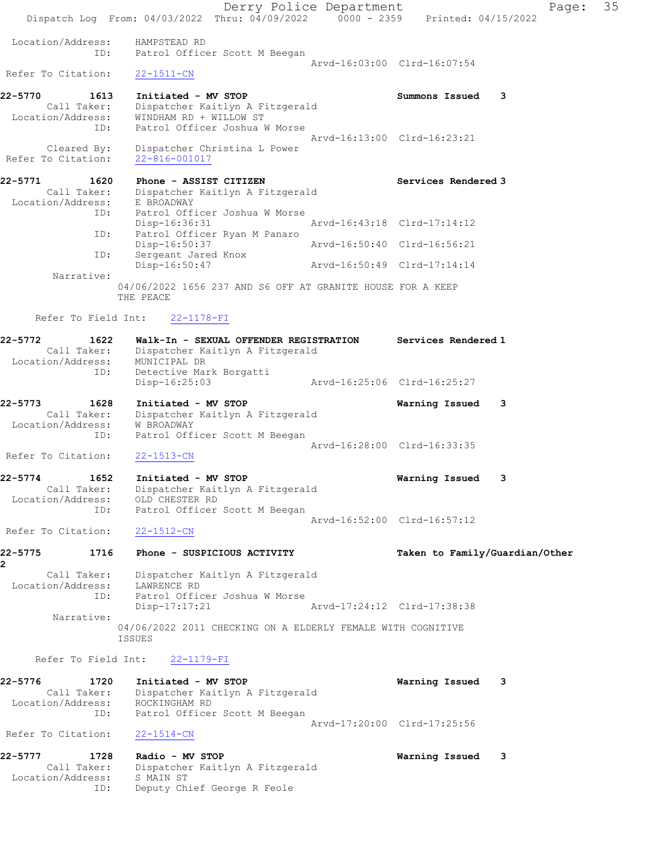Derry Police Department The Page: 35 Dispatch Log From: 04/03/2022 Thru: 04/09/2022 0000 - 2359 Printed: 04/15/2022 Location/Address: HAMPSTEAD RD ID: Patrol Officer Scott M Beegan Arvd-16:03:00 Clrd-16:07:54 Refer To Citation: 22-1511-CN 22-5770 1613 Initiated - MV STOP Summons Issued 3 Call Taker: Dispatcher Kaitlyn A Fitzgerald Location/Address: WINDHAM RD + WILLOW ST ID: Patrol Officer Joshua W Morse Arvd-16:13:00 Clrd-16:23:21 Cleared By: Dispatcher Christina L Power Refer To Citation: 22-816-001017 22-5771 1620 Phone - ASSIST CITIZEN 1620 Services Rendered 3 Call Taker: Dispatcher Kaitlyn A Fitzgerald Location/Address: E BROADWAY ID: Patrol Officer Joshua W Morse Patrol Officer Joshua W Morse<br>Disp-16:36:31 Arvd-16:43:18 Clrd-17:14:12 ID: Patrol Officer Ryan M Panaro Disp-16:50:37 Arvd-16:50:40 Clrd-16:56:21 ID: Sergeant Jared Knox Disp-16:50:47 Arvd-16:50:49 Clrd-17:14:14 Narrative: 04/06/2022 1656 237 AND S6 OFF AT GRANITE HOUSE FOR A KEEP THE PEACE Refer To Field Int: 22-1178-FI 22-5772 1622 Walk-In - SEXUAL OFFENDER REGISTRATION Services Rendered 1 Call Taker: Dispatcher Kaitlyn A Fitzgerald Location/Address: MUNICIPAL DR ID: Detective Mark Borgatti Disp-16:25:03 Arvd-16:25:06 Clrd-16:25:27 22-5773 1628 Initiated - MV STOP Warning Issued 3 Call Taker: Dispatcher Kaitlyn A Fitzgerald Location/Address: W BROADWAY ID: Patrol Officer Scott M Beegan Arvd-16:28:00 Clrd-16:33:35 Refer To Citation: 22-1513-CN 22-5774 1652 Initiated - MV STOP Warning Issued 3 Call Taker: Dispatcher Kaitlyn A Fitzgerald Location/Address: OLD CHESTER RD ID: Patrol Officer Scott M Beegan Arvd-16:52:00 Clrd-16:57:12 Refer To Citation: 22-1512-CN 22-5775 1716 Phone - SUSPICIOUS ACTIVITY Taken to Family/Guardian/Other 2 Call Taker: Dispatcher Kaitlyn A Fitzgerald Location/Address: LAWRENCE RD ID: Patrol Officer Joshua W Morse Disp-17:17:21 Arvd-17:24:12 Clrd-17:38:38 Narrative: 04/06/2022 2011 CHECKING ON A ELDERLY FEMALE WITH COGNITIVE ISSUES Refer To Field Int: 22-1179-FI 22-5776 1720 Initiated - MV STOP Warning Issued 3 Call Taker: Dispatcher Kaitlyn A Fitzgerald Location/Address: ROCKINGHAM RD ID: Patrol Officer Scott M Beegan Arvd-17:20:00 Clrd-17:25:56 Refer To Citation: 22-1514-CN 22-5777 1728 Radio - MV STOP Warning Issued 3 Call Taker: Dispatcher Kaitlyn A Fitzgerald Location/Address: S MAIN ST

ID: Deputy Chief George R Feole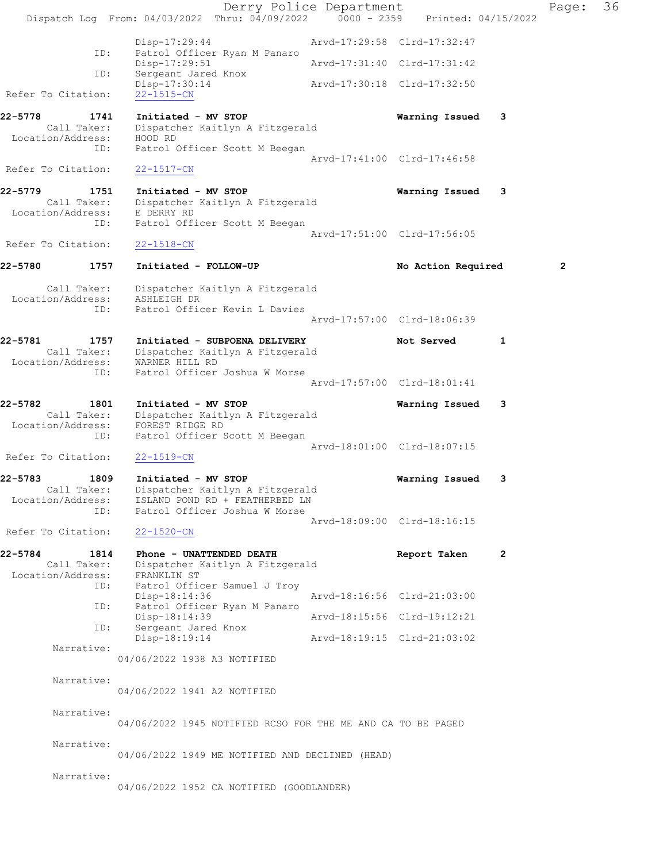|                                                               | Dispatch Log From: 04/03/2022 Thru: 04/09/2022 0000 - 2359 Printed: 04/15/2022                                                        | Derry Police Department |                             |                | Page:        | 36 |
|---------------------------------------------------------------|---------------------------------------------------------------------------------------------------------------------------------------|-------------------------|-----------------------------|----------------|--------------|----|
|                                                               | Disp-17:29:44                                                                                                                         |                         | Arvd-17:29:58 Clrd-17:32:47 |                |              |    |
| ID:                                                           | Patrol Officer Ryan M Panaro<br>Disp-17:29:51                                                                                         |                         | Arvd-17:31:40 Clrd-17:31:42 |                |              |    |
| ID:<br>Refer To Citation:                                     | Sergeant Jared Knox<br>Disp-17:30:14<br>$22 - 1515 - CN$                                                                              |                         | Arvd-17:30:18 Clrd-17:32:50 |                |              |    |
| 22-5778<br>1741                                               | Initiated - MV STOP                                                                                                                   |                         | Warning Issued              | 3              |              |    |
| Call Taker:<br>Location/Address:<br>ID:<br>Refer To Citation: | Dispatcher Kaitlyn A Fitzgerald<br>HOOD RD<br>Patrol Officer Scott M Beegan<br>$22 - 1517 - CN$                                       |                         | Arvd-17:41:00 Clrd-17:46:58 |                |              |    |
| 22-5779<br>1751                                               | Initiated - MV STOP                                                                                                                   |                         | Warning Issued              | 3              |              |    |
| Call Taker:<br>Location/Address: E DERRY RD<br>ID:            | Dispatcher Kaitlyn A Fitzgerald<br>Patrol Officer Scott M Beegan                                                                      |                         | Arvd-17:51:00 Clrd-17:56:05 |                |              |    |
| Refer To Citation:                                            | $22 - 1518 - CN$                                                                                                                      |                         |                             |                |              |    |
| 22-5780<br>1757                                               | Initiated - FOLLOW-UP                                                                                                                 |                         | No Action Required          |                | $\mathbf{2}$ |    |
| Call Taker:<br>Location/Address:                              | Dispatcher Kaitlyn A Fitzgerald<br>ASHLEIGH DR                                                                                        |                         |                             |                |              |    |
| ID:                                                           | Patrol Officer Kevin L Davies                                                                                                         |                         | Arvd-17:57:00 Clrd-18:06:39 |                |              |    |
| 22-5781<br>1757<br>Call Taker:<br>Location/Address:           | Initiated - SUBPOENA DELIVERY<br>Dispatcher Kaitlyn A Fitzgerald<br>WARNER HILL RD                                                    |                         | Not Served                  | 1              |              |    |
| ID:                                                           | Patrol Officer Joshua W Morse                                                                                                         |                         | Arvd-17:57:00 Clrd-18:01:41 |                |              |    |
| 22-5782<br>1801<br>Call Taker:<br>Location/Address:<br>ID:    | Initiated - MV STOP<br>Dispatcher Kaitlyn A Fitzgerald<br>FOREST RIDGE RD<br>Patrol Officer Scott M Beegan                            |                         | Warning Issued              | 3              |              |    |
| Refer To Citation:                                            | $22 - 1519 - CN$                                                                                                                      |                         | Arvd-18:01:00 Clrd-18:07:15 |                |              |    |
| 22-5783<br>1809<br>Location/Address:<br>ID:                   | Initiated - MV STOP<br>Call Taker: Dispatcher Kaitlyn A Fitzgerald<br>ISLAND POND RD + FEATHERBED LN<br>Patrol Officer Joshua W Morse |                         | Warning Issued              | 3              |              |    |
| Refer To Citation:                                            | $22 - 1520 - CN$                                                                                                                      |                         | Arvd-18:09:00 Clrd-18:16:15 |                |              |    |
| 22-5784<br>1814<br>Call Taker:<br>Location/Address:<br>ID:    | Phone - UNATTENDED DEATH<br>Dispatcher Kaitlyn A Fitzgerald<br>FRANKLIN ST<br>Patrol Officer Samuel J Troy                            |                         | Report Taken                | $\overline{2}$ |              |    |
| ID:                                                           | Disp-18:14:36<br>Patrol Officer Ryan M Panaro                                                                                         |                         | Arvd-18:16:56 Clrd-21:03:00 |                |              |    |
| ID:                                                           | Disp-18:14:39<br>Sergeant Jared Knox                                                                                                  |                         | Arvd-18:15:56 Clrd-19:12:21 |                |              |    |
| Narrative:                                                    | Disp-18:19:14                                                                                                                         |                         | Arvd-18:19:15 Clrd-21:03:02 |                |              |    |
|                                                               | 04/06/2022 1938 A3 NOTIFIED                                                                                                           |                         |                             |                |              |    |
| Narrative:                                                    | 04/06/2022 1941 A2 NOTIFIED                                                                                                           |                         |                             |                |              |    |
| Narrative:                                                    | 04/06/2022 1945 NOTIFIED RCSO FOR THE ME AND CA TO BE PAGED                                                                           |                         |                             |                |              |    |
| Narrative:                                                    | 04/06/2022 1949 ME NOTIFIED AND DECLINED (HEAD)                                                                                       |                         |                             |                |              |    |
| Narrative:                                                    | 04/06/2022 1952 CA NOTIFIED (GOODLANDER)                                                                                              |                         |                             |                |              |    |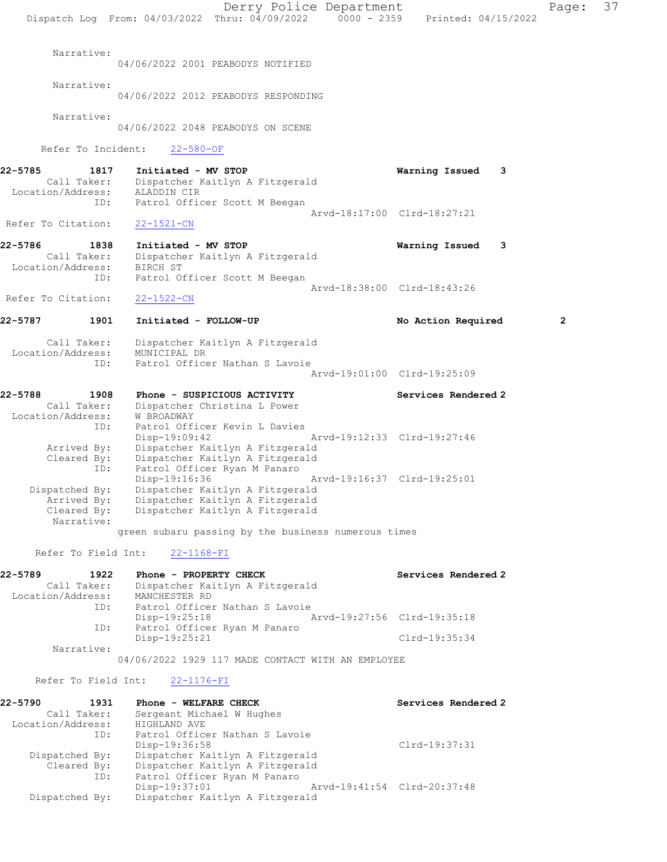|                    |                                  |                                                                                | Derry Police Department |                             | Page: | 37 |
|--------------------|----------------------------------|--------------------------------------------------------------------------------|-------------------------|-----------------------------|-------|----|
|                    |                                  | Dispatch Log From: 04/03/2022 Thru: 04/09/2022 0000 - 2359 Printed: 04/15/2022 |                         |                             |       |    |
|                    | Narrative:                       |                                                                                |                         |                             |       |    |
|                    |                                  | 04/06/2022 2001 PEABODYS NOTIFIED                                              |                         |                             |       |    |
|                    | Narrative:                       | 04/06/2022 2012 PEABODYS RESPONDING                                            |                         |                             |       |    |
|                    | Narrative:                       | 04/06/2022 2048 PEABODYS ON SCENE                                              |                         |                             |       |    |
|                    | Refer To Incident:               | $22 - 580 - OF$                                                                |                         |                             |       |    |
| 22-5785            | 1817                             | Initiated - MV STOP                                                            |                         | Warning Issued<br>3         |       |    |
|                    | Call Taker:<br>Location/Address: | Dispatcher Kaitlyn A Fitzgerald<br>ALADDIN CIR                                 |                         |                             |       |    |
|                    | ID:                              | Patrol Officer Scott M Beegan                                                  |                         |                             |       |    |
| Refer To Citation: |                                  | $22 - 1521 - CN$                                                               |                         | Arvd-18:17:00 Clrd-18:27:21 |       |    |
|                    |                                  |                                                                                |                         |                             |       |    |
| 22-5786            | 1838<br>Call Taker:              | Initiated - MV STOP<br>Dispatcher Kaitlyn A Fitzgerald                         |                         | Warning Issued<br>3         |       |    |
|                    | Location/Address:                | BIRCH ST                                                                       |                         |                             |       |    |
|                    | ID:                              | Patrol Officer Scott M Beegan                                                  |                         | Arvd-18:38:00 Clrd-18:43:26 |       |    |
| Refer To Citation: |                                  | $22 - 1522 - CN$                                                               |                         |                             |       |    |
| 22-5787            | 1901                             | Initiated - FOLLOW-UP                                                          |                         | No Action Required          | 2     |    |
|                    | Call Taker:                      | Dispatcher Kaitlyn A Fitzgerald                                                |                         |                             |       |    |
|                    | Location/Address:<br>ID:         | MUNICIPAL DR<br>Patrol Officer Nathan S Lavoie                                 |                         |                             |       |    |
|                    |                                  |                                                                                |                         | Arvd-19:01:00 Clrd-19:25:09 |       |    |
| 22-5788            | 1908                             | Phone - SUSPICIOUS ACTIVITY                                                    |                         | Services Rendered 2         |       |    |
|                    | Call Taker:<br>Location/Address: | Dispatcher Christina L Power<br>W BROADWAY                                     |                         |                             |       |    |
|                    | ID:                              | Patrol Officer Kevin L Davies                                                  |                         |                             |       |    |
|                    | Arrived By:                      | Disp-19:09:42<br>Dispatcher Kaitlyn A Fitzgerald                               |                         | Arvd-19:12:33 Clrd-19:27:46 |       |    |
|                    | Cleared By:                      | Dispatcher Kaitlyn A Fitzgerald                                                |                         |                             |       |    |
|                    | ID:                              | Patrol Officer Ryan M Panaro                                                   |                         |                             |       |    |
|                    | Dispatched By:                   | Disp-19:16:36<br>Dispatcher Kaitlyn A Fitzgerald                               |                         | Arvd-19:16:37 Clrd-19:25:01 |       |    |
|                    | Arrived By:                      | Dispatcher Kaitlyn A Fitzgerald                                                |                         |                             |       |    |
|                    | Cleared By:<br>Narrative:        | Dispatcher Kaitlyn A Fitzgerald                                                |                         |                             |       |    |
|                    |                                  | green subaru passing by the business numerous times                            |                         |                             |       |    |
|                    | Refer To Field Int:              | $22 - 1168 - FI$                                                               |                         |                             |       |    |
| 22-5789            | 1922                             | Phone - PROPERTY CHECK                                                         |                         | Services Rendered 2         |       |    |
|                    | Call Taker:<br>Location/Address: | Dispatcher Kaitlyn A Fitzgerald<br>MANCHESTER RD                               |                         |                             |       |    |
|                    | ID:                              | Patrol Officer Nathan S Lavoie                                                 |                         |                             |       |    |
|                    | ID:                              | Disp-19:25:18<br>Patrol Officer Ryan M Panaro                                  |                         | Arvd-19:27:56 Clrd-19:35:18 |       |    |
|                    |                                  | Disp-19:25:21                                                                  |                         | $Clrd-19:35:34$             |       |    |
|                    | Narrative:                       | 04/06/2022 1929 117 MADE CONTACT WITH AN EMPLOYEE                              |                         |                             |       |    |
|                    | Refer To Field Int:              | $22 - 1176 - FI$                                                               |                         |                             |       |    |
| 22-5790            | 1931                             | Phone - WELFARE CHECK                                                          |                         | Services Rendered 2         |       |    |
|                    | Call Taker:                      | Sergeant Michael W Hughes                                                      |                         |                             |       |    |
|                    | Location/Address:<br>ID:         | HIGHLAND AVE<br>Patrol Officer Nathan S Lavoie                                 |                         |                             |       |    |
|                    |                                  | Disp-19:36:58                                                                  |                         | $Clrd-19:37:31$             |       |    |
|                    | Dispatched By:                   | Dispatcher Kaitlyn A Fitzgerald                                                |                         |                             |       |    |
|                    | Cleared By:<br>ID:               | Dispatcher Kaitlyn A Fitzgerald<br>Patrol Officer Ryan M Panaro                |                         |                             |       |    |
|                    |                                  | Disp-19:37:01                                                                  |                         | Arvd-19:41:54 Clrd-20:37:48 |       |    |
|                    | Dispatched By:                   | Dispatcher Kaitlyn A Fitzgerald                                                |                         |                             |       |    |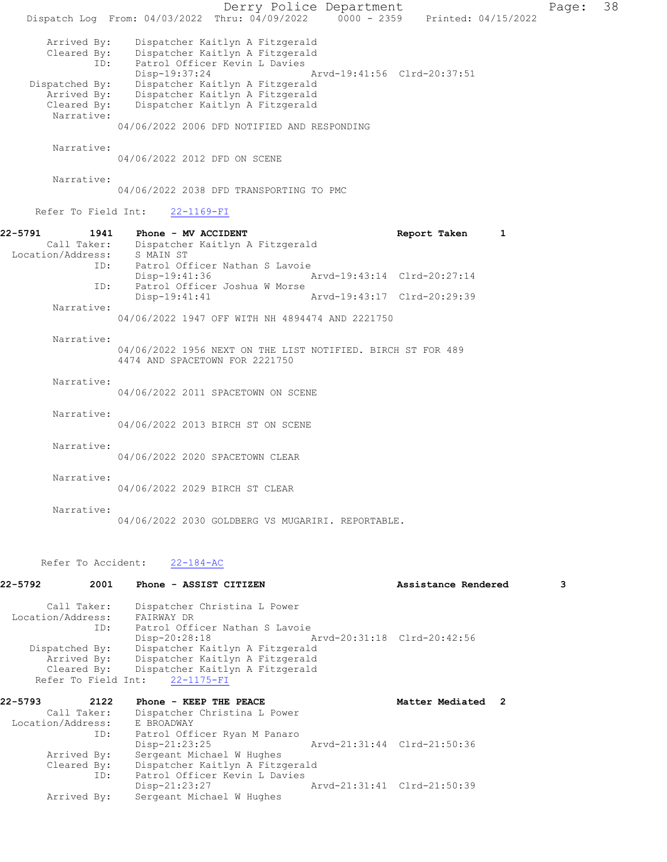Derry Police Department Fage: 38 Dispatch Log From: 04/03/2022 Thru: 04/09/2022 0000 - 2359 Printed: 04/15/2022 Arrived By: Dispatcher Kaitlyn A Fitzgerald Cleared By: Dispatcher Kaitlyn A Fitzgerald ID: Patrol Officer Kevin L Davies Disp-19:37:24 Arvd-19:41:56 Clrd-20:37:51 Dispatched By: Dispatcher Kaitlyn A Fitzgerald Arrived By: Dispatcher Kaitlyn A Fitzgerald Cleared By: Dispatcher Kaitlyn A Fitzgerald Narrative: 04/06/2022 2006 DFD NOTIFIED AND RESPONDING Narrative: 04/06/2022 2012 DFD ON SCENE Narrative: 04/06/2022 2038 DFD TRANSPORTING TO PMC Refer To Field Int: 22-1169-FI 22-5791 1941 Phone - MV ACCIDENT Report Taken 1 Call Taker: Dispatcher Kaitlyn A Fitzgerald Location/Address: S MAIN ST ID: Patrol Officer Nathan S Lavoie<br>Disp-19:41:36 Arvd-19:43:14 Clrd-20:27:14 Disp-19:41:36 Arvd-19:43:14 Clrd-20:27:14 ID: Patrol Officer Joshua W Morse Disp-19:41:41 Arvd-19:43:17 Clrd-20:29:39 Narrative: 04/06/2022 1947 OFF WITH NH 4894474 AND 2221750 Narrative: 04/06/2022 1956 NEXT ON THE LIST NOTIFIED. BIRCH ST FOR 489 4474 AND SPACETOWN FOR 2221750 Narrative: 04/06/2022 2011 SPACETOWN ON SCENE Narrative: 04/06/2022 2013 BIRCH ST ON SCENE Narrative: 04/06/2022 2020 SPACETOWN CLEAR Narrative: 04/06/2022 2029 BIRCH ST CLEAR Narrative: 04/06/2022 2030 GOLDBERG VS MUGARIRI. REPORTABLE. Refer To Accident: 22-184-AC

| 22-5792 | 2001              | Phone - ASSIST CITIZEN                      |                             | Assistance Rendered | 3 |  |
|---------|-------------------|---------------------------------------------|-----------------------------|---------------------|---|--|
|         |                   | Call Taker: Dispatcher Christina L Power    |                             |                     |   |  |
|         | Location/Address: | FAIRWAY DR                                  |                             |                     |   |  |
|         | ID:               | Patrol Officer Nathan S Lavoie              |                             |                     |   |  |
|         |                   | Disp-20:28:18                               |                             |                     |   |  |
|         | Dispatched By:    | Dispatcher Kaitlyn A Fitzgerald             |                             |                     |   |  |
|         |                   | Arrived By: Dispatcher Kaitlyn A Fitzgerald |                             |                     |   |  |
|         |                   | Cleared By: Dispatcher Kaitlyn A Fitzgerald |                             |                     |   |  |
|         |                   | Refer To Field Int: 22-1175-FI              |                             |                     |   |  |
| 22-5793 | 2122              | Phone - KEEP THE PEACE                      |                             | Matter Mediated 2   |   |  |
|         | Call Taker:       | Dispatcher Christina L Power                |                             |                     |   |  |
|         |                   | Location/Address: E BROADWAY                |                             |                     |   |  |
|         | ID:               | Patrol Officer Ryan M Panaro                |                             |                     |   |  |
|         |                   | $Disp-21:23:25$                             | Arvd-21:31:44 Clrd-21:50:36 |                     |   |  |
|         | Arrived By:       | Sergeant Michael W Hughes                   |                             |                     |   |  |
|         |                   | Cleared By: Dispatcher Kaitlyn A Fitzgerald |                             |                     |   |  |
|         | ID:               | Patrol Officer Kevin L Davies               |                             |                     |   |  |
|         |                   | Disp-21:23:27                               | Arvd-21:31:41 Clrd-21:50:39 |                     |   |  |
|         | Arrived By:       | Sergeant Michael W Hughes                   |                             |                     |   |  |
|         |                   |                                             |                             |                     |   |  |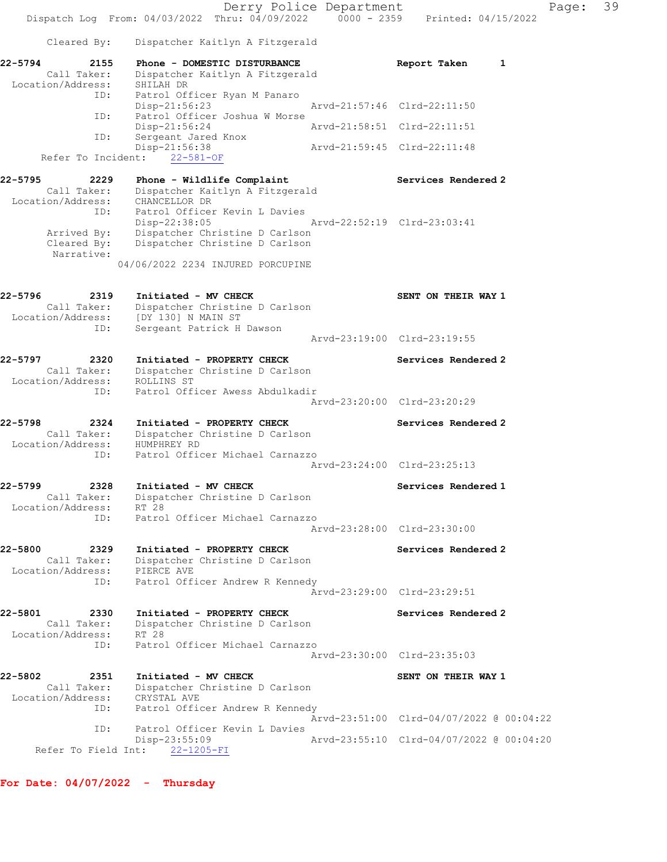Derry Police Department Fage: 39 Dispatch Log From: 04/03/2022 Thru: 04/09/2022 0000 - 2359 Printed: 04/15/2022 Cleared By: Dispatcher Kaitlyn A Fitzgerald 22-5794 2155 Phone - DOMESTIC DISTURBANCE Report Taken 1 Call Taker: Dispatcher Kaitlyn A Fitzgerald Location/Address: SHILAH DR ID: Patrol Officer Ryan M Panaro Disp-21:56:23 Arvd-21:57:46 Clrd-22:11:50 ID: Patrol Officer Joshua W Morse Disp-21:56:24 Arvd-21:58:51 Clrd-22:11:51 ID: Sergeant Jared Knox Disp-21:56:38 Arvd-21:59:45 Clrd-22:11:48 Refer To Incident: 22-581-OF 22-5795 2229 Phone - Wildlife Complaint Services Rendered 2 Call Taker: Dispatcher Kaitlyn A Fitzgerald Location/Address: CHANCELLOR DR ID: Patrol Officer Kevin L Davies Disp-22:38:05 Arvd-22:52:19 Clrd-23:03:41 Arrived By: Dispatcher Christine D Carlson Cleared By: Dispatcher Christine D Carlson Narrative: 04/06/2022 2234 INJURED PORCUPINE 22-5796 2319 Initiated - MV CHECK SENT ON THEIR WAY 1 Call Taker: Dispatcher Christine D Carlson Location/Address: [DY 130] N MAIN ST ID: Sergeant Patrick H Dawson Arvd-23:19:00 Clrd-23:19:55 22-5797 2320 Initiated - PROPERTY CHECK Services Rendered 2 Call Taker: Dispatcher Christine D Carlson Location/Address: ROLLINS ST ID: Patrol Officer Awess Abdulkadir Arvd-23:20:00 Clrd-23:20:29 22-5798 2324 Initiated - PROPERTY CHECK Services Rendered 2 Call Taker: Dispatcher Christine D Carlson Location/Address: HUMPHREY RD ID: Patrol Officer Michael Carnazzo Arvd-23:24:00 Clrd-23:25:13 22-5799 2328 Initiated - MV CHECK Services Rendered 1 Call Taker: Dispatcher Christine D Carlson Location/Address: RT 28 ID: Patrol Officer Michael Carnazzo Arvd-23:28:00 Clrd-23:30:00 22-5800 2329 Initiated - PROPERTY CHECK Services Rendered 2 Call Taker: Dispatcher Christine D Carlson Location/Address: PIERCE AVE ID: Patrol Officer Andrew R Kennedy Arvd-23:29:00 Clrd-23:29:51 22-5801 2330 Initiated - PROPERTY CHECK Services Rendered 2 Call Taker: Dispatcher Christine D Carlson Location/Address: RT 28 ID: Patrol Officer Michael Carnazzo Arvd-23:30:00 Clrd-23:35:03 22-5802 2351 Initiated - MV CHECK SENT ON THEIR WAY 1 Call Taker: Dispatcher Christine D Carlson Location/Address: CRYSTAL AVE ID: Patrol Officer Andrew R Kennedy Arvd-23:51:00 Clrd-04/07/2022 @ 00:04:22<br>ID: Patrol Officer Kevin L Davies Patrol Officer Kevin L Davies<br>Disp-23:55:09 Disp-23:55:09 Arvd-23:55:10 Clrd-04/07/2022 @ 00:04:20 Refer To Field Int: 22-1205-FI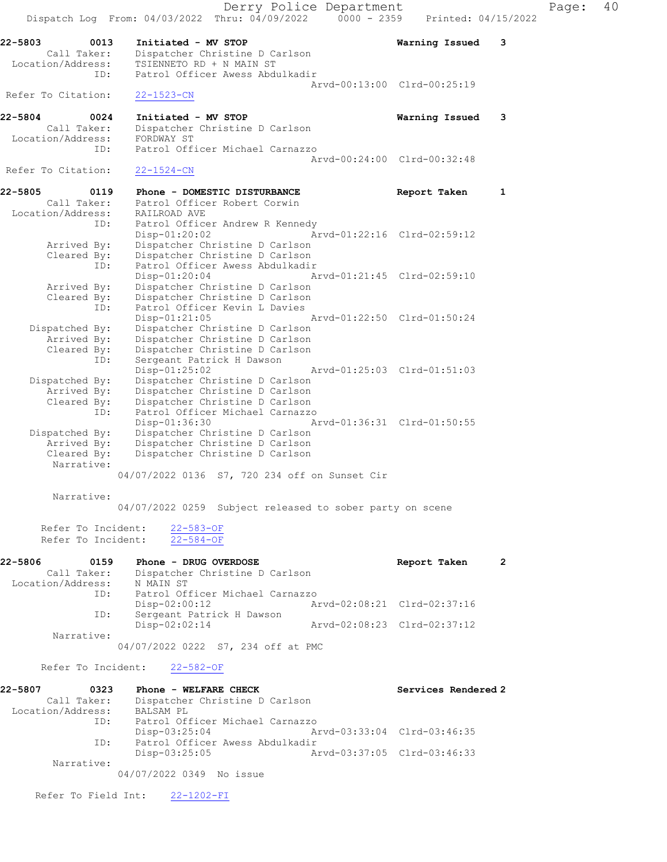|                                                     | Derry Police Department<br>Dispatch Log From: 04/03/2022 Thru: 04/09/2022<br>$0000 - 2359$ | Printed: 04/15/2022         |  |
|-----------------------------------------------------|--------------------------------------------------------------------------------------------|-----------------------------|--|
| 22-5803<br>0013<br>Call Taker:<br>Location/Address: | Initiated - MV STOP<br>Dispatcher Christine D Carlson<br>TSIENNETO RD + N MAIN ST          | Warning Issued<br>3         |  |
| ID:                                                 | Patrol Officer Awess Abdulkadir                                                            |                             |  |
| Refer To Citation:                                  | $22 - 1523 - CN$                                                                           | Arvd-00:13:00 Clrd-00:25:19 |  |
| $22 - 5804$<br>0024                                 | Initiated - MV STOP                                                                        | Warning Issued<br>3         |  |
| Call Taker:<br>Location/Address:                    | Dispatcher Christine D Carlson<br>FORDWAY ST                                               |                             |  |
| ID:                                                 | Patrol Officer Michael Carnazzo                                                            |                             |  |
| Refer To Citation:                                  | $22 - 1524 - CN$                                                                           | Arvd-00:24:00 Clrd-00:32:48 |  |
| 22-5805<br>0119                                     | Phone - DOMESTIC DISTURBANCE                                                               | Report Taken<br>1           |  |
| Call Taker:<br>Location/Address:                    | Patrol Officer Robert Corwin<br>RAILROAD AVE                                               |                             |  |
| ID:                                                 | Patrol Officer Andrew R Kennedy                                                            |                             |  |
| Arrived By:                                         | Disp-01:20:02<br>Dispatcher Christine D Carlson                                            | Arvd-01:22:16 Clrd-02:59:12 |  |
| Cleared By:                                         | Dispatcher Christine D Carlson                                                             |                             |  |
| ID:                                                 | Patrol Officer Awess Abdulkadir                                                            |                             |  |
|                                                     | $Disp-01:20:04$                                                                            | Arvd-01:21:45 Clrd-02:59:10 |  |
| Arrived By:                                         | Dispatcher Christine D Carlson                                                             |                             |  |
| Cleared By:<br>ID:                                  | Dispatcher Christine D Carlson<br>Patrol Officer Kevin L Davies                            |                             |  |
|                                                     | Disp-01:21:05                                                                              | Arvd-01:22:50 Clrd-01:50:24 |  |
| Dispatched By:                                      | Dispatcher Christine D Carlson                                                             |                             |  |
| Arrived By:                                         | Dispatcher Christine D Carlson                                                             |                             |  |
| Cleared By:                                         | Dispatcher Christine D Carlson                                                             |                             |  |
| ID:                                                 | Sergeant Patrick H Dawson<br>Disp-01:25:02                                                 | Arvd-01:25:03 Clrd-01:51:03 |  |
| Dispatched By:                                      | Dispatcher Christine D Carlson                                                             |                             |  |
| Arrived By:                                         | Dispatcher Christine D Carlson                                                             |                             |  |
| Cleared By:                                         | Dispatcher Christine D Carlson                                                             |                             |  |
| ID:                                                 | Patrol Officer Michael Carnazzo                                                            |                             |  |
|                                                     | Disp-01:36:30                                                                              | Arvd-01:36:31 Clrd-01:50:55 |  |
| Dispatched By:<br>Arrived By:                       | Dispatcher Christine D Carlson<br>Dispatcher Christine D Carlson                           |                             |  |
| Cleared By:                                         | Dispatcher Christine D Carlson                                                             |                             |  |
| Narrative:                                          |                                                                                            |                             |  |
|                                                     | 04/07/2022 0136 S7, 720 234 off on Sunset Cir                                              |                             |  |
| Narrative:                                          | 04/07/2022 0259 Subject released to sober party on scene                                   |                             |  |
| Refer To Incident:                                  | $22 - 583 - OF$                                                                            |                             |  |
| Refer To Incident:                                  | $22 - 584 - OF$                                                                            |                             |  |
| 22-5806<br>0159<br>Call Taker:                      | Phone - DRUG OVERDOSE<br>Dispatcher Christine D Carlson                                    | Report Taken<br>2           |  |
|                                                     |                                                                                            |                             |  |
|                                                     | Location/Address: N MAIN ST<br>ID: Patrol Officer Michael Carnazzo<br>Disp-02:00:12        | Arvd-02:08:21 Clrd-02:37:16 |  |
| ID:                                                 | Sergeant Patrick H Dawson<br>Disp-02:02:14<br>Arvd-02:08:23 Clrd-02:37:12                  |                             |  |
| Narrative:                                          |                                                                                            |                             |  |
|                                                     | 04/07/2022 0222 S7, 234 off at PMC                                                         |                             |  |
| Refer To Incident:                                  | 22-582-OF                                                                                  |                             |  |
| 22-5807<br>0323                                     | Phone - WELFARE CHECK                                                                      | Services Rendered 2         |  |
| Call Taker:<br>Location/Address: BALSAM PL          | Dispatcher Christine D Carlson                                                             |                             |  |
|                                                     |                                                                                            |                             |  |
| ID:                                                 | Patrol Officer Michael Carnazzo<br>Disp-03:25:04                                           | Arvd-03:33:04 Clrd-03:46:35 |  |
| ID:                                                 | Patrol Officer Awess Abdulkadir                                                            |                             |  |
|                                                     | Disp-03:25:05                                                                              | Arvd-03:37:05 Clrd-03:46:33 |  |
| Narrative:                                          |                                                                                            |                             |  |
|                                                     | 04/07/2022 0349 No issue                                                                   |                             |  |
| Refer To Field Int:                                 | $22 - 1202 - FI$                                                                           |                             |  |
|                                                     |                                                                                            |                             |  |

Page: 40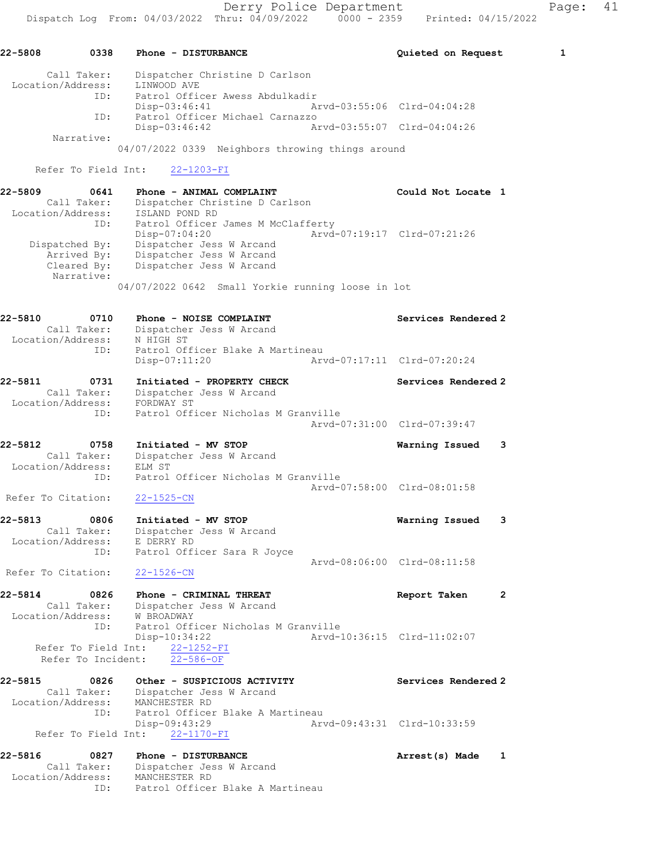| 22-5808                      | 0338                                      | Phone - DISTURBANCE                                                                             | Quieted on Request          | 1 |
|------------------------------|-------------------------------------------|-------------------------------------------------------------------------------------------------|-----------------------------|---|
| Location/Address:<br>ID:     | Call Taker:                               | Dispatcher Christine D Carlson<br>LINWOOD AVE                                                   |                             |   |
|                              |                                           | Patrol Officer Awess Abdulkadir<br>$Disp-03:46:41$                                              | Arvd-03:55:06 Clrd-04:04:28 |   |
|                              | ID:<br>Narrative:                         | Patrol Officer Michael Carnazzo<br>$Disp-03:46:42$                                              | Arvd-03:55:07 Clrd-04:04:26 |   |
|                              |                                           | 04/07/2022 0339 Neighbors throwing things around                                                |                             |   |
|                              | Refer To Field Int:                       | $22 - 1203 - FI$                                                                                |                             |   |
| 22-5809                      | 0641<br>Call Taker:                       | Phone - ANIMAL COMPLAINT<br>Dispatcher Christine D Carlson                                      | Could Not Locate 1          |   |
| Location/Address:            | ID:                                       | ISLAND POND RD<br>Patrol Officer James M McClafferty                                            |                             |   |
|                              | Dispatched By:                            | $Disp-07:04:20$<br>Dispatcher Jess W Arcand                                                     | Arvd-07:19:17 Clrd-07:21:26 |   |
|                              | Arrived By:<br>Cleared By:<br>Narrative:  | Dispatcher Jess W Arcand<br>Dispatcher Jess W Arcand                                            |                             |   |
|                              |                                           | 04/07/2022 0642 Small Yorkie running loose in lot                                               |                             |   |
| 22-5810                      | 0710                                      | Phone - NOISE COMPLAINT                                                                         | Services Rendered 2         |   |
| Location/Address:            | Call Taker:<br>ID:                        | Dispatcher Jess W Arcand<br>N HIGH ST<br>Patrol Officer Blake A Martineau                       |                             |   |
|                              |                                           | Disp-07:11:20                                                                                   | Arvd-07:17:11 Clrd-07:20:24 |   |
| 22-5811<br>Location/Address: | 0731<br>Call Taker:                       | Initiated - PROPERTY CHECK<br>Dispatcher Jess W Arcand<br>FORDWAY ST                            | Services Rendered 2         |   |
|                              | ID:                                       | Patrol Officer Nicholas M Granville                                                             | Arvd-07:31:00 Clrd-07:39:47 |   |
| 22-5812<br>Location/Address: | 0758<br>Call Taker:                       | Initiated - MV STOP<br>Dispatcher Jess W Arcand<br>ELM ST                                       | Warning Issued              | 3 |
|                              | ID:                                       | Patrol Officer Nicholas M Granville                                                             | Arvd-07:58:00 Clrd-08:01:58 |   |
| Refer To Citation:           |                                           | $22 - 1525 - CN$                                                                                |                             |   |
| 22-5813<br>Location/Address: | 0806<br>Call Taker:                       | Initiated - MV STOP<br>Dispatcher Jess W Arcand<br>E DERRY RD                                   | Warning Issued              | 3 |
|                              | ID:                                       | Patrol Officer Sara R Joyce                                                                     | Arvd-08:06:00 Clrd-08:11:58 |   |
| Refer To Citation:           |                                           | $22 - 1526 - CN$                                                                                |                             |   |
| 22-5814                      | 0826                                      | Phone - CRIMINAL THREAT                                                                         | Report Taken                | 2 |
|                              | Call Taker:<br>ID:                        | Dispatcher Jess W Arcand<br>Location/Address: W BROADWAY<br>Patrol Officer Nicholas M Granville |                             |   |
|                              | Refer To Field Int:<br>Refer To Incident: | $Disp-10:34:22$<br>22-1252-FI<br>$22 - 586 - OF$                                                | Arvd-10:36:15 Clrd-11:02:07 |   |
| 22-5815                      | 0826                                      | Other - SUSPICIOUS ACTIVITY                                                                     | Services Rendered 2         |   |
| Location/Address:            | Call Taker:<br>ID:                        | Dispatcher Jess W Arcand<br>MANCHESTER RD<br>Patrol Officer Blake A Martineau                   |                             |   |
|                              | Refer To Field Int:                       | Disp-09:43:29<br>22-1170-FI                                                                     | Arvd-09:43:31 Clrd-10:33:59 |   |
| 22-5816                      | 0827                                      | Phone - DISTURBANCE                                                                             | Arrest(s) Made              | 1 |
| Location/Address:            | Call Taker:<br>ID:                        | Dispatcher Jess W Arcand<br>MANCHESTER RD<br>Patrol Officer Blake A Martineau                   |                             |   |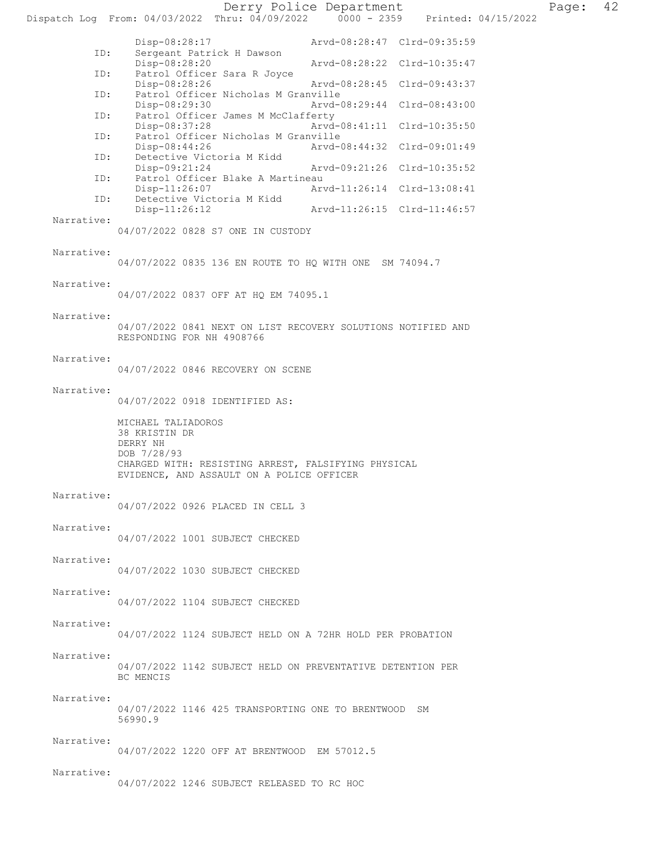Derry Police Department Fage: 42 Dispatch Log From: 04/03/2022 Thru: 04/09/2022 0000 - 2359 Printed: 04/15/2022

|            | Disp-08:28:17<br>Arvd-08:28:47 Clrd-09:35:59                                                     |  |
|------------|--------------------------------------------------------------------------------------------------|--|
| ID:        | Sergeant Patrick H Dawson<br>Disp-08:28:20<br>Arvd-08:28:22 Clrd-10:35:47                        |  |
| ID:        | Patrol Officer Sara R Joyce                                                                      |  |
| ID:        | $Disp-08:28:26$<br>Arvd-08:28:45 Clrd-09:43:37<br>Patrol Officer Nicholas M Granville            |  |
| ID:        | Disp-08:29:30<br>Arvd-08:29:44 Clrd-08:43:00<br>Patrol Officer James M McClafferty               |  |
| ID:        | Disp-08:37:28<br>Arvd-08:41:11 Clrd-10:35:50<br>Patrol Officer Nicholas M Granville              |  |
|            | Disp-08:44:26<br>Arvd-08:44:32 Clrd-09:01:49                                                     |  |
| ID:        | Detective Victoria M Kidd<br>Disp-09:21:24<br>Arvd-09:21:26 Clrd-10:35:52                        |  |
| ID:        | Patrol Officer Blake A Martineau<br>$Disp-11:26:07$<br>Arvd-11:26:14 Clrd-13:08:41               |  |
| ID:        | Detective Victoria M Kidd<br>Disp-11:26:12<br>Arvd-11:26:15 Clrd-11:46:57                        |  |
| Narrative: | 04/07/2022 0828 S7 ONE IN CUSTODY                                                                |  |
|            |                                                                                                  |  |
| Narrative: | 04/07/2022 0835 136 EN ROUTE TO HQ WITH ONE SM 74094.7                                           |  |
| Narrative: |                                                                                                  |  |
|            | 04/07/2022 0837 OFF AT HQ EM 74095.1                                                             |  |
| Narrative: |                                                                                                  |  |
|            | 04/07/2022 0841 NEXT ON LIST RECOVERY SOLUTIONS NOTIFIED AND<br>RESPONDING FOR NH 4908766        |  |
| Narrative: |                                                                                                  |  |
|            | 04/07/2022 0846 RECOVERY ON SCENE                                                                |  |
| Narrative: | 04/07/2022 0918 IDENTIFIED AS:                                                                   |  |
|            | MICHAEL TALIADOROS                                                                               |  |
|            | 38 KRISTIN DR                                                                                    |  |
|            | DERRY NH<br>DOB 7/28/93                                                                          |  |
|            | CHARGED WITH: RESISTING ARREST, FALSIFYING PHYSICAL<br>EVIDENCE, AND ASSAULT ON A POLICE OFFICER |  |
| Narrative: |                                                                                                  |  |
|            | 04/07/2022 0926 PLACED IN CELL 3                                                                 |  |
| Narrative: |                                                                                                  |  |
|            | 04/07/2022 1001 SUBJECT CHECKED                                                                  |  |
| Narrative: | 04/07/2022 1030 SUBJECT CHECKED                                                                  |  |
|            |                                                                                                  |  |
| Narrative: | 04/07/2022 1104 SUBJECT CHECKED                                                                  |  |
| Narrative: |                                                                                                  |  |
|            | 04/07/2022 1124 SUBJECT HELD ON A 72HR HOLD PER PROBATION                                        |  |
| Narrative: |                                                                                                  |  |
|            |                                                                                                  |  |
|            | 04/07/2022 1142 SUBJECT HELD ON PREVENTATIVE DETENTION PER<br>BC MENCIS                          |  |
|            |                                                                                                  |  |
| Narrative: | 04/07/2022 1146 425 TRANSPORTING ONE TO BRENTWOOD SM                                             |  |
|            | 56990.9                                                                                          |  |
| Narrative: |                                                                                                  |  |
| Narrative: | 04/07/2022 1220 OFF AT BRENTWOOD EM 57012.5                                                      |  |

04/07/2022 1246 SUBJECT RELEASED TO RC HOC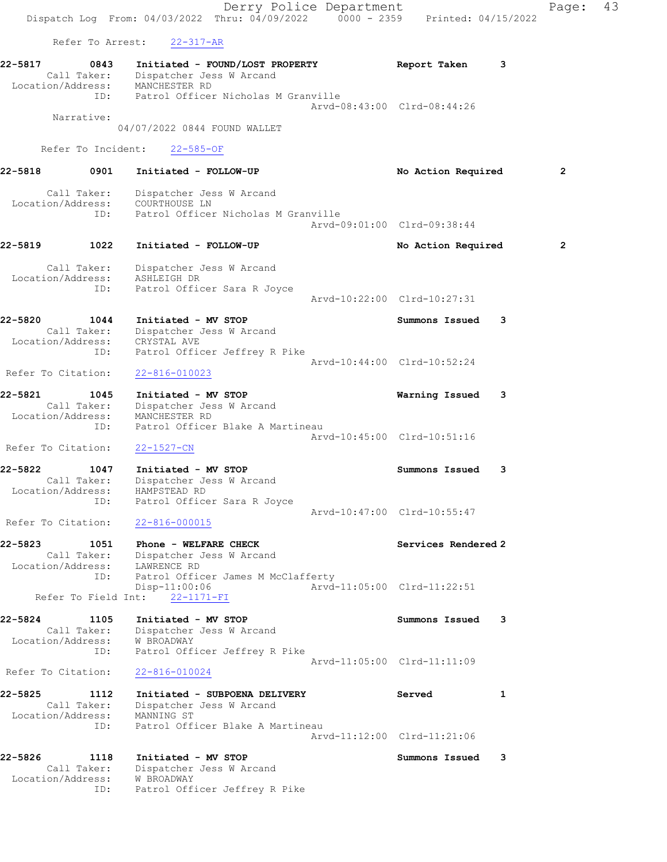Derry Police Department Fage: 43 Dispatch Log From: 04/03/2022 Thru: 04/09/2022 0000 - 2359 Printed: 04/15/2022 Refer To Arrest: 22-317-AR 22-5817 0843 Initiated - FOUND/LOST PROPERTY Report Taken 3 Call Taker: Dispatcher Jess W Arcand Location/Address: MANCHESTER RD ID: Patrol Officer Nicholas M Granville Arvd-08:43:00 Clrd-08:44:26 Narrative: 04/07/2022 0844 FOUND WALLET Refer To Incident: 22-585-OF 22-5818 0901 Initiated - FOLLOW-UP No Action Required 2 Call Taker: Dispatcher Jess W Arcand Location/Address: COURTHOUSE LN ID: Patrol Officer Nicholas M Granville Arvd-09:01:00 Clrd-09:38:44 22-5819 1022 Initiated - FOLLOW-UP 12 No Action Required 2 Call Taker: Dispatcher Jess W Arcand Location/Address: ASHLEIGH DR ID: Patrol Officer Sara R Joyce Arvd-10:22:00 Clrd-10:27:31 22-5820 1044 Initiated - MV STOP Summons Issued 3 Call Taker: Dispatcher Jess W Arcand Location/Address: CRYSTAL AVE ID: Patrol Officer Jeffrey R Pike Arvd-10:44:00 Clrd-10:52:24 Refer To Citation: 22-816-010023 22-5821 1045 Initiated - MV STOP Warning Issued 3 Call Taker: Dispatcher Jess W Arcand Location/Address: MANCHESTER RD ID: Patrol Officer Blake A Martineau Arvd-10:45:00 Clrd-10:51:16 Refer To Citation: 22-1527-CN 22-5822 1047 Initiated - MV STOP Summons Issued 3 Call Taker: Dispatcher Jess W Arcand Location/Address: HAMPSTEAD RD ID: Patrol Officer Sara R Joyce Arvd-10:47:00 Clrd-10:55:47 Refer To Citation: 22-816-000015 22-5823 1051 Phone - WELFARE CHECK Services Rendered 2 Call Taker: Dispatcher Jess W Arcand Location/Address: LAWRENCE RD ID: Patrol Officer James M McClafferty Disp-11:00:06 Arvd-11:05:00 Clrd-11:22:51 Refer To Field Int: 22-1171-FI 22-5824 1105 Initiated - MV STOP Summons Issued 3 Call Taker: Dispatcher Jess W Arcand Location/Address: W BROADWAY ID: Patrol Officer Jeffrey R Pike Arvd-11:05:00 Clrd-11:11:09 Refer To Citation: 22-816-010024 22-5825 1112 Initiated - SUBPOENA DELIVERY Served 1 Call Taker: Dispatcher Jess W Arcand Location/Address: MANNING ST ID: Patrol Officer Blake A Martineau Arvd-11:12:00 Clrd-11:21:06 22-5826 1118 Initiated - MV STOP Summons Issued 3 Call Taker: Dispatcher Jess W Arcand Location/Address: W BROADWAY ID: Patrol Officer Jeffrey R Pike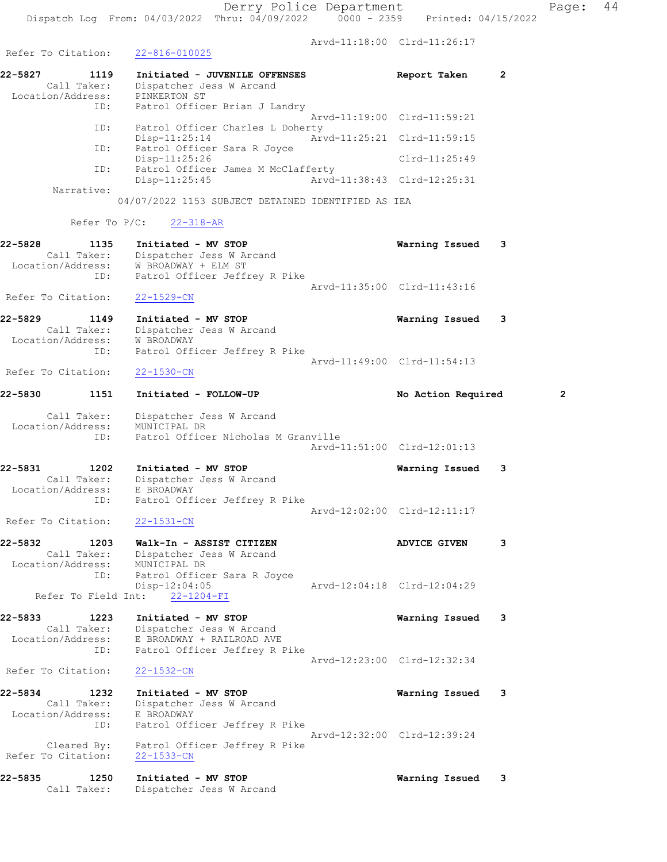Refer To Citation: 22-816-010025

Arvd-11:18:00 Clrd-11:26:17

22-5827 1119 Initiated - JUVENILE OFFENSES Report Taken 2 Call Taker: Dispatcher Jess W Arcand Location/Address: PINKERTON ST ID: Patrol Officer Brian J Landry Arvd-11:19:00 Clrd-11:59:21 ID: Patrol Officer Charles L Doherty<br>Disp-11:25:14 Arv Disp-11:25:14 Arvd-11:25:21 Clrd-11:59:15 ID: Patrol Officer Sara R Joyce<br>Disp-11:25:26 Disp-11:25:26 Clrd-11:25:49 ID: Patrol Officer James M McClafferty Disp-11:25:45 Arvd-11:38:43 Clrd-12:25:31 Narrative: 04/07/2022 1153 SUBJECT DETAINED IDENTIFIED AS IEA Refer To P/C: 22-318-AR 22-5828 1135 Initiated - MV STOP Warning Issued 3 Call Taker: Dispatcher Jess W Arcand Location/Address: W BROADWAY + ELM ST ID: Patrol Officer Jeffrey R Pike Arvd-11:35:00 Clrd-11:43:16 Refer To Citation: 22-1529-CN 22-5829 1149 Initiated - MV STOP Warning Issued 3 Call Taker: Dispatcher Jess W Arcand Location/Address: W BROADWAY ID: Patrol Officer Jeffrey R Pike Arvd-11:49:00 Clrd-11:54:13 Refer To Citation: 22-1530-CN 22-5830 1151 Initiated - FOLLOW-UP No Action Required 2 Call Taker: Dispatcher Jess W Arcand Location/Address: MUNICIPAL DR ID: Patrol Officer Nicholas M Granville Arvd-11:51:00 Clrd-12:01:13 22-5831 1202 Initiated - MV STOP Warning Issued 3 Call Taker: Dispatcher Jess W Arcand Location/Address: E BROADWAY ID: Patrol Officer Jeffrey R Pike Arvd-12:02:00 Clrd-12:11:17 Refer To Citation: 22-1531-CN 22-5832 1203 Walk-In - ASSIST CITIZEN ADVICE GIVEN 3 Call Taker: Dispatcher Jess W Arcand Location/Address: MUNICIPAL DR ID: Patrol Officer Sara R Joyce Disp-12:04:05 Arvd-12:04:18 Clrd-12:04:29 Refer To Field Int: 22-1204-FI 22-5833 1223 Initiated - MV STOP Warning Issued 3 Call Taker: Dispatcher Jess W Arcand Location/Address: E BROADWAY + RAILROAD AVE ID: Patrol Officer Jeffrey R Pike Arvd-12:23:00 Clrd-12:32:34 Refer To Citation: 22-1532-CN 22-5834 1232 Initiated - MV STOP Warning Issued 3 Call Taker: Dispatcher Jess W Arcand Location/Address: E BROADWAY ID: Patrol Officer Jeffrey R Pike Arvd-12:32:00 Clrd-12:39:24 Cleared By: Patrol Officer Jeffrey R Pike Refer To Citation: 22-1533-CN 22-5835 1250 Initiated - MV STOP Warning Issued 3 Call Taker: Dispatcher Jess W Arcand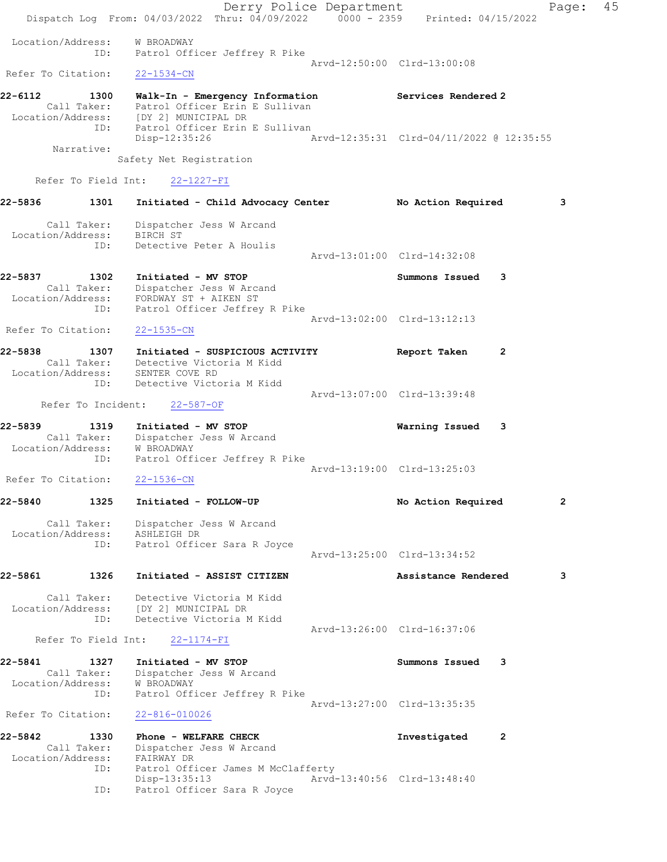Derry Police Department The Page: 45 Dispatch Log From: 04/03/2022 Thru: 04/09/2022 0000 - 2359 Printed: 04/15/2022 Location/Address: W BROADWAY ID: Patrol Officer Jeffrey R Pike Arvd-12:50:00 Clrd-13:00:08 Refer To Citation: 22-1534-CN 22-6112 1300 Walk-In - Emergency Information Services Rendered 2 Call Taker: Patrol Officer Erin E Sullivan Location/Address: [DY 2] MUNICIPAL DR ID: Patrol Officer Erin E Sullivan Disp-12:35:26 Arvd-12:35:31 Clrd-04/11/2022 @ 12:35:55 Narrative: Safety Net Registration Refer To Field Int: 22-1227-FI 22-5836 1301 Initiated - Child Advocacy Center No Action Required 3 Call Taker: Dispatcher Jess W Arcand Location/Address: BIRCH ST ID: Detective Peter A Houlis Arvd-13:01:00 Clrd-14:32:08 22-5837 1302 Initiated - MV STOP Summons Issued 3 Call Taker: Dispatcher Jess W Arcand Location/Address: FORDWAY ST + AIKEN ST ID: Patrol Officer Jeffrey R Pike Arvd-13:02:00 Clrd-13:12:13 Refer To Citation: 22-1535-CN 22-5838 1307 Initiated - SUSPICIOUS ACTIVITY Report Taken 2 Call Taker: Detective Victoria M Kidd Location/Address: SENTER COVE RD ID: Detective Victoria M Kidd Arvd-13:07:00 Clrd-13:39:48 Refer To Incident: 22-587-OF 22-5839 1319 Initiated - MV STOP Warning Issued 3 Call Taker: Dispatcher Jess W Arcand Location/Address: W BROADWAY ID: Patrol Officer Jeffrey R Pike Arvd-13:19:00 Clrd-13:25:03 Refer To Citation: 22-1536-CN 22-5840 1325 Initiated - FOLLOW-UP No Action Required 2 Call Taker: Dispatcher Jess W Arcand Location/Address: ASHLEIGH DR ID: Patrol Officer Sara R Joyce Arvd-13:25:00 Clrd-13:34:52 22-5861 1326 Initiated - ASSIST CITIZEN Assistance Rendered 3 Call Taker: Detective Victoria M Kidd Location/Address: [DY 2] MUNICIPAL DR ID: Detective Victoria M Kidd Arvd-13:26:00 Clrd-16:37:06 Refer To Field Int: 22-1174-FI 22-5841 1327 Initiated - MV STOP Summons Issued 3 Call Taker: Dispatcher Jess W Arcand Location/Address: W BROADWAY ID: Patrol Officer Jeffrey R Pike Arvd-13:27:00 Clrd-13:35:35 Refer To Citation: 22-816-010026 22-5842 1330 Phone - WELFARE CHECK 1120 Phone 2 Call Taker: Dispatcher Jess W Arcand Location/Address: FAIRWAY DR ID: Patrol Officer James M McClafferty Disp-13:35:13 Arvd-13:40:56 Clrd-13:48:40 ID: Patrol Officer Sara R Joyce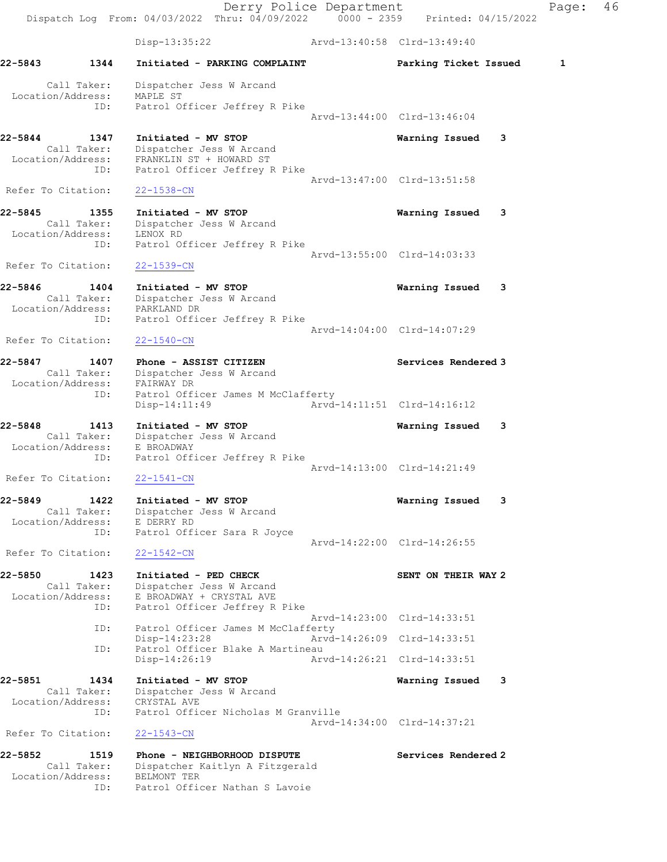Derry Police Department Fage: 46 Dispatch Log From: 04/03/2022 Thru: 04/09/2022 0000 - 2359 Printed: 04/15/2022 Disp-13:35:22 Arvd-13:40:58 Clrd-13:49:40 22-5843 1344 Initiated - PARKING COMPLAINT **Parking Ticket Issued** 1 Call Taker: Dispatcher Jess W Arcand Location/Address: MAPLE ST ID: Patrol Officer Jeffrey R Pike Arvd-13:44:00 Clrd-13:46:04 22-5844 1347 Initiated - MV STOP Warning Issued 3 Call Taker: Dispatcher Jess W Arcand Location/Address: FRANKLIN ST + HOWARD ST ID: Patrol Officer Jeffrey R Pike Arvd-13:47:00 Clrd-13:51:58 Refer To Citation: 22-1538-CN 22-5845 1355 Initiated - MV STOP Warning Issued 3 Call Taker: Dispatcher Jess W Arcand Location/Address: LENOX RD ID: Patrol Officer Jeffrey R Pike Arvd-13:55:00 Clrd-14:03:33 Refer To Citation: 22-1539-CN 22-5846 1404 Initiated - MV STOP Warning Issued 3 Call Taker: Dispatcher Jess W Arcand Location/Address: PARKLAND DR ID: Patrol Officer Jeffrey R Pike Arvd-14:04:00 Clrd-14:07:29 Refer To Citation: 22-1540-CN 22-5847 1407 Phone - ASSIST CITIZEN Services Rendered 3 Call Taker: Dispatcher Jess W Arcand Location/Address: FAIRWAY DR ID: Patrol Officer James M McClafferty Disp-14:11:49 Arvd-14:11:51 Clrd-14:16:12 22-5848 1413 Initiated - MV STOP Warning Issued 3 Call Taker: Dispatcher Jess W Arcand Location/Address: E BROADWAY ID: Patrol Officer Jeffrey R Pike Arvd-14:13:00 Clrd-14:21:49 Refer To Citation: 22-1541-CN 22-5849 1422 Initiated - MV STOP Warning Issued 3 Call Taker: Dispatcher Jess W Arcand Location/Address: E DERRY RD ID: Patrol Officer Sara R Joyce Arvd-14:22:00 Clrd-14:26:55 Refer To Citation: 22-1542-CN 22-5850 1423 Initiated - PED CHECK SENT ON THEIR WAY 2 Call Taker: Dispatcher Jess W Arcand Location/Address: E BROADWAY + CRYSTAL AVE ID: Patrol Officer Jeffrey R Pike Arvd-14:23:00 Clrd-14:33:51 ID: Patrol Officer James M McClafferty<br>Disp-14:23:28 Arvd-Disp-14:23:28 Arvd-14:26:09 Clrd-14:33:51<br>ID: Patrol Officer Blake A Martineau Patrol Officer Blake A Martineau Disp-14:26:19 Arvd-14:26:21 Clrd-14:33:51 22-5851 1434 Initiated - MV STOP Warning Issued 3 Call Taker: Dispatcher Jess W Arcand Location/Address: CRYSTAL AVE ID: Patrol Officer Nicholas M Granville Arvd-14:34:00 Clrd-14:37:21 Refer To Citation: 22-1543-CN 22-5852 1519 Phone - NEIGHBORHOOD DISPUTE Services Rendered 2 Call Taker: Dispatcher Kaitlyn A Fitzgerald Location/Address: BELMONT TER

ID: Patrol Officer Nathan S Lavoie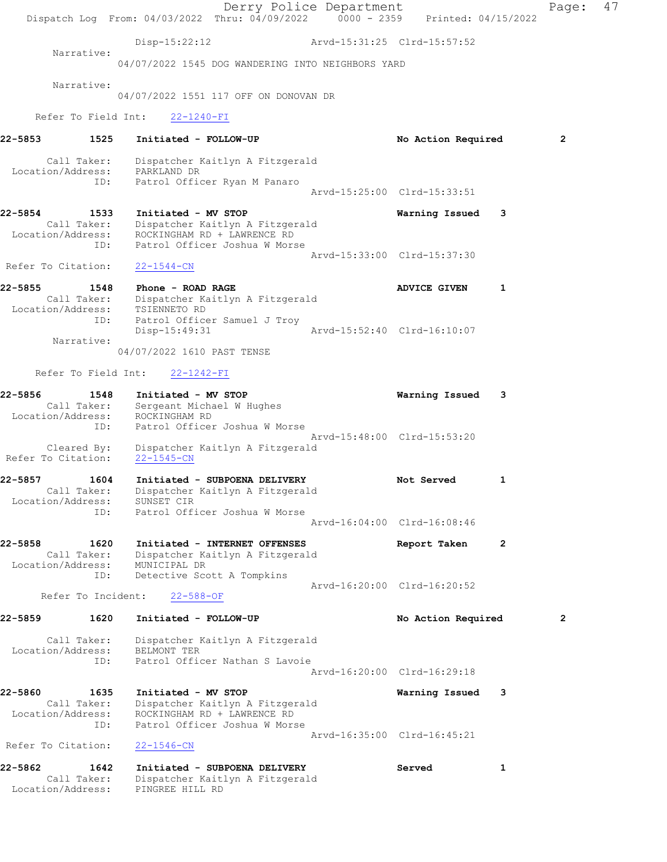Derry Police Department Fage: 47 Dispatch Log From: 04/03/2022 Thru: 04/09/2022 0000 - 2359 Printed: 04/15/2022 Disp-15:22:12 Arvd-15:31:25 Clrd-15:57:52 Narrative: 04/07/2022 1545 DOG WANDERING INTO NEIGHBORS YARD Narrative: 04/07/2022 1551 117 OFF ON DONOVAN DR Refer To Field Int: 22-1240-FI 22-5853 1525 Initiated - FOLLOW-UP No Action Required 2 Call Taker: Dispatcher Kaitlyn A Fitzgerald Location/Address: PARKLAND DR ID: Patrol Officer Ryan M Panaro Arvd-15:25:00 Clrd-15:33:51 22-5854 1533 Initiated - MV STOP Warning Issued 3 Call Taker: Dispatcher Kaitlyn A Fitzgerald Location/Address: ROCKINGHAM RD + LAWRENCE RD ID: Patrol Officer Joshua W Morse Arvd-15:33:00 Clrd-15:37:30 Refer To Citation: 22-1544-CN 22-5855 1548 Phone - ROAD RAGE ADVICE GIVEN 1 Call Taker: Dispatcher Kaitlyn A Fitzgerald Location/Address: TSIENNETO RD ID: Patrol Officer Samuel J Troy Disp-15:49:31 Arvd-15:52:40 Clrd-16:10:07 Narrative: 04/07/2022 1610 PAST TENSE Refer To Field Int: 22-1242-FI 22-5856 1548 Initiated - MV STOP Warning Issued 3 Call Taker: Sergeant Michael W Hughes Location/Address: ROCKINGHAM RD ID: Patrol Officer Joshua W Morse Arvd-15:48:00 Clrd-15:53:20 Cleared By: Dispatcher Kaitlyn A Fitzgerald Refer To Citation: 22-1545-CN 22-5857 1604 Initiated - SUBPOENA DELIVERY 1990 Not Served 1 Call Taker: Dispatcher Kaitlyn A Fitzgerald Location/Address: SUNSET CIR ID: Patrol Officer Joshua W Morse Arvd-16:04:00 Clrd-16:08:46 22-5858 1620 Initiated - INTERNET OFFENSES Report Taken 2<br>Call Taker: Dispatcher Kaitlyn A Fitzgerald Call Taker: Dispatcher Kaitlyn A Fitzgerald Location/Address: MUNICIPAL DR ID: Detective Scott A Tompkins Arvd-16:20:00 Clrd-16:20:52 Refer To Incident: 22-588-OF 22-5859 1620 Initiated - FOLLOW-UP No Action Required 2 Call Taker: Dispatcher Kaitlyn A Fitzgerald Location/Address: BELMONT TER ID: Patrol Officer Nathan S Lavoie Arvd-16:20:00 Clrd-16:29:18 22-5860 1635 Initiated - MV STOP Warning Issued 3 Call Taker: Dispatcher Kaitlyn A Fitzgerald Location/Address: ROCKINGHAM RD + LAWRENCE RD ID: Patrol Officer Joshua W Morse Arvd-16:35:00 Clrd-16:45:21<br>22-1546-CN Refer To Citation: 22-5862 1642 Initiated - SUBPOENA DELIVERY Served 1 Call Taker: Dispatcher Kaitlyn A Fitzgerald Location/Address: PINGREE HILL RD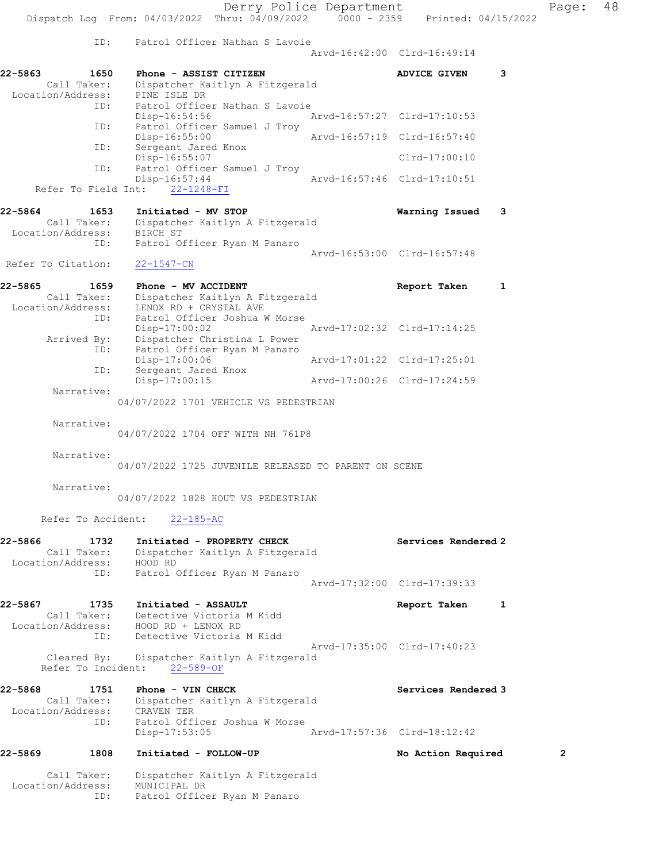Derry Police Department Page: 48 Dispatch Log From:  $04/03/2022$  Thru:  $04/09/2022$  0000 - 2359 Printed: 04/15/2022 ID: Patrol Officer Nathan S Lavoie Arvd-16:42:00 Clrd-16:49:14 22-5863 1650 Phone - ASSIST CITIZEN 1988 ADVICE GIVEN 3 Call Taker: Dispatcher Kaitlyn A Fitzgerald Location/Address: PINE ISLE DR ID: Patrol Officer Nathan S Lavoie<br>Disp-16:54:56 Disp-16:54:56 Arvd-16:57:27 Clrd-17:10:53 ID: Patrol Officer Samuel J Troy Disp-16:55:00 Arvd-16:57:19 Clrd-16:57:40 Disp-16:55:00<br>ID: Sergeant Jared Knox Disp-16:55:07 Clrd-17:00:10 ID: Patrol Officer Samuel J Troy<br>Disp-16:57:44 Disp-16:57:44 Arvd-16:57:46 Clrd-17:10:51 Refer To Field Int: 22-1248-FI 22-5864 1653 Initiated - MV STOP Warning Issued 3 Call Taker: Dispatcher Kaitlyn A Fitzgerald Location/Address: BIRCH ST ID: Patrol Officer Ryan M Panaro Arvd-16:53:00 Clrd-16:57:48 Refer To Citation: 22-1547-CN 22-5865 1659 Phone - MV ACCIDENT Report Taken 1 Call Taker: Dispatcher Kaitlyn A Fitzgerald Location/Address: LENOX RD + CRYSTAL AVE ID: Patrol Officer Joshua W Morse Disp-17:00:02 Arvd-17:02:32 Clrd-17:14:25 Arrived By: Dispatcher Christina L Power ID: Patrol Officer Ryan M Panaro Disp-17:00:06 Arvd-17:01:22 Clrd-17:25:01 ID: Sergeant Jared Knox<br>Disp-17:00:15 Disp-17:00:15 Arvd-17:00:26 Clrd-17:24:59 Narrative: 04/07/2022 1701 VEHICLE VS PEDESTRIAN Narrative: 04/07/2022 1704 OFF WITH NH 761P8 Narrative: 04/07/2022 1725 JUVENILE RELEASED TO PARENT ON SCENE Narrative: 04/07/2022 1828 HOUT VS PEDESTRIAN Refer To Accident: 22-185-AC 22-5866 1732 Initiated - PROPERTY CHECK Services Rendered 2 Call Taker: Dispatcher Kaitlyn A Fitzgerald Location/Address: HOOD RD ID: Patrol Officer Ryan M Panaro Arvd-17:32:00 Clrd-17:39:33 22-5867 1735 Initiated - ASSAULT Report Taken 1 Call Taker: Detective Victoria M Kidd Location/Address: HOOD RD + LENOX RD ID: Detective Victoria M Kidd Arvd-17:35:00 Clrd-17:40:23 Cleared By: Dispatcher Kaitlyn A Fitzgerald Refer To Incident: 22-589-OF 22-5868 1751 Phone - VIN CHECK North Services Rendered 3 Call Taker: Dispatcher Kaitlyn A Fitzgerald Location/Address: CRAVEN TER ID: Patrol Officer Joshua W Morse Disp-17:53:05 Arvd-17:57:36 Clrd-18:12:42 22-5869 1808 Initiated - FOLLOW-UP No Action Required 2 Call Taker: Dispatcher Kaitlyn A Fitzgerald

Location/Address: MUNICIPAL DR

ID: Patrol Officer Ryan M Panaro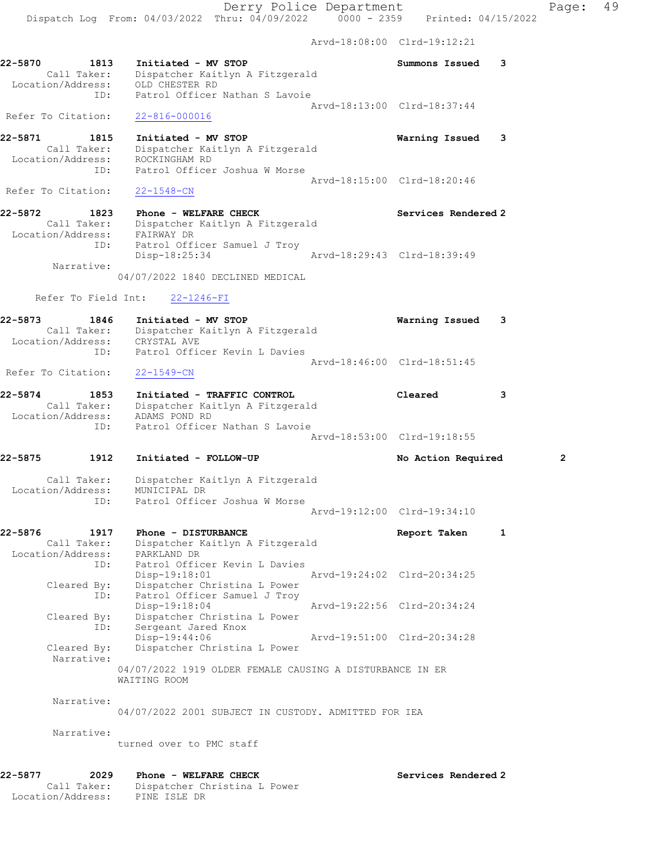Arvd-18:08:00 Clrd-19:12:21

| 22-5870 | 1813               | Initiated - MV STOP             | Summons Issued |  |
|---------|--------------------|---------------------------------|----------------|--|
|         | Call Taker:        | Dispatcher Kaitlyn A Fitzgerald |                |  |
|         | Location/Address:  | OLD CHESTER RD                  |                |  |
|         | TD:                | Patrol Officer Nathan S Lavoie  |                |  |
|         |                    | Arvd-18:13:00 Clrd-18:37:44     |                |  |
|         | Refer To Citation: | 22-816-000016                   |                |  |

22-5871 1815 Initiated - MV STOP Warning Issued 3 Call Taker: Dispatcher Kaitlyn A Fitzgerald Location/Address: ROCKINGHAM RD ID: Patrol Officer Joshua W Morse Arvd-18:15:00 Clrd-18:20:46

Refer To Citation: 22-1548-CN

22-5872 1823 Phone - WELFARE CHECK Services Rendered 2 Call Taker: Dispatcher Kaitlyn A Fitzgerald Location/Address: FAIRWAY DR ID: Patrol Officer Samuel J Troy Disp-18:25:34 Arvd-18:29:43 Clrd-18:39:49 Narrative:

04/07/2022 1840 DECLINED MEDICAL

# Refer To Field Int: 22-1246-FI

| 22-5873<br>Call Taker:                      | 1846       | Initiated - MV STOP<br>Dispatcher Kaitlyn A Fitzgerald                                                         | Warning Issued              | 3 |                |
|---------------------------------------------|------------|----------------------------------------------------------------------------------------------------------------|-----------------------------|---|----------------|
| Location/Address:                           | ID:        | CRYSTAL AVE<br>Patrol Officer Kevin L Davies                                                                   |                             |   |                |
| Refer To Citation:                          |            | $22 - 1549 - CN$                                                                                               | Arvd-18:46:00 Clrd-18:51:45 |   |                |
| 22-5874<br>Call Taker:<br>Location/Address: | 1853       | Initiated - TRAFFIC CONTROL<br>Dispatcher Kaitlyn A Fitzgerald<br>ADAMS POND RD                                | Cleared                     | 3 |                |
|                                             | ID:        | Patrol Officer Nathan S Lavoie                                                                                 | Arvd-18:53:00 Clrd-19:18:55 |   |                |
| 22-5875                                     | 1912       | Initiated - FOLLOW-UP                                                                                          | No Action Required          |   | $\overline{2}$ |
| Call Taker:<br>Location/Address:            | ID:        | Dispatcher Kaitlyn A Fitzgerald<br>MUNICIPAL DR<br>Patrol Officer Joshua W Morse                               |                             |   |                |
|                                             |            |                                                                                                                | Arvd-19:12:00 Clrd-19:34:10 |   |                |
| 22-5876<br>Call Taker:<br>Location/Address: | 1917       | Phone - DISTURBANCE<br>Dispatcher Kaitlyn A Fitzgerald<br>PARKLAND DR                                          | Report Taken                | 1 |                |
| Cleared By:                                 | ID:<br>ID: | Patrol Officer Kevin L Davies<br>Disp-19:18:01<br>Dispatcher Christina L Power<br>Patrol Officer Samuel J Troy | Arvd-19:24:02 Clrd-20:34:25 |   |                |
| Cleared By:                                 | ID:        | Disp-19:18:04<br>Dispatcher Christina L Power<br>Sergeant Jared Knox                                           | Arvd-19:22:56 Clrd-20:34:24 |   |                |
| Cleared By:<br>Narrative:                   |            | Disp-19:44:06<br>Dispatcher Christina L Power                                                                  | Arvd-19:51:00 Clrd-20:34:28 |   |                |
|                                             |            | 04/07/2022 1919 OLDER FEMALE CAUSING A DISTURBANCE IN ER<br>WAITING ROOM                                       |                             |   |                |
| Narrative:                                  |            | 04/07/2022 2001 SUBJECT IN CUSTODY. ADMITTED FOR IEA                                                           |                             |   |                |
| Narrative:                                  |            | turned over to PMC staff                                                                                       |                             |   |                |
| 22-5877                                     | 2029       | Phone - WELFARE CHECK                                                                                          | Services Rendered 2         |   |                |

Location/Address: PINE ISLE DR

Call Taker: Dispatcher Christina L Power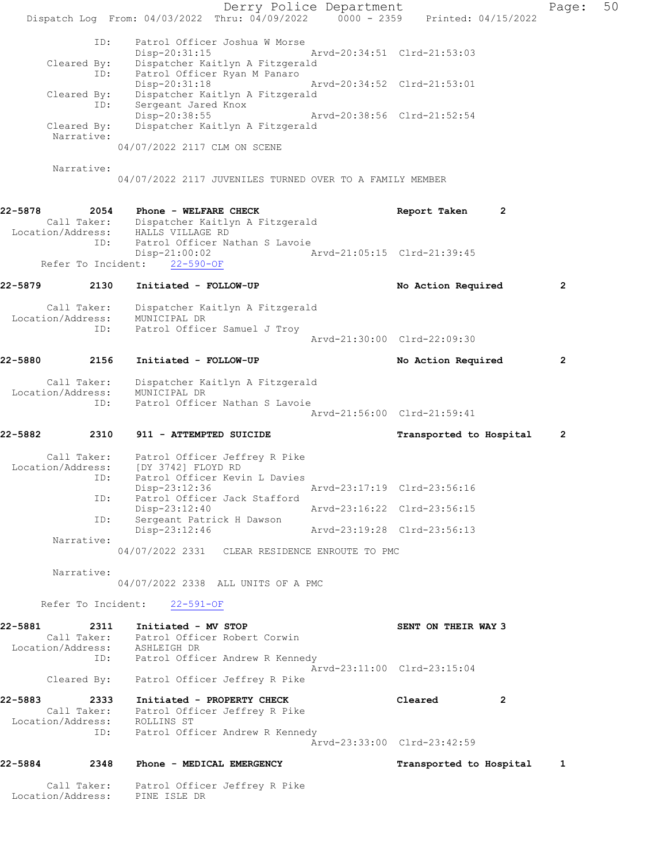|         |                                  |                                                                                      | Derry Police Department     |                             |              | Page:          | 50 |
|---------|----------------------------------|--------------------------------------------------------------------------------------|-----------------------------|-----------------------------|--------------|----------------|----|
|         |                                  | Dispatch Log From: 04/03/2022 Thru: 04/09/2022 0000 - 2359 Printed: 04/15/2022       |                             |                             |              |                |    |
|         | ID:                              | Patrol Officer Joshua W Morse                                                        |                             |                             |              |                |    |
|         |                                  | $Disp-20:31:15$                                                                      |                             | Arvd-20:34:51 Clrd-21:53:03 |              |                |    |
|         | Cleared By:<br>ID:               | Dispatcher Kaitlyn A Fitzgerald<br>Patrol Officer Ryan M Panaro                      |                             |                             |              |                |    |
|         |                                  | Disp-20:31:18                                                                        | Arvd-20:34:52 Clrd-21:53:01 |                             |              |                |    |
|         | Cleared By:<br>ID:               | Dispatcher Kaitlyn A Fitzgerald<br>Sergeant Jared Knox                               |                             |                             |              |                |    |
|         |                                  | Disp-20:38:55                                                                        |                             | Arvd-20:38:56 Clrd-21:52:54 |              |                |    |
|         | Cleared By:<br>Narrative:        | Dispatcher Kaitlyn A Fitzgerald                                                      |                             |                             |              |                |    |
|         |                                  | 04/07/2022 2117 CLM ON SCENE                                                         |                             |                             |              |                |    |
|         | Narrative:                       |                                                                                      |                             |                             |              |                |    |
|         |                                  | 04/07/2022 2117 JUVENILES TURNED OVER TO A FAMILY MEMBER                             |                             |                             |              |                |    |
|         |                                  |                                                                                      |                             |                             |              |                |    |
| 22-5878 | 2054                             | Phone - WELFARE CHECK                                                                |                             | Report Taken                | 2            |                |    |
|         | Location/Address:                | Call Taker: Dispatcher Kaitlyn A Fitzgerald<br>HALLS VILLAGE RD                      |                             |                             |              |                |    |
|         | ID:                              | Patrol Officer Nathan S Lavoie<br>$Disp-21:00:02$                                    |                             | Arvd-21:05:15 Clrd-21:39:45 |              |                |    |
|         | Refer To Incident:               | $22 - 590 - OF$                                                                      |                             |                             |              |                |    |
| 22-5879 | 2130                             | Initiated - FOLLOW-UP                                                                |                             | No Action Required          |              | $\overline{2}$ |    |
|         |                                  |                                                                                      |                             |                             |              |                |    |
|         | Call Taker:<br>Location/Address: | Dispatcher Kaitlyn A Fitzgerald<br>MUNICIPAL DR                                      |                             |                             |              |                |    |
|         | ID:                              | Patrol Officer Samuel J Troy                                                         |                             |                             |              |                |    |
|         |                                  |                                                                                      |                             | Arvd-21:30:00 Clrd-22:09:30 |              |                |    |
| 22-5880 | 2156                             | Initiated - FOLLOW-UP                                                                |                             | No Action Required          |              | $\mathbf{2}$   |    |
|         | Call Taker:                      | Dispatcher Kaitlyn A Fitzgerald                                                      |                             |                             |              |                |    |
|         | Location/Address:                | MUNICIPAL DR                                                                         |                             |                             |              |                |    |
|         | ID:                              | Patrol Officer Nathan S Lavoie                                                       |                             | Arvd-21:56:00 Clrd-21:59:41 |              |                |    |
|         |                                  |                                                                                      |                             |                             |              |                |    |
| 22-5882 | 2310                             | 911 - ATTEMPTED SUICIDE                                                              |                             | Transported to Hospital     |              | $\overline{2}$ |    |
|         | Location/Address:                | Call Taker: Patrol Officer Jeffrey R Pike<br>[DY 3742] FLOYD RD                      |                             |                             |              |                |    |
|         | ID:                              | Patrol Officer Kevin L Davies                                                        |                             |                             |              |                |    |
|         | ID:                              | Disp-23:12:36<br>Patrol Officer Jack Stafford                                        |                             | Arvd-23:17:19 Clrd-23:56:16 |              |                |    |
|         |                                  | Disp-23:12:40                                                                        | Arvd-23:16:22 Clrd-23:56:15 |                             |              |                |    |
|         | ID:                              | Sergeant Patrick H Dawson<br>Disp-23:12:46                                           |                             | Arvd-23:19:28 Clrd-23:56:13 |              |                |    |
|         | Narrative:                       |                                                                                      |                             |                             |              |                |    |
|         |                                  | 04/07/2022 2331 CLEAR RESIDENCE ENROUTE TO PMC                                       |                             |                             |              |                |    |
|         | Narrative:                       |                                                                                      |                             |                             |              |                |    |
|         |                                  | 04/07/2022 2338 ALL UNITS OF A PMC                                                   |                             |                             |              |                |    |
|         |                                  | Refer To Incident: 22-591-OF                                                         |                             |                             |              |                |    |
| 22-5881 |                                  | 2311 Initiated - MV STOP                                                             |                             | SENT ON THEIR WAY 3         |              |                |    |
|         |                                  | Call Taker: Patrol Officer Robert Corwin                                             |                             |                             |              |                |    |
|         |                                  | Location/Address: ASHLEIGH DR<br>ID: Patrol Officer Andrew R Kennedy                 |                             |                             |              |                |    |
|         |                                  | Cleared By: Patrol Officer Jeffrey R Pike                                            |                             | Arvd-23:11:00 Clrd-23:15:04 |              |                |    |
|         |                                  |                                                                                      |                             |                             |              |                |    |
|         |                                  | 22-5883 2333 Initiated - PROPERTY CHECK<br>Call Taker: Patrol Officer Jeffrey R Pike |                             | Cleared                     | $\mathbf{2}$ |                |    |
|         |                                  | Location/Address: ROLLINS ST                                                         |                             |                             |              |                |    |
|         |                                  | ID: Patrol Officer Andrew R Kennedy                                                  |                             | Arvd-23:33:00 Clrd-23:42:59 |              |                |    |
|         |                                  |                                                                                      |                             |                             |              |                |    |
|         | 22-5884 2348                     | Phone - MEDICAL EMERGENCY                                                            |                             | Transported to Hospital     |              | 1              |    |
|         |                                  | Call Taker: Patrol Officer Jeffrey R Pike<br>Location/Address: PINE ISLE DR          |                             |                             |              |                |    |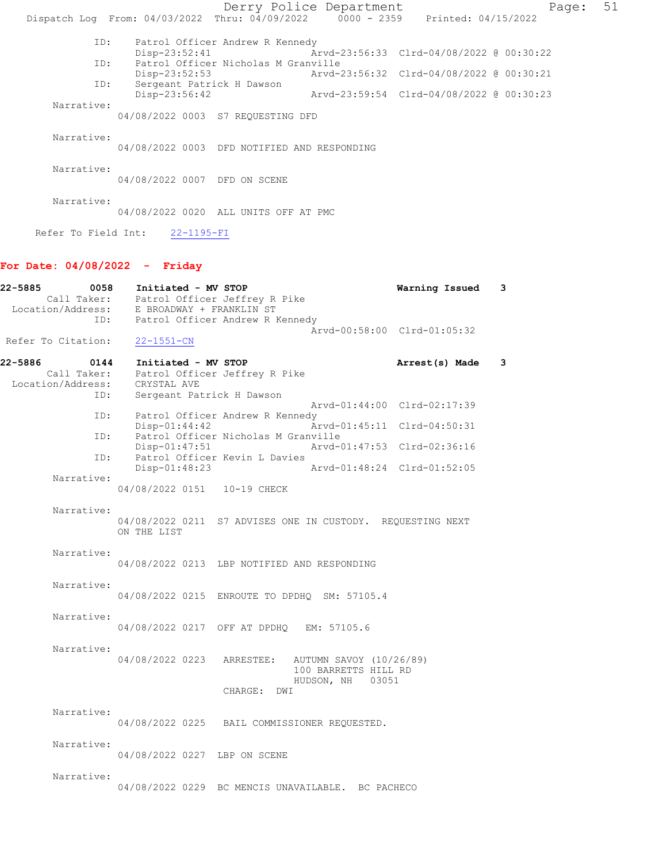Derry Police Department Fage: 51 Dispatch Log From: 04/03/2022 Thru: 04/09/2022 0000 - 2359 Printed: 04/15/2022 ID: Patrol Officer Andrew R Kennedy Disp-23:52:41 Arvd-23:56:33 Clrd-04/08/2022 @ 00:30:22<br>ID: Patrol Officer Nicholas M Granville Patrol Officer Nicholas M Granville<br>Disp-23:52:53 Arvd-2 Disp-23:52:53 Arvd-23:56:32 Clrd-04/08/2022 @ 00:30:21 ID: Sergeant Patrick H Dawson<br>Disp-23:56:42 Arvd-23:59:54 Clrd-04/08/2022 @ 00:30:23 Narrative: 04/08/2022 0003 S7 REQUESTING DFD Narrative: 04/08/2022 0003 DFD NOTIFIED AND RESPONDING Narrative: 04/08/2022 0007 DFD ON SCENE Narrative: 04/08/2022 0020 ALL UNITS OFF AT PMC Refer To Field Int: 22-1195-FI

## For Date: 04/08/2022 - Friday

| 22-5885                       | 0058 <b>Initiated - MV STOP</b><br>Call Taker: Patrol Officer Jeffrey R Pike<br>Location/Address: E BROADWAY + FRANKLIN ST<br>ID: Patrol Officer Andrew R Kennedy | Warning Issued              | 3   |
|-------------------------------|-------------------------------------------------------------------------------------------------------------------------------------------------------------------|-----------------------------|-----|
| Refer To Citation: 22-1551-CN |                                                                                                                                                                   | Arvd-00:58:00 Clrd-01:05:32 |     |
| 22-5886                       | 0144 Initiated - MV STOP<br>Call Taker: Patrol Officer Jeffrey R Pike<br>Location/Address: CRYSTAL AVE                                                            | Arrest(s) Made              | - 3 |
|                               | Sergeant Patrick H Dawson<br>ID:<br>ID:<br>Patrol Officer Andrew R Kennedy                                                                                        | Arvd-01:44:00 Clrd-02:17:39 |     |
|                               | $Disp-01:44:42$<br>Patrol Officer Nicholas M Granville<br>ID:<br>Arvd-01:47:53 Clrd-02:36:16<br>$Disp-01:47:51$                                                   | Arvd-01:45:11 Clrd-04:50:31 |     |
| Narrative:                    | Patrol Officer Kevin L Davies<br>ID:<br>$Disp-01:48:23$                                                                                                           | Arvd-01:48:24 Clrd-01:52:05 |     |
|                               | 04/08/2022 0151  10-19 CHECK                                                                                                                                      |                             |     |
| Narrative:                    | 04/08/2022 0211 S7 ADVISES ONE IN CUSTODY. REQUESTING NEXT<br>ON THE LIST                                                                                         |                             |     |
| Narrative:                    | 04/08/2022 0213 LBP NOTIFIED AND RESPONDING                                                                                                                       |                             |     |
| Narrative:                    | 04/08/2022 0215 ENROUTE TO DPDHQ SM: 57105.4                                                                                                                      |                             |     |
| Narrative:                    | 04/08/2022 0217 OFF AT DPDHO EM: 57105.6                                                                                                                          |                             |     |
| Narrative:                    | 04/08/2022 0223 ARRESTEE: AUTUMN SAVOY (10/26/89)<br>100 BARRETTS HILL RD<br>HUDSON, NH 03051<br>CHARGE: DWI                                                      |                             |     |
| Narrative:                    | 04/08/2022 0225 BAIL COMMISSIONER REQUESTED.                                                                                                                      |                             |     |
| Narrative:                    | 04/08/2022 0227 LBP ON SCENE                                                                                                                                      |                             |     |
| Narrative:                    | 04/08/2022 0229 BC MENCIS UNAVAILABLE. BC PACHECO                                                                                                                 |                             |     |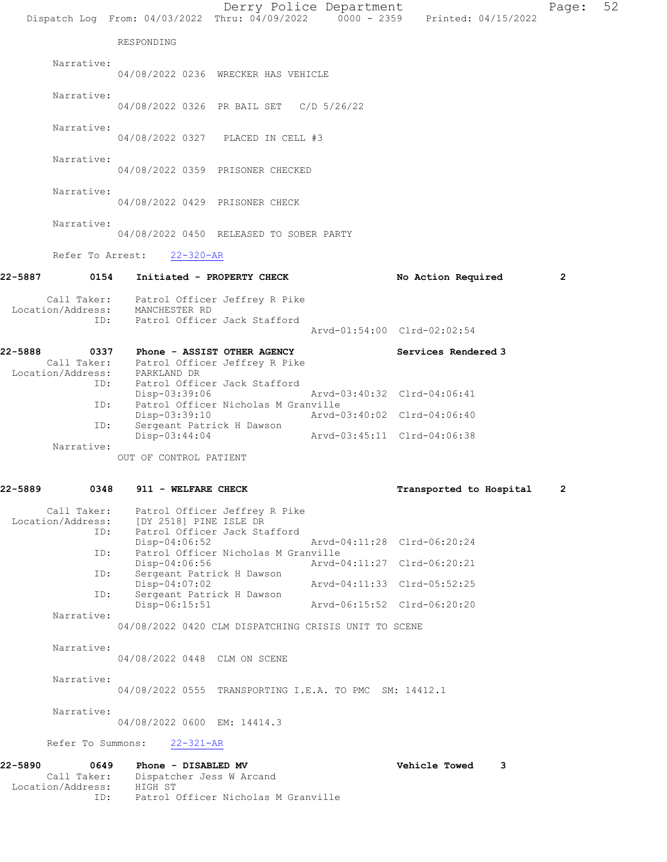| 22-5889<br>0348                      | 911 - WELFARE CHECK                                                           |                                                                                                           | Transported to Hospital     | 2              |    |
|--------------------------------------|-------------------------------------------------------------------------------|-----------------------------------------------------------------------------------------------------------|-----------------------------|----------------|----|
|                                      | OUT OF CONTROL PATIENT                                                        |                                                                                                           |                             |                |    |
| Narrative:                           | Disp-03:44:04                                                                 |                                                                                                           | Arvd-03:45:11 Clrd-04:06:38 |                |    |
| ID:                                  | Disp-03:39:10<br>Sergeant Patrick H Dawson                                    |                                                                                                           | Arvd-03:40:02 Clrd-04:06:40 |                |    |
| ID:                                  | Disp-03:39:06                                                                 | Patrol Officer Nicholas M Granville                                                                       | Arvd-03:40:32 Clrd-04:06:41 |                |    |
| Location/Address: PARKLAND DR<br>ID: |                                                                               | Patrol Officer Jack Stafford                                                                              |                             |                |    |
| 22-5888                              | 0337 Phone - ASSIST OTHER AGENCY<br>Call Taker: Patrol Officer Jeffrey R Pike |                                                                                                           | Services Rendered 3         |                |    |
| ID:                                  |                                                                               | Patrol Officer Jack Stafford                                                                              | Arvd-01:54:00 Clrd-02:02:54 |                |    |
| Location/Address: MANCHESTER RD      | Call Taker: Patrol Officer Jeffrey R Pike                                     |                                                                                                           |                             |                |    |
| 22-5887                              | 0154 Initiated - PROPERTY CHECK                                               |                                                                                                           | No Action Required          | $\overline{2}$ |    |
| Refer To Arrest:                     | $22 - 320 - AR$                                                               |                                                                                                           |                             |                |    |
| Narrative:                           |                                                                               | 04/08/2022 0450 RELEASED TO SOBER PARTY                                                                   |                             |                |    |
| Narrative:                           | 04/08/2022 0429 PRISONER CHECK                                                |                                                                                                           |                             |                |    |
| Narrative:                           |                                                                               | 04/08/2022 0359 PRISONER CHECKED                                                                          |                             |                |    |
| Narrative:                           |                                                                               | 04/08/2022 0327 PLACED IN CELL #3                                                                         |                             |                |    |
| Narrative:                           |                                                                               | 04/08/2022 0326 PR BAIL SET C/D 5/26/22                                                                   |                             |                |    |
| Narrative:                           |                                                                               | 04/08/2022 0236 WRECKER HAS VEHICLE                                                                       |                             |                |    |
|                                      | RESPONDING                                                                    |                                                                                                           |                             |                |    |
|                                      |                                                                               | Derry Police Department<br>Dispatch Log From: 04/03/2022 Thru: 04/09/2022 0000 - 2359 Printed: 04/15/2022 |                             | Page:          | 52 |

| Patrol Officer Jeffrey R Pike                        |  |
|------------------------------------------------------|--|
| [DY 2518] PINE ISLE DR                               |  |
| Patrol Officer Jack Stafford                         |  |
| Arvd-04:11:28 Clrd-06:20:24                          |  |
| Patrol Officer Nicholas M Granville                  |  |
| Arvd-04:11:27 Clrd-06:20:21                          |  |
| Sergeant Patrick H Dawson                            |  |
| Arvd-04:11:33 Clrd-05:52:25                          |  |
| Sergeant Patrick H Dawson                            |  |
| Arvd-06:15:52 Clrd-06:20:20                          |  |
|                                                      |  |
| 04/08/2022 0420 CLM DISPATCHING CRISIS UNIT TO SCENE |  |
|                                                      |  |

 Narrative: 04/08/2022 0448 CLM ON SCENE

Narrative:

04/08/2022 0555 TRANSPORTING I.E.A. TO PMC SM: 14412.1

Narrative:

04/08/2022 0600 EM: 14414.3

Refer To Summons: 22-321-AR

### 22-5890 0649 Phone - DISABLED MV Vehicle Towed 3 Call Taker: Dispatcher Jess W Arcand Location/Address: HIGH ST ID: Patrol Officer Nicholas M Granville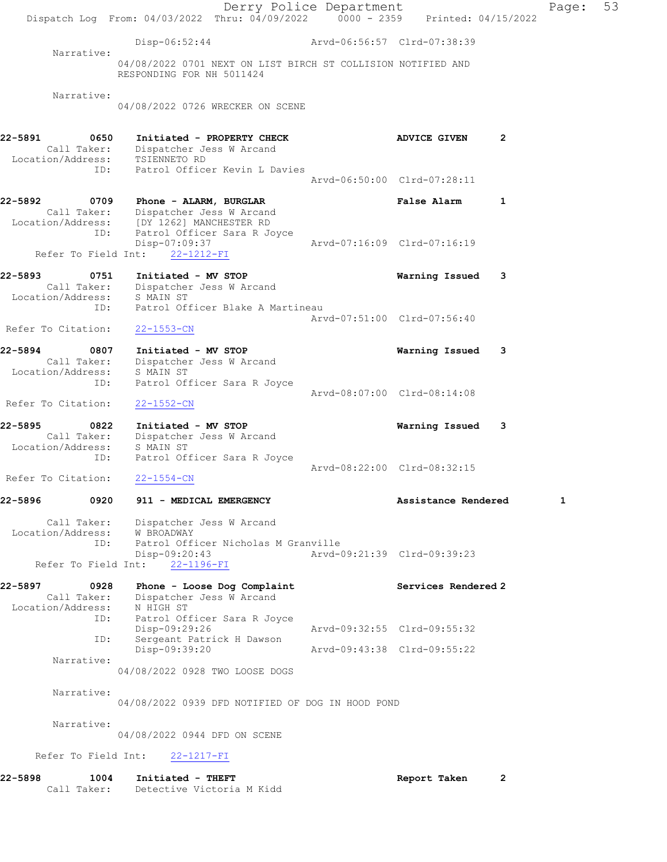Derry Police Department Fage: 53 Dispatch Log From: 04/03/2022 Thru: 04/09/2022 0000 - 2359 Printed: 04/15/2022 Disp-06:52:44 Arvd-06:56:57 Clrd-07:38:39 Narrative: 04/08/2022 0701 NEXT ON LIST BIRCH ST COLLISION NOTIFIED AND RESPONDING FOR NH 5011424 Narrative: 04/08/2022 0726 WRECKER ON SCENE 22-5891 0650 Initiated - PROPERTY CHECK ADVICE GIVEN 2 Call Taker: Dispatcher Jess W Arcand Location/Address: TSIENNETO RD ID: Patrol Officer Kevin L Davies Arvd-06:50:00 Clrd-07:28:11 22-5892 0709 Phone - ALARM, BURGLAR False Alarm 1 Call Taker: Dispatcher Jess W Arcand Location/Address: [DY 1262] MANCHESTER RD ID: Patrol Officer Sara R Joyce Disp-07:09:37 Arvd-07:16:09 Clrd-07:16:19 Refer To Field Int: 22-1212-FI 22-5893 0751 Initiated - MV STOP Warning Issued 3 Call Taker: Dispatcher Jess W Arcand Location/Address: S MAIN ST ID: Patrol Officer Blake A Martineau Arvd-07:51:00 Clrd-07:56:40 Refer To Citation: 22-1553-CN 22-5894 0807 Initiated - MV STOP Warning Issued 3 Call Taker: Dispatcher Jess W Arcand Location/Address: S MAIN ST ID: Patrol Officer Sara R Joyce Arvd-08:07:00 Clrd-08:14:08 Refer To Citation: 22-1552-CN 22-5895 0822 Initiated - MV STOP Warning Issued 3 Call Taker: Dispatcher Jess W Arcand Location/Address: S MAIN ST ESS: SAMAN SAMAN SURVERS: PARTICLE SARA R JOYCE Arvd-08:22:00 Clrd-08:32:15 Refer To Citation: 22-1554-CN 22-5896 0920 911 - MEDICAL EMERGENCY Assistance Rendered 1 Call Taker: Dispatcher Jess W Arcand Location/Address: W BROADWAY ID: Patrol Officer Nicholas M Granville Disp-09:20:43 Arvd-09:21:39 Clrd-09:39:23 Refer To Field Int: 22-1196-FI 22-5897 0928 Phone - Loose Dog Complaint Services Rendered 2 Call Taker: Dispatcher Jess W Arcand Location/Address: N HIGH ST ID: Patrol Officer Sara R Joyce Arvd-09:32:55 Clrd-09:55:32 ID: Sergeant Patrick H Dawson Disp-09:39:20 Arvd-09:43:38 Clrd-09:55:22 Narrative: 04/08/2022 0928 TWO LOOSE DOGS Narrative: 04/08/2022 0939 DFD NOTIFIED OF DOG IN HOOD POND Narrative: 04/08/2022 0944 DFD ON SCENE Refer To Field Int: 22-1217-FI 22-5898 1004 Initiated - THEFT Report Taken 2 Call Taker: Detective Victoria M Kidd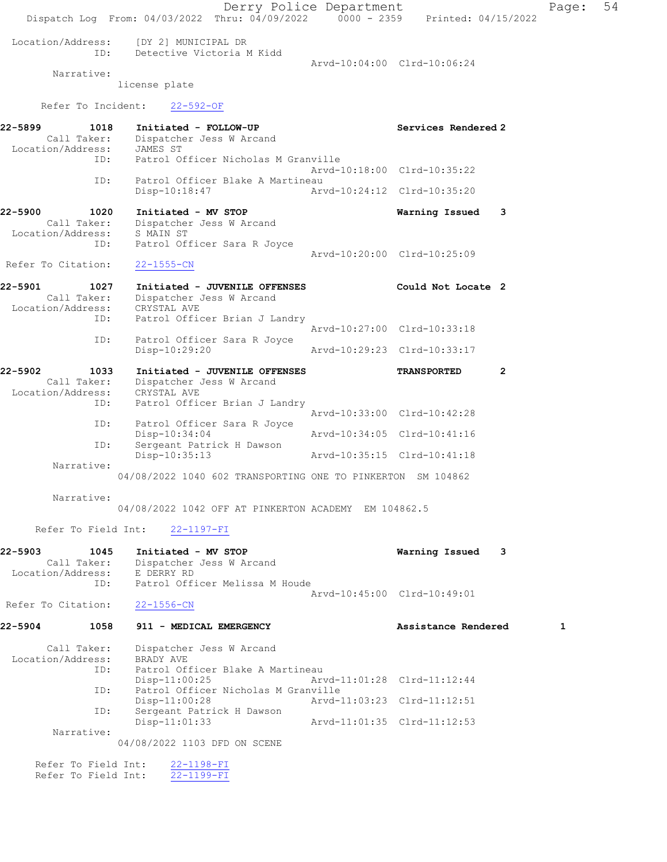Derry Police Department Page: 54 Dispatch Log From: 04/03/2022 Thru: 04/09/2022 0000 - 2359 Printed: 04/15/2022 Location/Address: [DY 2] MUNICIPAL DR ID: Detective Victoria M Kidd Arvd-10:04:00 Clrd-10:06:24 Narrative: license plate Refer To Incident: 22-592-OF 22-5899 1018 Initiated - FOLLOW-UP Services Rendered 2 Call Taker: Dispatcher Jess W Arcand Location/Address: JAMES ST ID: Patrol Officer Nicholas M Granville Arvd-10:18:00 Clrd-10:35:22 ID: Patrol Officer Blake A Martineau Disp-10:18:47 Arvd-10:24:12 Clrd-10:35:20 22-5900 1020 Initiated - MV STOP Warning Issued 3 Call Taker: Dispatcher Jess W Arcand Location/Address: S MAIN ST ID: Patrol Officer Sara R Joyce Arvd-10:20:00 Clrd-10:25:09 Refer To Citation: 22-1555-CN 22-5901 1027 Initiated - JUVENILE OFFENSES Could Not Locate 2 Call Taker: Dispatcher Jess W Arcand Location/Address: CRYSTAL AVE ID: Patrol Officer Brian J Landry Arvd-10:27:00 Clrd-10:33:18 ID: Patrol Officer Sara R Joyce Disp-10:29:20 Arvd-10:29:23 Clrd-10:33:17 22-5902 1033 Initiated - JUVENILE OFFENSES TRANSPORTED 2 Call Taker: Dispatcher Jess W Arcand Location/Address: CRYSTAL AVE<br>ID: Patrol Offic Patrol Officer Brian J Landry Arvd-10:33:00 Clrd-10:42:28<br>TD: Patrol Officer Sara R Joyce Patrol Officer Sara R Joyce<br>Disp-10:34:04 Disp-10:34:04 <br>D: Sergeant Patrick H Dawson<br>D: Sergeant Patrick H Dawson Sergeant Patrick H Dawson<br>Disp-10:35:13 Disp-10:35:13 Arvd-10:35:15 Clrd-10:41:18 Narrative: 04/08/2022 1040 602 TRANSPORTING ONE TO PINKERTON SM 104862 Narrative: 04/08/2022 1042 OFF AT PINKERTON ACADEMY EM 104862.5 Refer To Field Int: 22-1197-FI 22-5903 1045 Initiated - MV STOP Warning Issued 3 Call Taker: Dispatcher Jess W Arcand Location/Address: E DERRY RD ID: Patrol Officer Melissa M Houde Arvd-10:45:00 Clrd-10:49:01 Refer To Citation: 22-1556-CN 22-5904 1058 911 - MEDICAL EMERGENCY 1 Assistance Rendered 1 Call Taker: Dispatcher Jess W Arcand<br>ion/Address: BRADY AVE Location/Address:<br>ID: Patrol Officer Blake A Martineau<br>Disp-11:00:25 Ar Disp-11:00:25 Arvd-11:01:28 Clrd-11:12:44<br>ID: Patrol Officer Nicholas M Granville ID: Patrol Officer Nicholas M Granville Disp-11:00:28 Arvd-11:03:23 Clrd-11:12:51 ID: Sergeant Patrick H Dawson Disp-11:01:33 Arvd-11:01:35 Clrd-11:12:53 Narrative: 04/08/2022 1103 DFD ON SCENE Refer To Field Int: 22-1198-FI Refer To Field Int: 22-1199-FI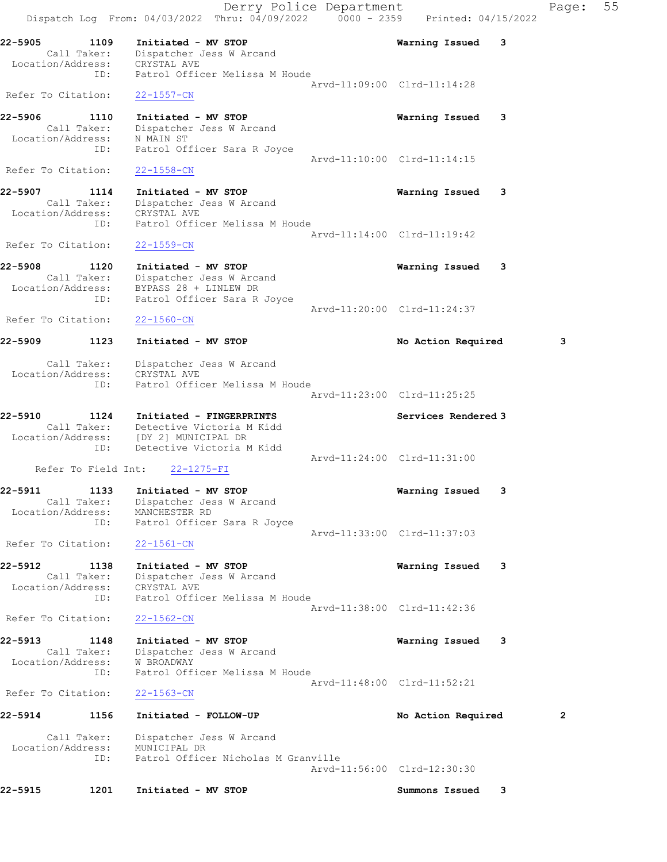Derry Police Department Fage: 55 Dispatch Log From: 04/03/2022 Thru: 04/09/2022 0000 - 2359 Printed: 04/15/2022 22-5905 1109 Initiated - MV STOP Warning Issued 3 Call Taker: Dispatcher Jess W Arcand Location/Address: CRYSTAL AVE ID: Patrol Officer Melissa M Houde Arvd-11:09:00 Clrd-11:14:28 Refer To Citation: 22-1557-CN 22-5906 1110 Initiated - MV STOP Warning Issued 3 Call Taker: Dispatcher Jess W Arcand Location/Address: N MAIN ST ID: Patrol Officer Sara R Joyce Arvd-11:10:00 Clrd-11:14:15<br>22-1558-CN Refer To Citation: 22-5907 1114 Initiated - MV STOP Warning Issued 3 Call Taker: Dispatcher Jess W Arcand Location/Address: CRYSTAL AVE ID: Patrol Officer Melissa M Houde Arvd-11:14:00 Clrd-11:19:42 Refer To Citation: 22-1559-CN 22-5908 1120 Initiated - MV STOP Warning Issued 3 Call Taker: Dispatcher Jess W Arcand Location/Address: BYPASS 28 + LINLEW DR ID: Patrol Officer Sara R Joyce Arvd-11:20:00 Clrd-11:24:37 Refer To Citation: 22-1560-CN 22-5909 1123 Initiated - MV STOP No Retion Required 3 Call Taker: Dispatcher Jess W Arcand Location/Address: CRYSTAL AVE ID: Patrol Officer Melissa M Houde Arvd-11:23:00 Clrd-11:25:25 22-5910 1124 Initiated - FINGERPRINTS Services Rendered 3 Call Taker: Detective Victoria M Kidd Location/Address: [DY 2] MUNICIPAL DR ID: Detective Victoria M Kidd Arvd-11:24:00 Clrd-11:31:00 Refer To Field Int: 22-1275-FI 22-5911 1133 Initiated - MV STOP Warning Issued 3 Call Taker: Dispatcher Jess W Arcand Location/Address: MANCHESTER RD ID: Patrol Officer Sara R Joyce Arvd-11:33:00 Clrd-11:37:03 Refer To Citation: 22-1561-CN 22-5912 1138 Initiated - MV STOP Warning Issued 3 Call Taker: Dispatcher Jess W Arcand Location/Address: CRYSTAL AVE ID: Patrol Officer Melissa M Houde Arvd-11:38:00 Clrd-11:42:36 Refer To Citation: 22-1562-CN 22-5913 1148 Initiated - MV STOP Warning Issued 3 Call Taker: Dispatcher Jess W Arcand Location/Address: W BROADWAY ID: Patrol Officer Melissa M Houde Arvd-11:48:00 Clrd-11:52:21 Refer To Citation: 22-1563-CN 22-5914 1156 Initiated - FOLLOW-UP No Action Required 2 Call Taker: Dispatcher Jess W Arcand Location/Address: MUNICIPAL DR ID: Patrol Officer Nicholas M Granville Arvd-11:56:00 Clrd-12:30:30 22-5915 1201 Initiated - MV STOP Summons Issued 3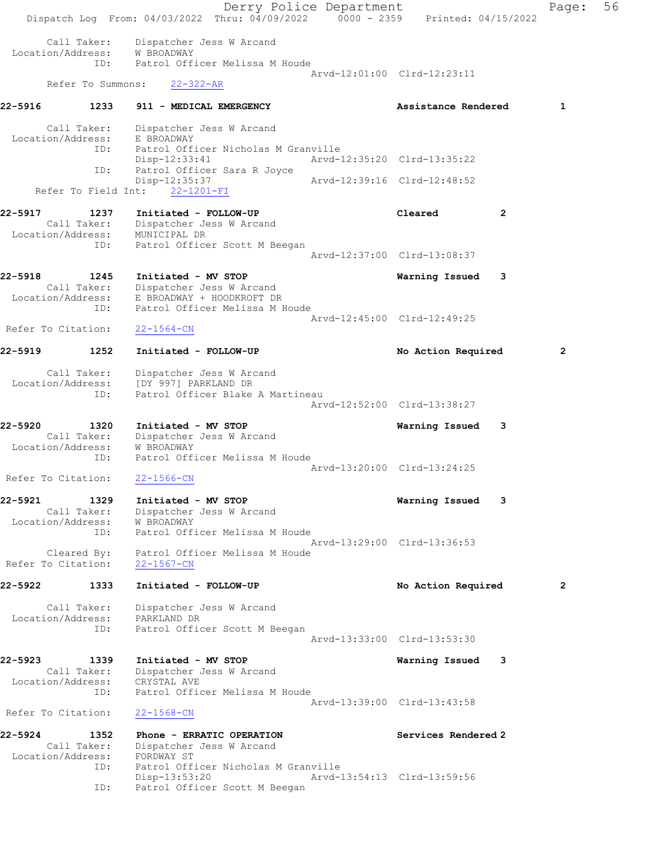Derry Police Department Fage: 56 Dispatch Log From: 04/03/2022 Thru: 04/09/2022 0000 - 2359 Printed: 04/15/2022 Call Taker: Dispatcher Jess W Arcand Location/Address: W BROADWAY ID: Patrol Officer Melissa M Houde Arvd-12:01:00 Clrd-12:23:11 Refer To Summons: 22-322-AR 22-5916 1233 911 - MEDICAL EMERGENCY 1990 - Assistance Rendered 1 Call Taker: Dispatcher Jess W Arcand Location/Address: E BROADWAY ID: Patrol Officer Nicholas M Granville Disp-12:33:41 Arvd-12:35:20 Clrd-13:35:22 ID: Patrol Officer Sara R Joyce<br>Disp-12:35:37 Disp-12:35:37 Arvd-12:39:16 Clrd-12:48:52 Refer To Field Int: 22-1201-FI 22-5917 1237 Initiated - FOLLOW-UP Cleared 2 Call Taker: Dispatcher Jess W Arcand Location/Address: MUNICIPAL DR ID: Patrol Officer Scott M Beegan Arvd-12:37:00 Clrd-13:08:37 22-5918 1245 Initiated - MV STOP Warning Issued 3 Call Taker: Dispatcher Jess W Arcand Location/Address: E BROADWAY + HOODKROFT DR ID: Patrol Officer Melissa M Houde Arvd-12:45:00 Clrd-12:49:25 Refer To Citation: 22-1564-CN 22-5919 1252 Initiated - FOLLOW-UP 1252 No Action Required 2 Call Taker: Dispatcher Jess W Arcand Location/Address: [DY 997] PARKLAND DR ID: Patrol Officer Blake A Martineau Arvd-12:52:00 Clrd-13:38:27 22-5920 1320 Initiated - MV STOP Warning Issued 3 Call Taker: Dispatcher Jess W Arcand Location/Address: W BROADWAY ID: Patrol Officer Melissa M Houde Arvd-13:20:00 Clrd-13:24:25 Refer To Citation: 22-1566-CN 22-5921 1329 Initiated - MV STOP Warning Issued 3 Call Taker: Dispatcher Jess W Arcand Location/Address: W BROADWAY ID: Patrol Officer Melissa M Houde Arvd-13:29:00 Clrd-13:36:53 Cleared By: Patrol Officer Melissa M Houde Refer To Citation: 22-1567-CN 22-5922 1333 Initiated - FOLLOW-UP 12 No Action Required 2 Call Taker: Dispatcher Jess W Arcand Location/Address: PARKLAND DR ID: Patrol Officer Scott M Beegan Arvd-13:33:00 Clrd-13:53:30 22-5923 1339 Initiated - MV STOP Warning Issued 3 Call Taker: Dispatcher Jess W Arcand Location/Address: CRYSTAL AVE ID: Patrol Officer Melissa M Houde Arvd-13:39:00 Clrd-13:43:58<br>22-1568-CN Refer To Citation: 22-5924 1352 Phone - ERRATIC OPERATION Services Rendered 2 Call Taker: Dispatcher Jess W Arcand Location/Address: FORDWAY ST ID: Patrol Officer Nicholas M Granville Disp-13:53:20 Arvd-13:54:13 Clrd-13:59:56 ID: Patrol Officer Scott M Beegan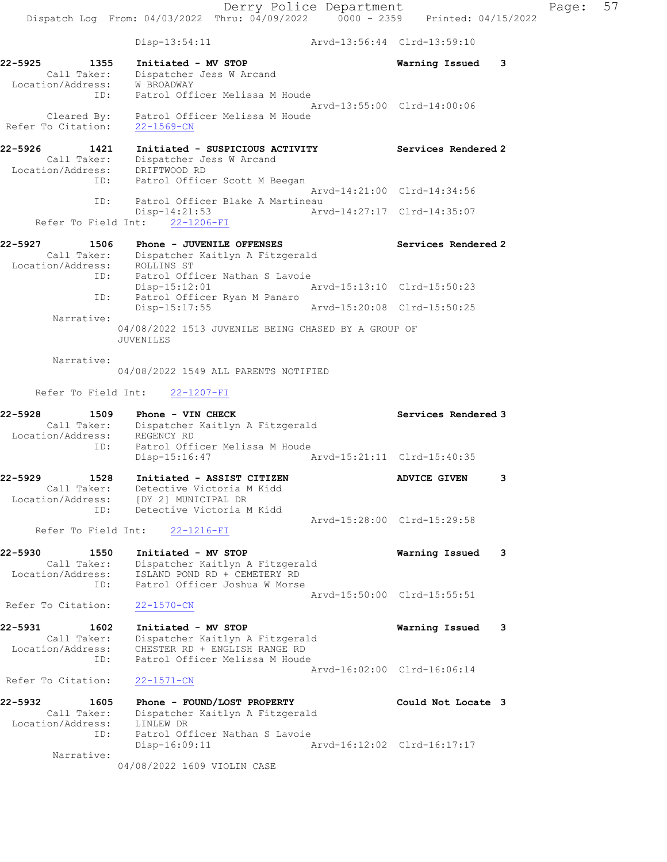Disp-13:54:11 Arvd-13:56:44 Clrd-13:59:10

22-5925 1355 Initiated - MV STOP Warning Issued 3 Call Taker: Dispatcher Jess W Arcand Location/Address: W BROADWAY ID: Patrol Officer Melissa M Houde Arvd-13:55:00 Clrd-14:00:06 Cleared By: Patrol Officer Melissa M Houde

22-5926 1421 Initiated - SUSPICIOUS ACTIVITY Services Rendered 2 Call Taker: Dispatcher Jess W Arcand Location/Address: DRIFTWOOD RD ID: Patrol Officer Scott M Beegan Arvd-14:21:00 Clrd-14:34:56 ID: Patrol Officer Blake A Martineau<br>Disp-14:21:53 Arv Disp-14:21:53 Arvd-14:27:17 Clrd-14:35:07

# Refer To Field Int: 22-1206-FI

Refer To Citation: 22-1569-CN

## 22-5927 1506 Phone - JUVENILE OFFENSES Services Rendered 2 Call Taker: Dispatcher Kaitlyn A Fitzgerald Location/Address: ROLLINS ST ID: Patrol Officer Nathan S Lavoie Disp-15:12:01 Arvd-15:13:10 Clrd-15:50:23 ID: Patrol Officer Ryan M Panaro Disp-15:17:55 Arvd-15:20:08 Clrd-15:50:25 Narrative:

04/08/2022 1513 JUVENILE BEING CHASED BY A GROUP OF JUVENILES

#### Narrative:

04/08/2022 1549 ALL PARENTS NOTIFIED

#### Refer To Field Int: 22-1207-FI

| 22-5928<br>1509    | Phone - VIN CHECK                                   | Services Rendered 3         |     |
|--------------------|-----------------------------------------------------|-----------------------------|-----|
| Call Taker:        | Dispatcher Kaitlyn A Fitzgerald                     |                             |     |
| Location/Address:  | REGENCY RD                                          |                             |     |
| ID:                | Patrol Officer Melissa M Houde                      |                             |     |
|                    | Arvd-15:21:11 Clrd-15:40:35<br>$Disp-15:16:47$      |                             |     |
| 22-5929<br>1528    | Initiated - ASSIST CITIZEN                          | <b>ADVICE GIVEN</b>         | 3   |
| Call Taker:        | Detective Victoria M Kidd                           |                             |     |
|                    | Location/Address: [DY 2] MUNICIPAL DR               |                             |     |
| ID:                | Detective Victoria M Kidd                           |                             |     |
|                    |                                                     | Arvd-15:28:00 Clrd-15:29:58 |     |
|                    | Refer To Field Int: 22-1216-FI                      |                             |     |
| 22-5930<br>1550    | Initiated - MV STOP                                 | Warning Issued              | - 3 |
| Call Taker:        | Dispatcher Kaitlyn A Fitzgerald                     |                             |     |
| Location/Address:  | ISLAND POND RD + CEMETERY RD                        |                             |     |
| ID:                | Patrol Officer Joshua W Morse                       |                             |     |
|                    |                                                     | Arvd-15:50:00 Clrd-15:55:51 |     |
| Refer To Citation: | $22 - 1570 - CN$                                    |                             |     |
| 22-5931<br>1602    | Initiated - MV STOP                                 | Warning Issued 3            |     |
| Call Taker:        | Dispatcher Kaitlyn A Fitzgerald                     |                             |     |
| Location/Address:  | CHESTER RD + ENGLISH RANGE RD                       |                             |     |
| ID:                | Patrol Officer Melissa M Houde                      |                             |     |
|                    |                                                     | Arvd-16:02:00 Clrd-16:06:14 |     |
| Refer To Citation: | $22 - 1571 - CN$                                    |                             |     |
| 22-5932<br>1605    | Phone - FOUND/LOST PROPERTY                         | Could Not Locate 3          |     |
|                    | $C_{2}$ ll Takor: Dispotshor Kaitlyn $R$ Fitzgorald |                             |     |

 Call Taker: Dispatcher Kaitlyn A Fitzgerald Location/Address: LINLEW DR ID: Patrol Officer Nathan S Lavoie Disp-16:09:11 Arvd-16:12:02 Clrd-16:17:17 Narrative:

04/08/2022 1609 VIOLIN CASE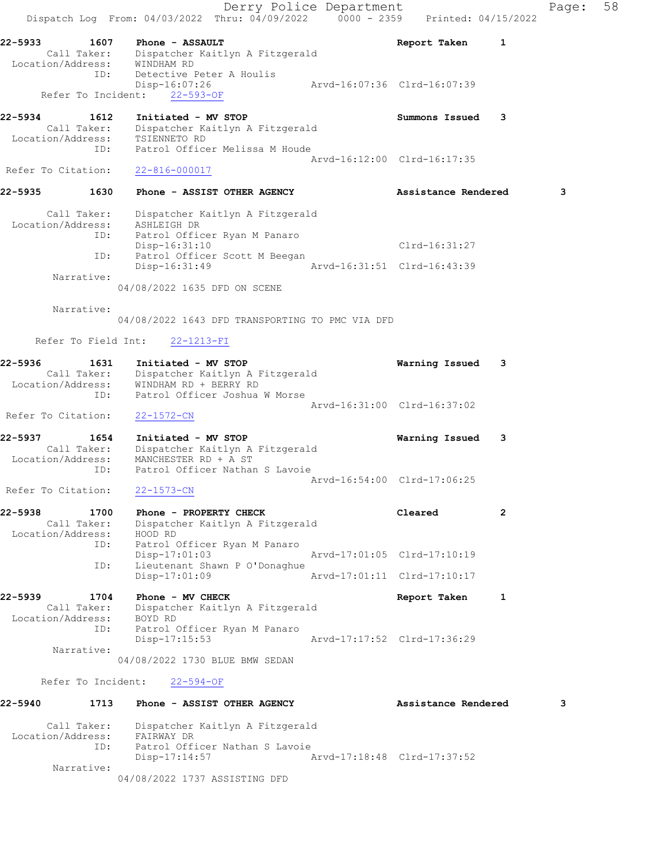Derry Police Department Fage: 58 Dispatch Log From:  $04/03/2022$  Thru:  $04/09/2022$  0000 - 2359 Printed: 04/15/2022 22-5933 1607 Phone - ASSAULT Report Taken 1 Call Taker: Dispatcher Kaitlyn A Fitzgerald Location/Address: WINDHAM RD ID: Detective Peter A Houlis Disp-16:07:26 Arvd-16:07:36 Clrd-16:07:39 Refer To Incident: 22-593-OF 22-5934 1612 Initiated - MV STOP Summons Issued 3 Call Taker: Dispatcher Kaitlyn A Fitzgerald Location/Address: TSIENNETO RD ID: Patrol Officer Melissa M Houde Arvd-16:12:00 Clrd-16:17:35 Refer To Citation: 22-816-000017 22-5935 1630 Phone - ASSIST OTHER AGENCY **Assistance Rendered** 3 Call Taker: Dispatcher Kaitlyn A Fitzgerald Location/Address: ASHLEIGH DR ID: Patrol Officer Ryan M Panaro Disp-16:31:10 Clrd-16:31:27 ID: Patrol Officer Scott M Beegan Disp-16:31:49 Arvd-16:31:51 Clrd-16:43:39 Narrative: 04/08/2022 1635 DFD ON SCENE Narrative: 04/08/2022 1643 DFD TRANSPORTING TO PMC VIA DFD Refer To Field Int: 22-1213-FI 22-5936 1631 Initiated - MV STOP Warning Issued 3 Call Taker: Dispatcher Kaitlyn A Fitzgerald Location/Address: WINDHAM RD + BERRY RD ID: Patrol Officer Joshua W Morse Arvd-16:31:00 Clrd-16:37:02 Refer To Citation: 22-1572-CN 22-5937 1654 Initiated - MV STOP Warning Issued 3 Call Taker: Dispatcher Kaitlyn A Fitzgerald Location/Address: MANCHESTER RD + A ST ID: Patrol Officer Nathan S Lavoie Arvd-16:54:00 Clrd-17:06:25 Refer To Citation: 22-1573-CN 22-5938 1700 Phone - PROPERTY CHECK Cleared Cleared 2 Call Taker: Dispatcher Kaitlyn A Fitzgerald Location/Address: HOOD RD ID: Patrol Officer Ryan M Panaro Disp-17:01:03 Arvd-17:01:05 Clrd-17:10:19 ID: Lieutenant Shawn P O'Donaghue Disp-17:01:09 Arvd-17:01:11 Clrd-17:10:17 22-5939 1704 Phone - MV CHECK Report Taken 1 Call Taker: Dispatcher Kaitlyn A Fitzgerald Location/Address: BOYD RD ID: Patrol Officer Ryan M Panaro<br>Disp-17:15:53 Arvd-17:17:52 Clrd-17:36:29 Disp-17:15:53 Narrative: 04/08/2022 1730 BLUE BMW SEDAN Refer To Incident: 22-594-OF 22-5940 1713 Phone - ASSIST OTHER AGENCY Assistance Rendered 3 Call Taker: Dispatcher Kaitlyn A Fitzgerald Location/Address: FAIRWAY DR ID: Patrol Officer Nathan S Lavoie Disp-17:14:57 Arvd-17:18:48 Clrd-17:37:52 Narrative: 04/08/2022 1737 ASSISTING DFD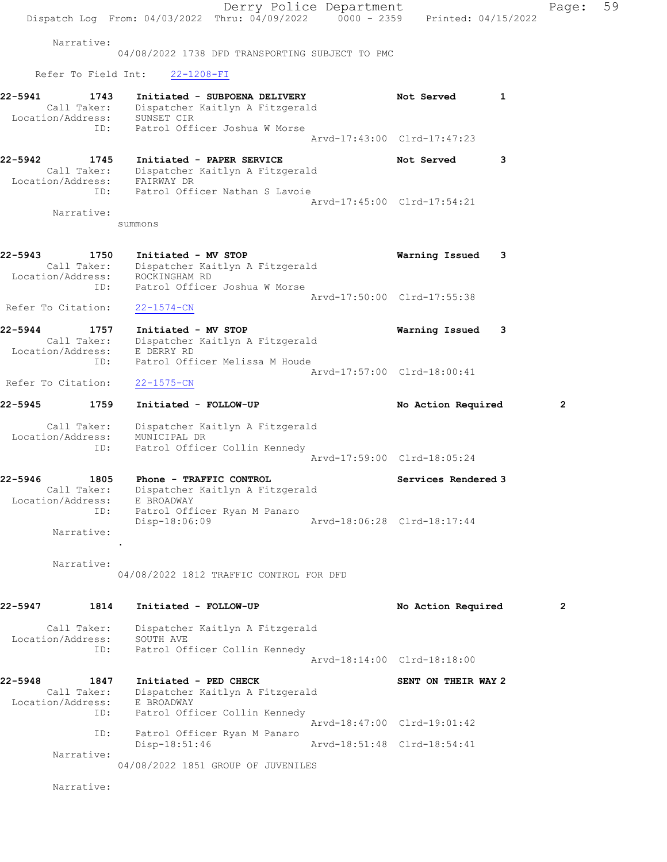Derry Police Department Fage: 59 Dispatch Log From: 04/03/2022 Thru: 04/09/2022 0000 - 2359 Printed: 04/15/2022 Narrative: 04/08/2022 1738 DFD TRANSPORTING SUBJECT TO PMC Refer To Field Int: 22-1208-FI 22-5941 1743 Initiated - SUBPOENA DELIVERY Not Served 1 Call Taker: Dispatcher Kaitlyn A Fitzgerald Location/Address: SUNSET CIR ID: Patrol Officer Joshua W Morse Arvd-17:43:00 Clrd-17:47:23 22-5942 1745 Initiated - PAPER SERVICE 1998 Not Served 3 Call Taker: Dispatcher Kaitlyn A Fitzgerald Location/Address: FAIRWAY DR ID: Patrol Officer Nathan S Lavoie Arvd-17:45:00 Clrd-17:54:21 Narrative: summons 22-5943 1750 Initiated - MV STOP Warning Issued 3 Call Taker: Dispatcher Kaitlyn A Fitzgerald Location/Address: ROCKINGHAM RD ID: Patrol Officer Joshua W Morse Arvd-17:50:00 Clrd-17:55:38 Refer To Citation: 22-1574-CN 22-5944 1757 Initiated - MV STOP Warning Issued 3 Call Taker: Dispatcher Kaitlyn A Fitzgerald Location/Address: E DERRY RD ID: Patrol Officer Melissa M Houde Arvd-17:57:00 Clrd-18:00:41 Refer To Citation: 22-1575-CN 22-5945 1759 Initiated - FOLLOW-UP No Action Required 2 Call Taker: Dispatcher Kaitlyn A Fitzgerald Location/Address: MUNICIPAL DR ID: Patrol Officer Collin Kennedy Arvd-17:59:00 Clrd-18:05:24 22-5946 1805 Phone - TRAFFIC CONTROL 1988 Services Rendered 3 Call Taker: Dispatcher Kaitlyn A Fitzgerald Location/Address: E BROADWAY ID: Patrol Officer Ryan M Panaro Disp-18:06:09 Arvd-18:06:28 Clrd-18:17:44 Narrative: . Narrative: 04/08/2022 1812 TRAFFIC CONTROL FOR DFD 22-5947 1814 Initiated - FOLLOW-UP 12 No Action Required 2 Call Taker: Dispatcher Kaitlyn A Fitzgerald Location/Address: SOUTH AVE ID: Patrol Officer Collin Kennedy Arvd-18:14:00 Clrd-18:18:00 22-5948 1847 Initiated - PED CHECK SENT ON THEIR WAY 2 Call Taker: Dispatcher Kaitlyn A Fitzgerald Location/Address: E BROADWAY ID: Patrol Officer Collin Kennedy Arvd-18:47:00 Clrd-19:01:42 ID: Patrol Officer Ryan M Panaro<br>Disp-18:51:46 Disp-18:51:46 Arvd-18:51:48 Clrd-18:54:41 Narrative: 04/08/2022 1851 GROUP OF JUVENILES Narrative: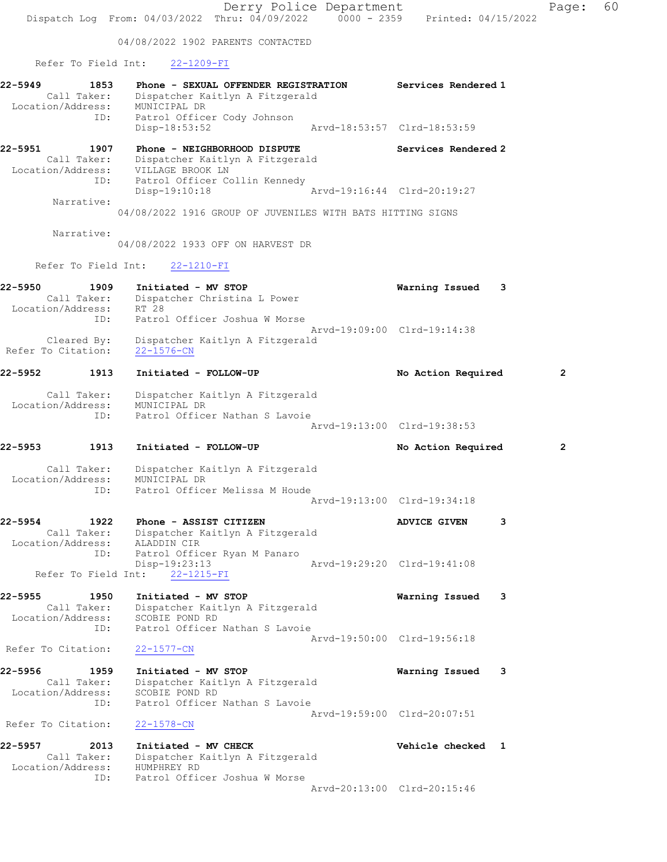Derry Police Department Fage: 60 Dispatch Log From: 04/03/2022 Thru: 04/09/2022 0000 - 2359 Printed: 04/15/2022 04/08/2022 1902 PARENTS CONTACTED Refer To Field Int: 22-1209-FI 22-5949 1853 Phone - SEXUAL OFFENDER REGISTRATION Services Rendered 1 Call Taker: Dispatcher Kaitlyn A Fitzgerald Location/Address: MUNICIPAL DR ID: Patrol Officer Cody Johnson Disp-18:53:52 Arvd-18:53:57 Clrd-18:53:59 22-5951 1907 Phone - NEIGHBORHOOD DISPUTE Services Rendered 2 Call Taker: Dispatcher Kaitlyn A Fitzgerald Location/Address: VILLAGE BROOK LN ID: Patrol Officer Collin Kennedy<br>Disp-19:10:18 Mrvd-19:16:44 Clrd-20:19:27 Disp-19:10:18 Narrative: 04/08/2022 1916 GROUP OF JUVENILES WITH BATS HITTING SIGNS Narrative: 04/08/2022 1933 OFF ON HARVEST DR Refer To Field Int: 22-1210-FI 22-5950 1909 Initiated - MV STOP Warning Issued 3 Call Taker: Dispatcher Christina L Power Location/Address: RT 28 ID: Patrol Officer Joshua W Morse<br>Arvd-19:09:00 Clrd-19:14:38 Arvd-19:09:00 Clrd-19:14:38 Cleared By: Dispatcher Kaitlyn A Fitzgerald Refer To Citation: 22-1576-CN 22-5952 1913 Initiated - FOLLOW-UP No Action Required 2 Call Taker: Dispatcher Kaitlyn A Fitzgerald Location/Address: MUNICIPAL DR ID: Patrol Officer Nathan S Lavoie Arvd-19:13:00 Clrd-19:38:53 22-5953 1913 Initiated - FOLLOW-UP No Action Required 2 Call Taker: Dispatcher Kaitlyn A Fitzgerald Location/Address: MUNICIPAL DR ID: Patrol Officer Melissa M Houde Arvd-19:13:00 Clrd-19:34:18 22-5954 1922 Phone - ASSIST CITIZEN 1928 ADVICE GIVEN 3 Call Taker: Dispatcher Kaitlyn A Fitzgerald Location/Address: ALADDIN CIR ID: Patrol Officer Ryan M Panaro Disp-19:23:13 Arvd-19:29:20 Clrd-19:41:08 Refer To Field Int: 22-1215-FI 22-5955 1950 Initiated - MV STOP Warning Issued 3 Call Taker: Dispatcher Kaitlyn A Fitzgerald Location/Address: SCOBIE POND RD ID: Patrol Officer Nathan S Lavoie Arvd-19:50:00 Clrd-19:56:18 Refer To Citation: 22-1577-CN 22-5956 1959 Initiated - MV STOP Warning Issued 3 Call Taker: Dispatcher Kaitlyn A Fitzgerald Location/Address: SCOBIE POND RD ID: Patrol Officer Nathan S Lavoie Arvd-19:59:00 Clrd-20:07:51 Refer To Citation: 22-1578-CN 22-5957 2013 Initiated - MV CHECK Vehicle checked 1 Call Taker: Dispatcher Kaitlyn A Fitzgerald Location/Address: HUMPHREY RD ID: Patrol Officer Joshua W Morse Arvd-20:13:00 Clrd-20:15:46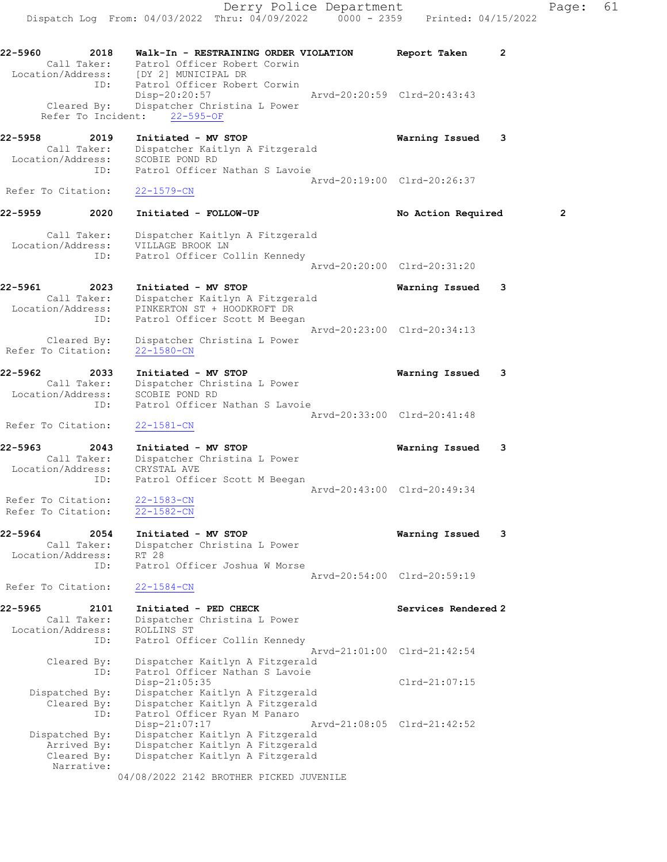22-5960 2018 Walk-In - RESTRAINING ORDER VIOLATION Report Taken 2 Call Taker: Patrol Officer Robert Corwin Location/Address: [DY 2] MUNICIPAL DR ID: Patrol Officer Robert Corwin Disp-20:20:57 Arvd-20:20:59 Clrd-20:43:43 Cleared By: Dispatcher Christina L Power Refer To Incident: 22-595-OF 22-5958 2019 Initiated - MV STOP Warning Issued 3 Call Taker: Dispatcher Kaitlyn A Fitzgerald Location/Address: SCOBIE POND RD ID: Patrol Officer Nathan S Lavoie Arvd-20:19:00 Clrd-20:26:37 Refer To Citation: 22-1579-CN 22-5959 2020 Initiated - FOLLOW-UP **No Action Required** 2 Call Taker: Dispatcher Kaitlyn A Fitzgerald Location/Address: VILLAGE BROOK LN ID: Patrol Officer Collin Kennedy Arvd-20:20:00 Clrd-20:31:20 22-5961 2023 Initiated - MV STOP Warning Issued 3 Call Taker: Dispatcher Kaitlyn A Fitzgerald Location/Address: PINKERTON ST + HOODKROFT DR ID: Patrol Officer Scott M Beegan Arvd-20:23:00 Clrd-20:34:13 Cleared By: Dispatcher Christina L Power Refer To Citation: 22-1580-CN 22-5962 2033 Initiated - MV STOP Warning Issued 3 Call Taker: Dispatcher Christina L Power Location/Address: SCOBIE POND RD ID: Patrol Officer Nathan S Lavoie Arvd-20:33:00 Clrd-20:41:48 Refer To Citation: 22-1581-CN 22-5963 2043 Initiated - MV STOP Warning Issued 3 Call Taker: Dispatcher Christina L Power Location/Address: CRYSTAL AVE ID: Patrol Officer Scott M Beegan Arvd-20:43:00 Clrd-20:49:34 Refer To Citation: 22-1583-CN Refer To Citation: 22-1582-CN 22-5964 2054 Initiated - MV STOP Warning Issued 3 Call Taker: Dispatcher Christina L Power Location/Address: RT 28 ID: Patrol Officer Joshua W Morse Arvd-20:54:00 Clrd-20:59:19 Refer To Citation: 22-1584-CN 22-5965 2101 Initiated - PED CHECK Services Rendered 2 Call Taker: Dispatcher Christina L Power Location/Address: ROLLINS ST ID: Patrol Officer Collin Kennedy Arvd-21:01:00 Clrd-21:42:54 Cleared By: Dispatcher Kaitlyn A Fitzgerald

ID: Patrol Officer Nathan S Lavoie

 Dispatched By: Dispatcher Kaitlyn A Fitzgerald Arrived By: Dispatcher Kaitlyn A Fitzgerald

Narrative:

 Dispatched By: Dispatcher Kaitlyn A Fitzgerald Cleared By: Dispatcher Kaitlyn A Fitzgerald ID: Patrol Officer Ryan M Panaro

Cleared By: Dispatcher Kaitlyn A Fitzgerald

Disp-21:05:35 Clrd-21:07:15

Disp-21:07:17 Arvd-21:08:05 Clrd-21:42:52

04/08/2022 2142 BROTHER PICKED JUVENILE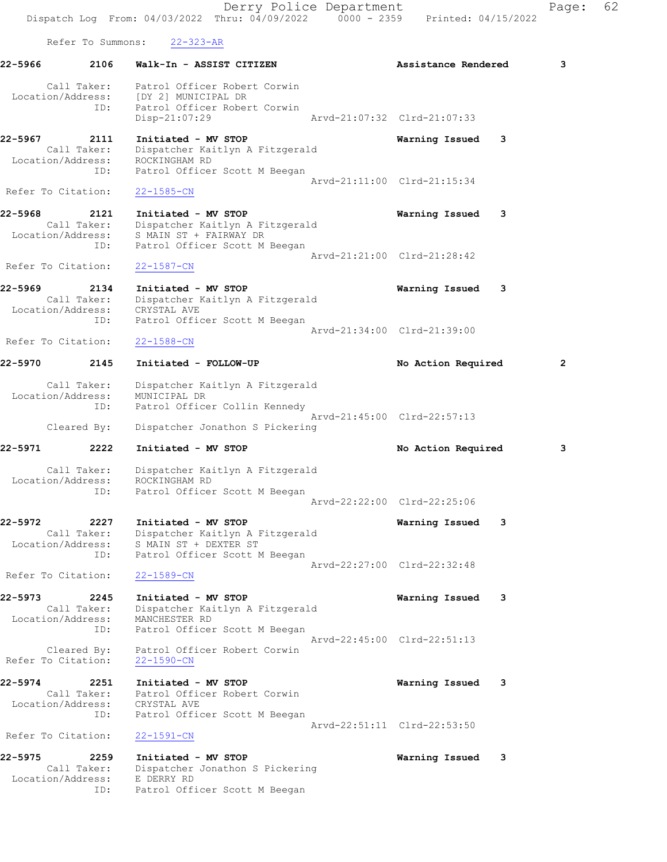Derry Police Department Fage: 62 Dispatch Log From: 04/03/2022 Thru: 04/09/2022 0000 - 2359 Printed: 04/15/2022 Refer To Summons: 22-323-AR 22-5966 2106 Walk-In - ASSIST CITIZEN **Assistance Rendered** 3 Call Taker: Patrol Officer Robert Corwin Location/Address: [DY 2] MUNICIPAL DR ID: Patrol Officer Robert Corwin Disp-21:07:29 Arvd-21:07:32 Clrd-21:07:33 22-5967 2111 Initiated - MV STOP Warning Issued 3 Call Taker: Dispatcher Kaitlyn A Fitzgerald Location/Address: ROCKINGHAM RD ID: Patrol Officer Scott M Beegan Arvd-21:11:00 Clrd-21:15:34 Refer To Citation: 22-1585-CN 22-5968 2121 Initiated - MV STOP Warning Issued 3 Call Taker: Dispatcher Kaitlyn A Fitzgerald Location/Address: S MAIN ST + FAIRWAY DR ID: Patrol Officer Scott M Beegan Arvd-21:21:00 Clrd-21:28:42 Refer To Citation: 22-1587-CN 22-5969 2134 Initiated - MV STOP Warning Issued 3 Call Taker: Dispatcher Kaitlyn A Fitzgerald Location/Address: CRYSTAL AVE ID: Patrol Officer Scott M Beegan Arvd-21:34:00 Clrd-21:39:00 Refer To Citation: 22-1588-CN 22-5970 2145 Initiated - FOLLOW-UP No Action Required 2 Call Taker: Dispatcher Kaitlyn A Fitzgerald Location/Address: MUNICIPAL DR ID: Patrol Officer Collin Kennedy Arvd-21:45:00 Clrd-22:57:13 Cleared By: Dispatcher Jonathon S Pickering 22-5971 2222 Initiated - MV STOP No Action Required 3 Call Taker: Dispatcher Kaitlyn A Fitzgerald Location/Address: ROCKINGHAM RD ID: Patrol Officer Scott M Beegan Arvd-22:22:00 Clrd-22:25:06 22-5972 2227 Initiated - MV STOP Warning Issued 3 Call Taker: Dispatcher Kaitlyn A Fitzgerald Location/Address: S MAIN ST + DEXTER ST ID: Patrol Officer Scott M Beegan Arvd-22:27:00 Clrd-22:32:48 Refer To Citation: 22-1589-CN 22-5973 2245 Initiated - MV STOP Warning Issued 3 Call Taker: Dispatcher Kaitlyn A Fitzgerald Location/Address: MANCHESTER RD ID: Patrol Officer Scott M Beegan Arvd-22:45:00 Clrd-22:51:13 Cleared By: Patrol Officer Robert Corwin Refer To Citation: 22-1590-CN 22-5974 2251 Initiated - MV STOP Warning Issued 3 Call Taker: Patrol Officer Robert Corwin Location/Address: CRYSTAL AVE ID: Patrol Officer Scott M Beegan Arvd-22:51:11 Clrd-22:53:50 Refer To Citation: 22-1591-CN 22-5975 2259 Initiated - MV STOP Warning Issued 3 Call Taker: Dispatcher Jonathon S Pickering

 Location/Address: E DERRY RD ID: Patrol Officer Scott M Beegan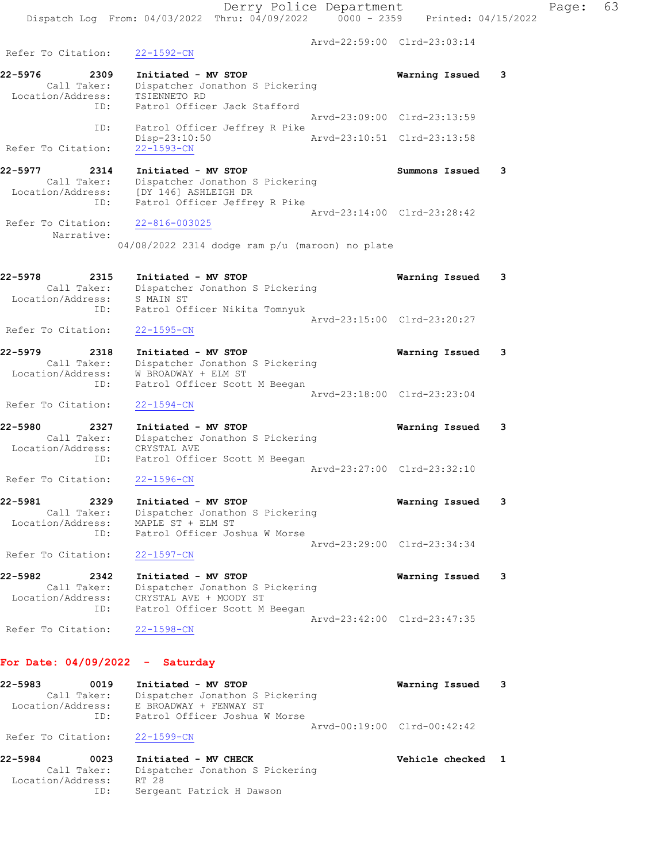Derry Police Department Fage: 63 Dispatch Log From:  $04/03/2022$  Thru:  $04/09/2022$  0000 - 2359 Printed: 04/15/2022 Arvd-22:59:00 Clrd-23:03:14 Refer To Citation: 22-1592-CN 22-5976 2309 Initiated - MV STOP Warning Issued 3 Call Taker: Dispatcher Jonathon S Pickering Location/Address: TSIENNETO RD ID: Patrol Officer Jack Stafford Arvd-23:09:00 Clrd-23:13:59 ID: Patrol Officer Jeffrey R Pike<br>Disp-23:10:50 Arvd-23:10:51 Clrd-23:13:58 Disp-23:10:50<br>22-1593-CN Refer To Citation: 22-5977 2314 Initiated - MV STOP Summons Issued 3 Call Taker: Dispatcher Jonathon S Pickering Location/Address: [DY 146] ASHLEIGH DR ID: Patrol Officer Jeffrey R Pike Arvd-23:14:00 Clrd-23:28:42 Refer To Citation: 22-816-003025 Narrative: 04/08/2022 2314 dodge ram p/u (maroon) no plate 22-5978 2315 Initiated - MV STOP Warning Issued 3 Call Taker: Dispatcher Jonathon S Pickering Location/Address: S MAIN ST ID: Patrol Officer Nikita Tomnyuk Arvd-23:15:00 Clrd-23:20:27 Refer To Citation: 22-1595-CN 22-5979 2318 Initiated - MV STOP Warning Issued 3 Call Taker: Dispatcher Jonathon S Pickering Location/Address: W BROADWAY + ELM ST ID: Patrol Officer Scott M Beegan Arvd-23:18:00 Clrd-23:23:04 Refer To Citation: 22-1594-CN 22-5980 2327 Initiated - MV STOP Warning Issued 3 Call Taker: Dispatcher Jonathon S Pickering Location/Address: CRYSTAL AVE ID: Patrol Officer Scott M Beegan Arvd-23:27:00 Clrd-23:32:10 Refer To Citation: 22-1596-CN 22-5981 2329 Initiated - MV STOP Warning Issued 3 Call Taker: Dispatcher Jonathon S Pickering Location/Address: MAPLE ST + ELM ST ID: Patrol Officer Joshua W Morse Arvd-23:29:00 Clrd-23:34:34 Refer To Citation: 22-1597-CN 22-5982 2342 Initiated - MV STOP Warning Issued 3 Call Taker: Dispatcher Jonathon S Pickering Location/Address: CRYSTAL AVE + MOODY ST ID: Patrol Officer Scott M Beegan Arvd-23:42:00 Clrd-23:47:35 Refer To Citation: 22-1598-CN For Date: 04/09/2022 - Saturday

### 22-5983 0019 Initiated - MV STOP Warning Issued 3 Call Taker: Dispatcher Jonathon S Pickering Location/Address: E BROADWAY + FENWAY ST ID: Patrol Officer Joshua W Morse Arvd-00:19:00 Clrd-00:42:42 Refer To Citation: 22-1599-CN

22-5984 0023 Initiated - MV CHECK Vehicle checked 1 Call Taker: Dispatcher Jonathon S Pickering Location/Address: RT 28 ID: Sergeant Patrick H Dawson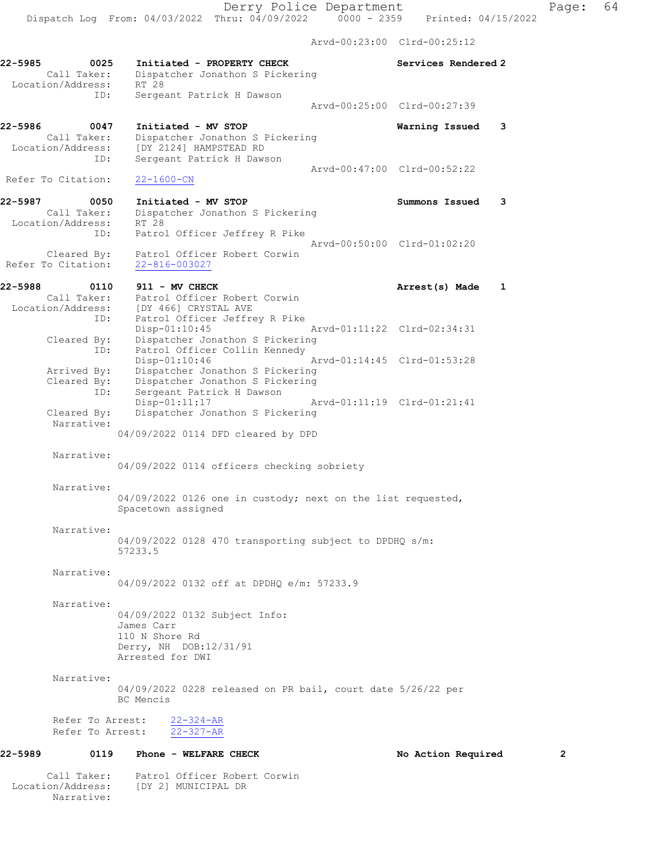|                                                            |                                                                                                                                                                |                             | Arvd-00:23:00 Clrd-00:25:12                                |   |
|------------------------------------------------------------|----------------------------------------------------------------------------------------------------------------------------------------------------------------|-----------------------------|------------------------------------------------------------|---|
| 22-5985<br>0025<br>Call Taker:<br>Location/Address:        | Initiated - PROPERTY CHECK<br>Dispatcher Jonathon S Pickering<br>RT 28                                                                                         |                             | Services Rendered 2                                        |   |
| ID:                                                        | Sergeant Patrick H Dawson                                                                                                                                      |                             | Aryd-00:25:00 Clrd-00:27:39                                |   |
| 22-5986<br>0047<br>Call Taker:<br>Location/Address:<br>ID: | Initiated - MV STOP<br>Dispatcher Jonathon S Pickering<br>[DY 2124] HAMPSTEAD RD<br>Sergeant Patrick H Dawson                                                  |                             | Warning Issued<br>3                                        |   |
| Refer To Citation:                                         | $22 - 1600 - CN$                                                                                                                                               |                             | Arvd-00:47:00 Clrd-00:52:22                                |   |
| 22-5987<br>0050<br>Call Taker:<br>Location/Address:        | Initiated - MV STOP<br>Dispatcher Jonathon S Pickering<br>RT 28                                                                                                |                             | Summons Issued<br>3                                        |   |
| ID:<br>Cleared By:<br>Refer To Citation:                   | Patrol Officer Jeffrey R Pike<br>Patrol Officer Robert Corwin<br>22-816-003027                                                                                 |                             | Arvd-00:50:00 Clrd-01:02:20                                |   |
| 22-5988<br>0110<br>Call Taker:<br>ID:                      | 911 - MV CHECK<br>Patrol Officer Robert Corwin<br>Call Taker: Patrol Officer Robert<br>Location/Address: [DY 466] CRYSTAL AVE<br>Patrol Officer Jeffrey R Pike |                             | Arrest(s) Made<br>1                                        |   |
| Cleared By:<br>ID:                                         | $Disp-01:10:45$<br>Dispatcher Jonathon S Pickering<br>Patrol Officer Collin Kennedy                                                                            |                             | Arvd-01:11:22 Clrd-02:34:31<br>Arvd-01:14:45 Clrd-01:53:28 |   |
| Arrived By:<br>Cleared By:<br>ID:                          | $Disp-01:10:46$<br>Dispatcher Jonathon S Pickering<br>Dispatcher Jonathon S Pickering<br>Sergeant Patrick H Dawson                                             |                             |                                                            |   |
| Cleared By:<br>Narrative:                                  | Disp-01:11:17<br>Dispatcher Jonathon S Pickering<br>04/09/2022 0114 DFD cleared by DPD                                                                         | Arvd-01:11:19 Clrd-01:21:41 |                                                            |   |
| Narrative:                                                 | 04/09/2022 0114 officers checking sobriety                                                                                                                     |                             |                                                            |   |
| Narrative:                                                 | 04/09/2022 0126 one in custody; next on the list requested,<br>Spacetown assigned                                                                              |                             |                                                            |   |
| Narrative:                                                 | 04/09/2022 0128 470 transporting subject to DPDHQ s/m:<br>57233.5                                                                                              |                             |                                                            |   |
| Narrative:                                                 | 04/09/2022 0132 off at DPDHO e/m: 57233.9                                                                                                                      |                             |                                                            |   |
| Narrative:                                                 | 04/09/2022 0132 Subject Info:<br>James Carr<br>110 N Shore Rd<br>Derry, NH DOB:12/31/91<br>Arrested for DWI                                                    |                             |                                                            |   |
| Narrative:                                                 | 04/09/2022 0228 released on PR bail, court date 5/26/22 per<br>BC Mencis                                                                                       |                             |                                                            |   |
| Refer To Arrest:<br>Refer To Arrest:                       | $22 - 324 - AR$<br>$22 - 327 - AR$                                                                                                                             |                             |                                                            |   |
| 0119<br>22-5989                                            | Phone - WELFARE CHECK                                                                                                                                          |                             | No Action Required                                         | 2 |
|                                                            | Call Taker: Patrol Officer Robert Corwin                                                                                                                       |                             |                                                            |   |

Location/Address: [DY 2] MUNICIPAL DR

Narrative: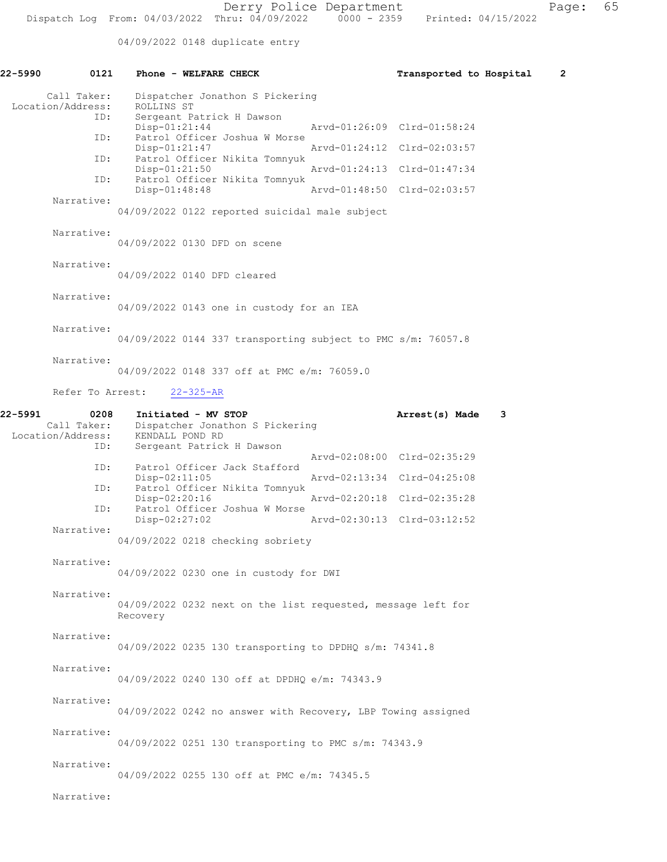04/09/2022 0148 duplicate entry

| 22-5990                                     | 0121<br>Phone - WELFARE CHECK                                                                                         | Transported to Hospital<br>2 |
|---------------------------------------------|-----------------------------------------------------------------------------------------------------------------------|------------------------------|
| Call Taker:<br>Location/Address:            | Dispatcher Jonathon S Pickering<br>ROLLINS ST<br>Sergeant Patrick H Dawson<br>ID:                                     |                              |
|                                             | $Disp-01:21:44$<br>Patrol Officer Joshua W Morse<br>ID:                                                               | Arvd-01:26:09 Clrd-01:58:24  |
|                                             | Disp-01:21:47<br>Patrol Officer Nikita Tomnyuk<br>ID:                                                                 | Aryd-01:24:12 Clrd-02:03:57  |
|                                             | $Disp-01:21:50$                                                                                                       | Arvd-01:24:13 Clrd-01:47:34  |
|                                             | Patrol Officer Nikita Tomnyuk<br>ID:<br>Disp-01:48:48                                                                 | Arvd-01:48:50 Clrd-02:03:57  |
| Narrative:                                  | 04/09/2022 0122 reported suicidal male subject                                                                        |                              |
| Narrative:                                  | 04/09/2022 0130 DFD on scene                                                                                          |                              |
| Narrative:                                  | 04/09/2022 0140 DFD cleared                                                                                           |                              |
| Narrative:                                  | 04/09/2022 0143 one in custody for an IEA                                                                             |                              |
| Narrative:                                  | 04/09/2022 0144 337 transporting subject to PMC s/m: 76057.8                                                          |                              |
| Narrative:                                  | 04/09/2022 0148 337 off at PMC e/m: 76059.0                                                                           |                              |
|                                             | Refer To Arrest:<br>$22 - 325 - AR$                                                                                   |                              |
| 22-5991<br>Call Taker:<br>Location/Address: | 0208<br>Initiated - MV STOP<br>Dispatcher Jonathon S Pickering<br>KENDALL POND RD<br>Sergeant Patrick H Dawson<br>ID: | Arrest(s) Made<br>3          |
|                                             | Patrol Officer Jack Stafford<br>ID:                                                                                   | Arvd-02:08:00 Clrd-02:35:29  |
|                                             | $Disp-02:11:05$<br>Patrol Officer Nikita Tomnyuk<br>ID:                                                               | Arvd-02:13:34 Clrd-04:25:08  |
|                                             | Disp-02:20:16<br>Patrol Officer Joshua W Morse<br>ID:                                                                 | Arvd-02:20:18 Clrd-02:35:28  |
| Narrative:                                  | $Disp-02:27:02$                                                                                                       | Arvd-02:30:13 Clrd-03:12:52  |
|                                             | 04/09/2022 0218 checking sobriety                                                                                     |                              |
| Narrative:                                  | 04/09/2022 0230 one in custody for DWI                                                                                |                              |
| Narrative:                                  | 04/09/2022 0232 next on the list requested, message left for<br>Recovery                                              |                              |
| Narrative:                                  | 04/09/2022 0235 130 transporting to DPDHQ s/m: 74341.8                                                                |                              |
| Narrative:                                  | 04/09/2022 0240 130 off at DPDHO e/m: 74343.9                                                                         |                              |
| Narrative:                                  | 04/09/2022 0242 no answer with Recovery, LBP Towing assigned                                                          |                              |
| Narrative:                                  | 04/09/2022 0251 130 transporting to PMC s/m: 74343.9                                                                  |                              |
| Narrative:                                  | 04/09/2022 0255 130 off at PMC e/m: 74345.5                                                                           |                              |
| Narrative:                                  |                                                                                                                       |                              |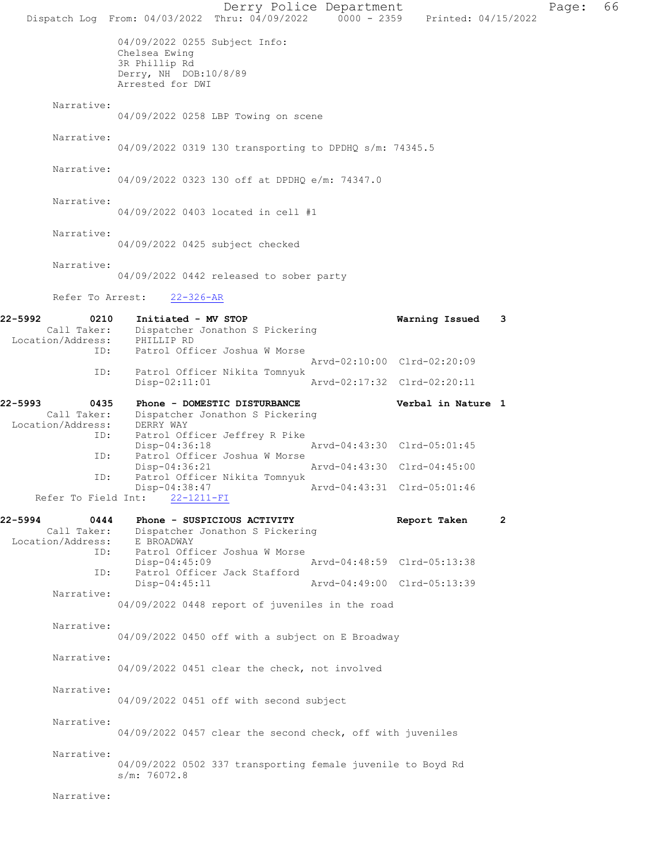Derry Police Department Page: 66 Dispatch Log From: 04/03/2022 Thru: 04/09/2022 0000 - 2359 Printed: 04/15/2022 04/09/2022 0255 Subject Info: Chelsea Ewing 3R Phillip Rd Derry, NH DOB:10/8/89 Arrested for DWI Narrative: 04/09/2022 0258 LBP Towing on scene Narrative: 04/09/2022 0319 130 transporting to DPDHQ s/m: 74345.5 Narrative: 04/09/2022 0323 130 off at DPDHQ e/m: 74347.0 Narrative: 04/09/2022 0403 located in cell #1 Narrative: 04/09/2022 0425 subject checked Narrative: 04/09/2022 0442 released to sober party Refer To Arrest: 22-326-AR 22-5992 0210 Initiated - MV STOP Warning Issued 3 Call Taker: Dispatcher Jonathon S Pickering<br>on/Address: PHILLIP RD Location/Address: ID: Patrol Officer Joshua W Morse Arvd-02:10:00 Clrd-02:20:09<br>TD: Patrol Officer Nikita Tompyuk Patrol Officer Nikita Tomnyuk<br>Disp-02:11:01 Disp-02:11:01 Arvd-02:17:32 Clrd-02:20:11 22-5993 0435 Phone - DOMESTIC DISTURBANCE Verbal in Nature 1<br>Call Taker: Dispatcher Jonathon S Pickering Dispatcher Jonathon S Pickering<br>DERRY WAY Location/Address: ID: Patrol Officer Jeffrey R Pike Disp-04:36:18 Arvd-04:43:30 Clrd-05:01:45<br>TD: Patrol Officer Joshua W Morse Patrol Officer Joshua W Morse<br>Disp-04:36:21 Disp-04:36:21 Arvd-04:43:30 Clrd-04:45:00<br>ID: Patrol Officer Nikita Tomnyuk Patrol Officer Nikita Tomnyuk<br>Disp-04:38:47 -04:38:47 Arvd-04:43:31 Clrd-05:01:46<br>22-1211-FI Refer To Field Int: 22-5994 0444 Phone - SUSPICIOUS ACTIVITY Report Taken 2 Call Taker: Dispatcher Jonathon S Pickering<br>ion/Address: E BROADWAY Location/Address:<br>ID: Patrol Officer Joshua W Morse<br>Disp-04:45:09 Disp-04:45:09 Arvd-04:48:59 Clrd-05:13:38 Patrol Officer Jack Stafford<br>Disp-04:45:11 Disp-04:45:11 Arvd-04:49:00 Clrd-05:13:39 Narrative: 04/09/2022 0448 report of juveniles in the road Narrative: 04/09/2022 0450 off with a subject on E Broadway Narrative: 04/09/2022 0451 clear the check, not involved Narrative: 04/09/2022 0451 off with second subject Narrative: 04/09/2022 0457 clear the second check, off with juveniles Narrative: 04/09/2022 0502 337 transporting female juvenile to Boyd Rd s/m: 76072.8 Narrative: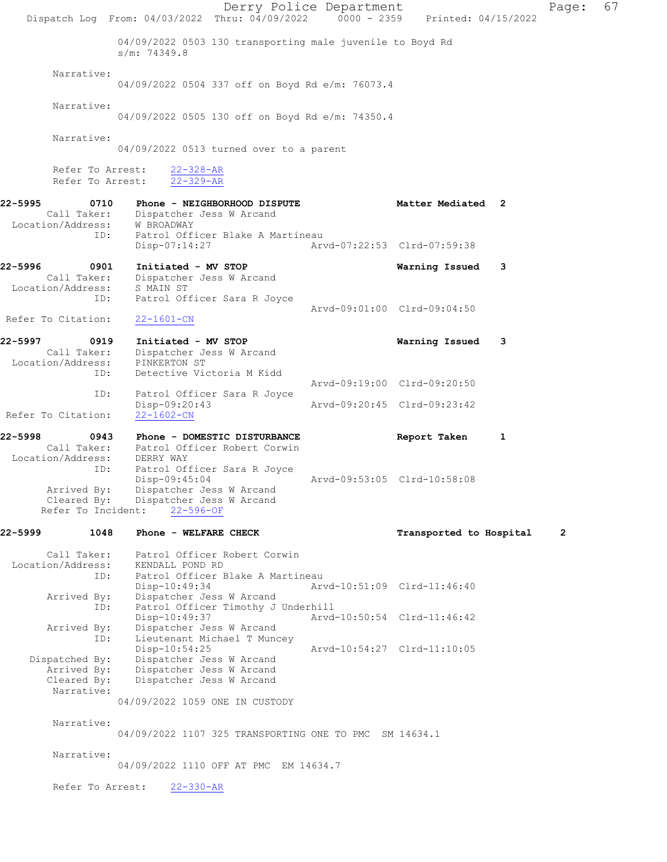Derry Police Department Fage: 67 Dispatch Log From: 04/03/2022 Thru: 04/09/2022 0000 - 2359 Printed: 04/15/2022 04/09/2022 0503 130 transporting male juvenile to Boyd Rd s/m: 74349.8 Narrative: 04/09/2022 0504 337 off on Boyd Rd e/m: 76073.4 Narrative: 04/09/2022 0505 130 off on Boyd Rd e/m: 74350.4 Narrative: 04/09/2022 0513 turned over to a parent Refer To Arrest: 22-328-AR Refer To Arrest: 22-329-AR 22-5995 0710 Phone - NEIGHBORHOOD DISPUTE Matter Mediated 2 Call Taker: Dispatcher Jess W Arcand Location/Address: W BROADWAY ID: Patrol Officer Blake A Martineau Disp-07:14:27 Arvd-07:22:53 Clrd-07:59:38 22-5996 0901 Initiated - MV STOP Warning Issued 3 Call Taker: Dispatcher Jess W Arcand Location/Address: S MAIN ST ID: Patrol Officer Sara R Joyce Arvd-09:01:00 Clrd-09:04:50 Refer To Citation: 22-1601-CN 22-5997 0919 Initiated - MV STOP Warning Issued 3 Call Taker: Dispatcher Jess W Arcand Location/Address: PINKERTON ST<br>ID: Detective Vio Detective Victoria M Kidd Arvd-09:19:00 Clrd-09:20:50 ID: Patrol Officer Sara R Joyce Disp-09:20:43 Arvd-09:20:45 Clrd-09:23:42 Refer To Citation: 22-5998 0943 Phone - DOMESTIC DISTURBANCE Report Taken 1 Call Taker: Patrol Officer Robert Corwin Location/Address: DERRY WAY ID: Patrol Officer Sara R Joyce<br>Disp-09:45:04 Arvd-09:53:05 Clrd-10:58:08 Arrived By: Dispatcher Jess W Arcand Cleared By: Dispatcher Jess W Arcand Refer To Incident: 22-596-OF 22-5999 1048 Phone - WELFARE CHECK TRANSPORTED Transported to Hospital 2 Call Taker: Patrol Officer Robert Corwin Location/Address: KENDALL POND RD ID: Patrol Officer Blake A Martineau<br>Disp-10:49:34 Art Disp-10:49:34 Arvd-10:51:09 Clrd-11:46:40 Arrived By: Dispatcher Jess W Arcand ID: Patrol Officer Timothy J Underhill Disp-10:49:37 Arvd-10:50:54 Clrd-11:46:42 Arrived By: Dispatcher Jess W Arcand<br>ID: Lieutenant Michael T Munc Lieutenant Michael T Muncey Disp-10:54:25 Arvd-10:54:27 Clrd-11:10:05 Dispatched By: Dispatcher Jess W Arcand Arrived By: Dispatcher Jess W Arcand<br>Cleared By: Dispatcher Jess W Arcand Dispatcher Jess W Arcand Narrative: 04/09/2022 1059 ONE IN CUSTODY Narrative: 04/09/2022 1107 325 TRANSPORTING ONE TO PMC SM 14634.1 Narrative: 04/09/2022 1110 OFF AT PMC EM 14634.7 Refer To Arrest: 22-330-AR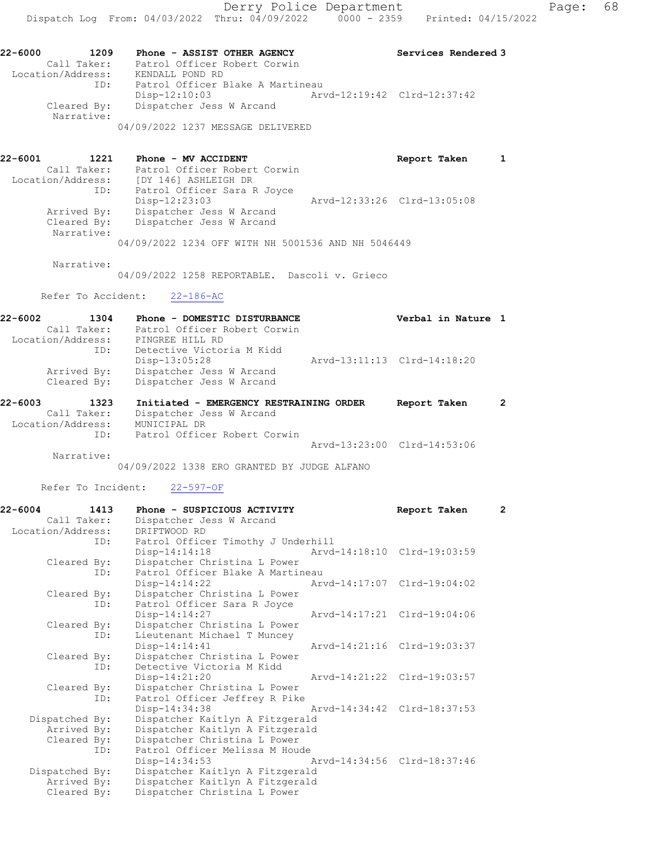22-6000 1209 Phone - ASSIST OTHER AGENCY Services Rendered 3 Call Taker: Patrol Officer Robert Corwin Location/Address: KENDALL POND RD ID: Patrol Officer Blake A Martineau Disp-12:10:03 Arvd-12:19:42 Clrd-12:37:42 Cleared By: Dispatcher Jess W Arcand Narrative: 04/09/2022 1237 MESSAGE DELIVERED

22-6001 1221 Phone - MV ACCIDENT Report Taken 1 Call Taker: Patrol Officer Robert Corwin Location/Address: [DY 146] ASHLEIGH DR ID: Patrol Officer Sara R Joyce Disp-12:23:03 Arvd-12:33:26 Clrd-13:05:08 Arrived By: Dispatcher Jess W Arcand Cleared By: Dispatcher Jess W Arcand Narrative:

04/09/2022 1234 OFF WITH NH 5001536 AND NH 5046449

Narrative:

04/09/2022 1258 REPORTABLE. Dascoli v. Grieco

#### Refer To Accident: 22-186-AC

| 22-6002 | 1304              | Phone - DOMESTIC DISTURBANCE            | Verbal in Nature 1          |  |
|---------|-------------------|-----------------------------------------|-----------------------------|--|
|         | Call Taker:       | Patrol Officer Robert Corwin            |                             |  |
|         | Location/Address: | PINGREE HILL RD                         |                             |  |
|         | ID:               | Detective Victoria M Kidd               |                             |  |
|         |                   | Disp-13:05:28                           | Arvd-13:11:13 Clrd-14:18:20 |  |
|         | Arrived By:       | Dispatcher Jess W Arcand                |                             |  |
|         | Cleared By:       | Dispatcher Jess W Arcand                |                             |  |
| 22-6003 | 1323.             | Tritisted - FMFDCFNCY DFSTDATNING OPDFD | Penort Taken                |  |

| 22-6003           | 1323.       | Initiated - EMERGENCY RESTRAINING ORDER |                             | keport Taken |  |
|-------------------|-------------|-----------------------------------------|-----------------------------|--------------|--|
|                   | Call Taker: | Dispatcher Jess W Arcand                |                             |              |  |
| Location/Address: |             | MUNICIPAL DR                            |                             |              |  |
|                   | TD:         | Patrol Officer Robert Corwin            |                             |              |  |
|                   |             |                                         | Arvd-13:23:00 Clrd-14:53:06 |              |  |

Narrative:

04/09/2022 1338 ERO GRANTED BY JUDGE ALFANO

Refer To Incident: 22-597-OF

| 22-6004           | 1413 | Phone - SUSPICIOUS ACTIVITY        | Report Taken                | $\overline{2}$ |
|-------------------|------|------------------------------------|-----------------------------|----------------|
| Call Taker:       |      | Dispatcher Jess W Arcand           |                             |                |
| Location/Address: |      | DRIFTWOOD RD                       |                             |                |
|                   | ID:  | Patrol Officer Timothy J Underhill |                             |                |
|                   |      | $Disp-14:14:18$                    | Aryd-14:18:10 Clrd-19:03:59 |                |
| Cleared By:       |      | Dispatcher Christina L Power       |                             |                |
|                   | ID:  | Patrol Officer Blake A Martineau   |                             |                |
|                   |      | $Disp-14:14:22$                    | Aryd-14:17:07 Clrd-19:04:02 |                |
| Cleared By:       |      | Dispatcher Christina L Power       |                             |                |
|                   | ID:  | Patrol Officer Sara R Joyce        |                             |                |
|                   |      | Disp-14:14:27                      | Arvd-14:17:21 Clrd-19:04:06 |                |
| Cleared By:       |      | Dispatcher Christina L Power       |                             |                |
|                   | ID:  | Lieutenant Michael T Muncey        |                             |                |
|                   |      | Disp-14:14:41                      | Arvd-14:21:16 Clrd-19:03:37 |                |
| Cleared By:       |      | Dispatcher Christina L Power       |                             |                |
|                   | ID:  | Detective Victoria M Kidd          |                             |                |
|                   |      | $Disp-14:21:20$                    | Aryd-14:21:22 Clrd-19:03:57 |                |
| Cleared By:       |      | Dispatcher Christina L Power       |                             |                |
|                   | ID:  | Patrol Officer Jeffrey R Pike      |                             |                |
|                   |      | Disp-14:34:38                      | Arvd-14:34:42 Clrd-18:37:53 |                |
| Dispatched By:    |      | Dispatcher Kaitlyn A Fitzgerald    |                             |                |
| Arrived By:       |      | Dispatcher Kaitlyn A Fitzgerald    |                             |                |
| Cleared By:       |      | Dispatcher Christina L Power       |                             |                |
|                   | ID:  | Patrol Officer Melissa M Houde     |                             |                |
|                   |      | $Disp-14:34:53$                    | Arvd-14:34:56 Clrd-18:37:46 |                |
| Dispatched By:    |      | Dispatcher Kaitlyn A Fitzgerald    |                             |                |
| Arrived By:       |      | Dispatcher Kaitlyn A Fitzgerald    |                             |                |
| Cleared By:       |      | Dispatcher Christina L Power       |                             |                |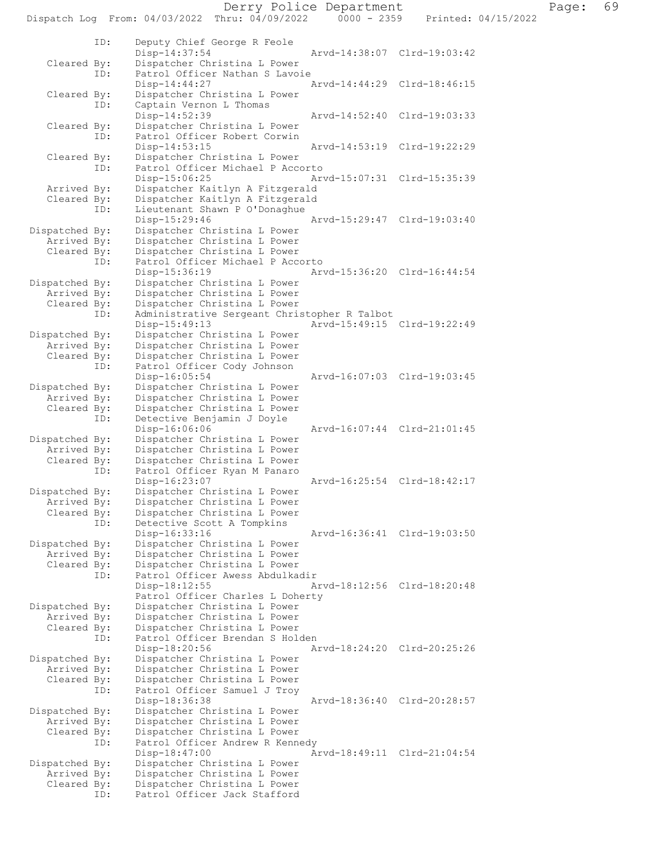Derry Police Department Page: 69 Dispatch Log From: 04/03/2022 Thru: 04/09/2022 ID: Deputy Chief George R Feole Disp-14:37:54 Arvd-14:38:07 Clrd-19:03:42 Cleared By: Dispatcher Christina L Power ID: Patrol Officer Nathan S Lavoie<br>Disp-14:44:27 Disp-14:44:27 Arvd-14:44:29 Clrd-18:46:15 Cleared By: Dispatcher Christina L Power ID: Captain Vernon L Thomas<br>Disp-14:52:39 Disp-14:52:39 Arvd-14:52:40 Clrd-19:03:33<br>Cleared By: Dispatcher Christina L Power Dispatcher Christina L Power ID: Patrol Officer Robert Corwin Disp-14:53:15 Arvd-14:53:19 Clrd-19:22:29 Cleared By: Dispatcher Christina L Power<br>TD: Patrol Officer Michael P Acco Patrol Officer Michael P Accorto<br>Disp-15:06:25 Ar Disp-15:06:25 Arvd-15:07:31 Clrd-15:35:39 Arrived By: Dispatcher Kaitlyn A Fitzgerald Cleared By: Dispatcher Kaitlyn A Fitzgerald<br>ID: Lieutenant Shawn P O'Donaghue Lieutenant Shawn P O'Donaghue Disp-15:29:46 Arvd-15:29:47 Clrd-19:03:40<br>Dispatched By: Dispatcher Christina L Power patched By: Dispatcher Christina L Power<br>Arrived By: Dispatcher Christina L Power Dispatcher Christina L Power Cleared By: Dispatcher Christina L Power<br>TD: Patrol Officer Michael P Acc Patrol Officer Michael P Accorto Disp-15:36:19 Arvd-15:36:20 Clrd-16:44:54<br>Dispatched By: Dispatcher Christina L Power patched By: Dispatcher Christina L Power<br>Arrived By: Dispatcher Christina L Power Dispatcher Christina L Power Cleared By: Dispatcher Christina L Power ID: Administrative Sergeant Christopher R Talbot Disp-15:49:13 Arvd-15:49:15 Clrd-19:22:49<br>Dispatched By: Dispatcher Christina L Power patched By: Dispatcher Christina L Power<br>Arrived By: Dispatcher Christina L Power Dispatcher Christina L Power Cleared By: Dispatcher Christina L Power ID: Patrol Officer Cody Johnson Disp-16:05:54 Arvd-16:07:03 Clrd-19:03:45<br>Dispatched By: Dispatcher Christina L Power patched By: Dispatcher Christina L Power<br>Arrived By: Dispatcher Christina L Power Arrived By: Dispatcher Christina L Power<br>Cleared By: Dispatcher Christina L Power Dispatcher Christina L Power ID: Detective Benjamin J Doyle Disp-16:06:06 Arvd-16:07:44 Clrd-21:01:45<br>Dispatched By: Dispatcher Christina L Power Dispatcher Christina L Power Arrived By: Dispatcher Christina L Power<br>Cleared By: Dispatcher Christina L Power Dispatcher Christina L Power ID: Patrol Officer Ryan M Panaro Disp-16:23:07 Arvd-16:25:54 Clrd-18:42:17<br>Dispatched By: Dispatcher Christina L Power patched By: Dispatcher Christina L Power<br>Arrived By: Dispatcher Christina L Power Dispatcher Christina L Power Cleared By: Dispatcher Christina L Power ID: Detective Scott A Tompkins Disp-16:33:16 Arvd-16:36:41 Clrd-19:03:50<br>Dispatched By: Dispatcher Christina L Power patched By: Dispatcher Christina L Power<br>Arrived By: Dispatcher Christina L Power Dispatcher Christina L Power Cleared By: Dispatcher Christina L Power<br>ID: Patrol Officer Awess Abdulka Patrol Officer Awess Abdulkadir<br>Disp-18:12:55 A Disp-18:12:55 Arvd-18:12:56 Clrd-18:20:48 Patrol Officer Charles L Doherty<br>Dispatched By: Dispatcher Christina L Power Dispatcher Christina L Power Arrived By: Dispatcher Christina L Power<br>Cleared By: Dispatcher Christina L Power Dispatcher Christina L Power ID: Patrol Officer Brendan S Holden Disp-18:20:56 Arvd-18:24:20 Clrd-20:25:26<br>Dispatched By: Dispatcher Christina L Power Dispatcher Christina L Power Arrived By: Dispatcher Christina L Power Cleared By: Dispatcher Christina L Power<br>ID: Patrol Officer Samuel J Troy Patrol Officer Samuel J Troy<br>Disp-18:36:38 Disp-18:36:38 Arvd-18:36:40 Clrd-20:28:57<br>Dispatched By: Dispatcher Christina L Power patched By: Dispatcher Christina L Power<br>Arrived By: Dispatcher Christina L Power Dispatcher Christina L Power Cleared By: Dispatcher Christina L Power<br>ID: Patrol Officer Andrew R Kenn Patrol Officer Andrew R Kennedy<br>Disp-18:47:00 A Disp-18:47:00 Arvd-18:49:11 Clrd-21:04:54 Dispatched By: Dispatcher Christina L Power Arrived By: Dispatcher Christina L Power Cleared By: Dispatcher Christina L Power

ID: Patrol Officer Jack Stafford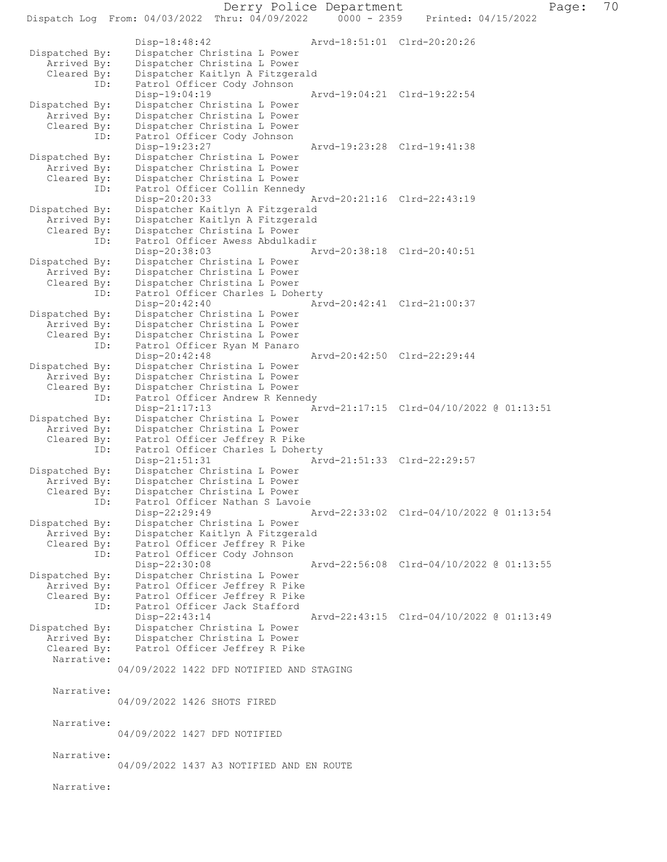Dispatch Log From: 04/03/2022 Thru: 04/09/2022 Disp-18:48:42 Arvd-18:51:01 Clrd-20:20:26<br>Dispatched By: Dispatcher Christina L Power patched By: Dispatcher Christina L Power<br>Arrived By: Dispatcher Christina L Power Dispatcher Christina L Power Cleared By: Dispatcher Kaitlyn A Fitzgerald ID: Patrol Officer Cody Johnson Disp-19:04:19 Arvd-19:04:21 Clrd-19:22:54 Dispatched By: Dispatcher Christina L Power Arrived By: Dispatcher Christina L Power<br>Cleared By: Dispatcher Christina L Power Dispatcher Christina L Power ID: Patrol Officer Cody Johnson Disp-19:23:27 Arvd-19:23:28 Clrd-19:41:38<br>Dispatched By: Dispatcher Christina L Power patched By: Dispatcher Christina L Power<br>Arrived By: Dispatcher Christina L Power Arrived By: Dispatcher Christina L Power<br>Cleared By: Dispatcher Christina L Power Dispatcher Christina L Power ID: Patrol Officer Collin Kennedy Disp-20:20:33 Arvd-20:21:16 Clrd-22:43:19<br>Dispatched By: Dispatcher Kaitlyn A Fitzgerald patched By: Dispatcher Kaitlyn A Fitzgerald<br>Arrived By: Dispatcher Kaitlyn A Fitzgerald Arrived By: Dispatcher Kaitlyn A Fitzgerald<br>Cleared By: Dispatcher Christina L Power By: Dispatcher Christina L Power<br>ID: Patrol Officer Awess Abdulka Patrol Officer Awess Abdulkadir<br>Disp-20:38:03 A Disp-20:38:03 Arvd-20:38:18 Clrd-20:40:51<br>Dispatched By: Dispatcher Christina L Power Dispatcher Christina L Power Arrived By: Dispatcher Christina L Power<br>Cleared By: Dispatcher Christina L Power By: Dispatcher Christina L Power<br>ID: Patrol Officer Charles L Doh Patrol Officer Charles L Doherty Disp-20:42:40 Arvd-20:42:41 Clrd-21:00:37<br>Dispatched By: Dispatcher Christina L Power patched By: Dispatcher Christina L Power<br>Arrived By: Dispatcher Christina L Power Arrived By: Dispatcher Christina L Power<br>Cleared By: Dispatcher Christina L Power By: Dispatcher Christina L Power<br>ID: Patrol Officer Ryan M Panaro Patrol Officer Ryan M Panaro Disp-20:42:48 Arvd-20:42:50 Clrd-22:29:44<br>Dispatched By: Dispatcher Christina L Power patched By: Dispatcher Christina L Power<br>Arrived By: Dispatcher Christina L Power Arrived By: Dispatcher Christina L Power<br>Cleared By: Dispatcher Christina L Power Dispatcher Christina L Power ID: Patrol Officer Andrew R Kennedy<br>Disp-21:17:13 A Disp-21:17:13 Arvd-21:17:15 Clrd-04/10/2022 @ 01:13:51<br>Dispatched By: Dispatcher Christina L Power patched By: Dispatcher Christina L Power<br>Arrived By: Dispatcher Christina L Power Dispatcher Christina L Power Cleared By: Patrol Officer Jeffrey R Pike ID: Patrol Officer Charles L Doherty<br>Disp-21:51:31 Arv Arvd-21:51:33 Clrd-22:29:57 Dispatched By: Dispatcher Christina L Power Arrived By: Dispatcher Christina L Power<br>Cleared By: Dispatcher Christina L Power By: Dispatcher Christina L Power<br>ID: Patrol Officer Nathan S Lavo: Patrol Officer Nathan S Lavoie<br>Disp-22:29:49 Disp-22:29:49 Arvd-22:33:02 Clrd-04/10/2022 @ 01:13:54<br>Dispatched By: Dispatcher Christina L Power patched By: Dispatcher Christina L Power<br>Arrived By: Dispatcher Kaitlyn A Fitzger Arrived By: Dispatcher Kaitlyn A Fitzgerald<br>Cleared By: Patrol Officer Jeffrey R Pike By: Patrol Officer Jeffrey R Pike<br>ID: Patrol Officer Cody Johnson Patrol Officer Cody Johnson Disp-22:30:08 Arvd-22:56:08 Clrd-04/10/2022 @ 01:13:55<br>Dispatched By: Dispatcher Christina L Power patched By: Dispatcher Christina L Power<br>Arrived By: Patrol Officer Jeffrey R Pike Arrived By: Patrol Officer Jeffrey R Pike<br>Cleared By: Patrol Officer Jeffrey R Pike Patrol Officer Jeffrey R Pike ID: Patrol Officer Jack Stafford Disp-22:43:14 Arvd-22:43:15 Clrd-04/10/2022 @ 01:13:49<br>Dispatched By: Dispatcher Christina L Power patched By: Dispatcher Christina L Power<br>Arrived By: Dispatcher Christina L Power Dispatcher Christina L Power Cleared By: Patrol Officer Jeffrey R Pike Narrative: 04/09/2022 1422 DFD NOTIFIED AND STAGING Narrative: 04/09/2022 1426 SHOTS FIRED Narrative: 04/09/2022 1427 DFD NOTIFIED Narrative: 04/09/2022 1437 A3 NOTIFIED AND EN ROUTE

Narrative: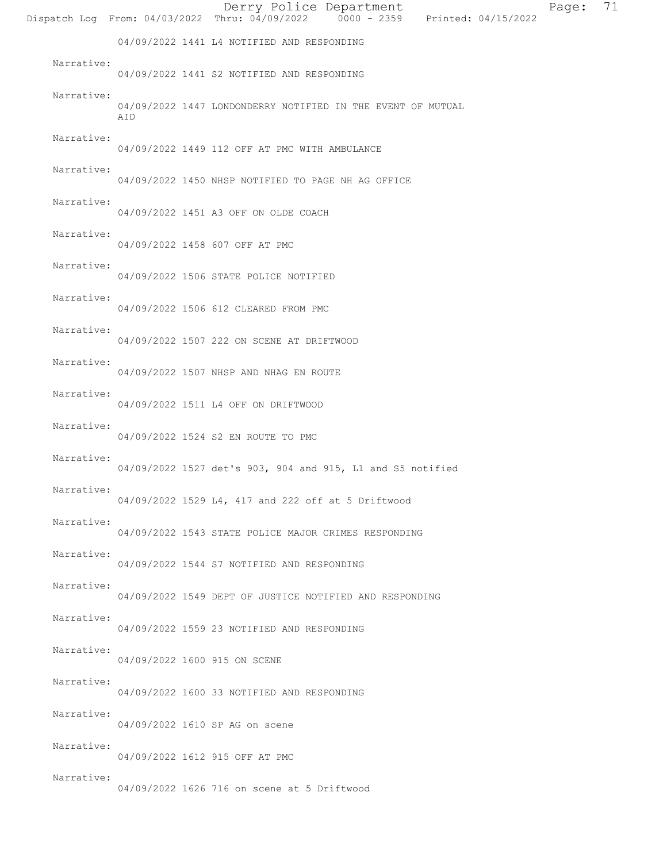|            |                              | Derry Police Department<br>71<br>Page:<br>Dispatch Log From: 04/03/2022 Thru: $04/09/2022$ 0000 - 2359 Printed: 04/15/2022 |  |
|------------|------------------------------|----------------------------------------------------------------------------------------------------------------------------|--|
|            |                              | 04/09/2022 1441 L4 NOTIFIED AND RESPONDING                                                                                 |  |
| Narrative: |                              | 04/09/2022 1441 S2 NOTIFIED AND RESPONDING                                                                                 |  |
| Narrative: | AID                          | 04/09/2022 1447 LONDONDERRY NOTIFIED IN THE EVENT OF MUTUAL                                                                |  |
| Narrative: |                              | 04/09/2022 1449 112 OFF AT PMC WITH AMBULANCE                                                                              |  |
| Narrative: |                              | 04/09/2022 1450 NHSP NOTIFIED TO PAGE NH AG OFFICE                                                                         |  |
| Narrative: |                              | 04/09/2022 1451 A3 OFF ON OLDE COACH                                                                                       |  |
| Narrative: |                              | 04/09/2022 1458 607 OFF AT PMC                                                                                             |  |
| Narrative: |                              | 04/09/2022 1506 STATE POLICE NOTIFIED                                                                                      |  |
| Narrative: |                              | 04/09/2022 1506 612 CLEARED FROM PMC                                                                                       |  |
| Narrative: |                              | 04/09/2022 1507 222 ON SCENE AT DRIFTWOOD                                                                                  |  |
| Narrative: |                              | 04/09/2022 1507 NHSP AND NHAG EN ROUTE                                                                                     |  |
| Narrative: |                              | 04/09/2022 1511 L4 OFF ON DRIFTWOOD                                                                                        |  |
| Narrative: |                              | 04/09/2022 1524 S2 EN ROUTE TO PMC                                                                                         |  |
| Narrative: |                              | 04/09/2022 1527 det's 903, 904 and 915, L1 and S5 notified                                                                 |  |
| Narrative: |                              | 04/09/2022 1529 L4, 417 and 222 off at 5 Driftwood                                                                         |  |
| Narrative: |                              | 04/09/2022 1543 STATE POLICE MAJOR CRIMES RESPONDING                                                                       |  |
| Narrative: |                              | 04/09/2022 1544 S7 NOTIFIED AND RESPONDING                                                                                 |  |
| Narrative: |                              | 04/09/2022 1549 DEPT OF JUSTICE NOTIFIED AND RESPONDING                                                                    |  |
| Narrative: |                              | 04/09/2022 1559 23 NOTIFIED AND RESPONDING                                                                                 |  |
| Narrative: | 04/09/2022 1600 915 ON SCENE |                                                                                                                            |  |
| Narrative: |                              | 04/09/2022 1600 33 NOTIFIED AND RESPONDING                                                                                 |  |
| Narrative: |                              | 04/09/2022 1610 SP AG on scene                                                                                             |  |
| Narrative: |                              | 04/09/2022 1612 915 OFF AT PMC                                                                                             |  |
| Narrative: |                              | 04/09/2022 1626 716 on scene at 5 Driftwood                                                                                |  |
|            |                              |                                                                                                                            |  |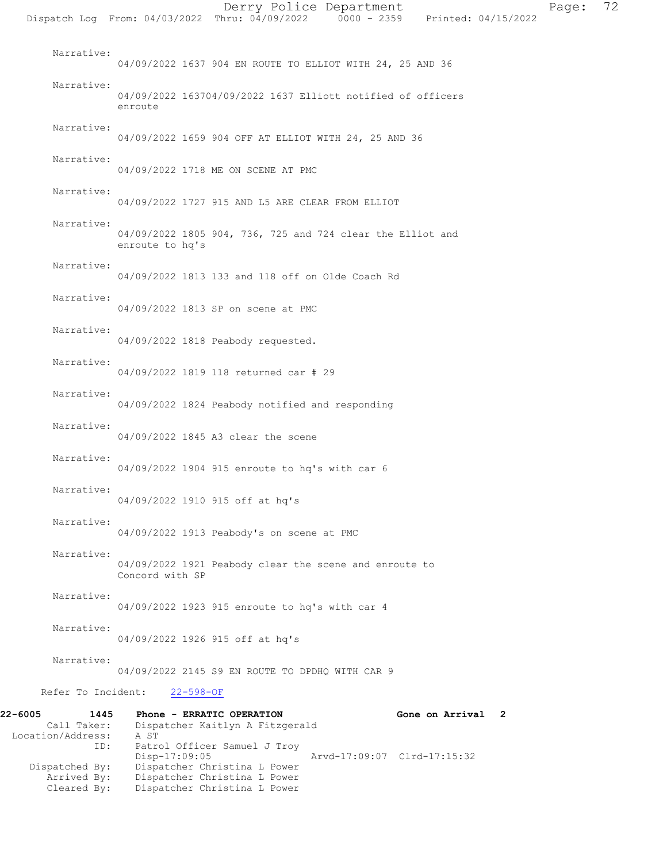Narrative: 04/09/2022 1637 904 EN ROUTE TO ELLIOT WITH 24, 25 AND 36 Narrative: 04/09/2022 163704/09/2022 1637 Elliott notified of officers enroute Narrative: 04/09/2022 1659 904 OFF AT ELLIOT WITH 24, 25 AND 36 Narrative: 04/09/2022 1718 ME ON SCENE AT PMC Narrative: 04/09/2022 1727 915 AND L5 ARE CLEAR FROM ELLIOT Narrative: 04/09/2022 1805 904, 736, 725 and 724 clear the Elliot and enroute to hq's Narrative: 04/09/2022 1813 133 and 118 off on Olde Coach Rd Narrative: 04/09/2022 1813 SP on scene at PMC Narrative: 04/09/2022 1818 Peabody requested. Narrative: 04/09/2022 1819 118 returned car # 29 Narrative: 04/09/2022 1824 Peabody notified and responding Narrative: 04/09/2022 1845 A3 clear the scene Narrative: 04/09/2022 1904 915 enroute to hq's with car 6 Narrative: 04/09/2022 1910 915 off at hq's Narrative: 04/09/2022 1913 Peabody's on scene at PMC Narrative: 04/09/2022 1921 Peabody clear the scene and enroute to Concord with SP Narrative: 04/09/2022 1923 915 enroute to hq's with car 4 Narrative: 04/09/2022 1926 915 off at hq's Narrative: 04/09/2022 2145 S9 EN ROUTE TO DPDHQ WITH CAR 9 Refer To Incident: 22-598-OF

22-6005 1445 Phone - ERRATIC OPERATION Gone on Arrival 2<br>Call Taker: Dispatcher Kaitlyn A Fitzgerald Dispatcher Kaitlyn A Fitzgerald<br>A ST Location/Address: ID: Patrol Officer Samuel J Troy<br>Disp-17:09:05 Disp-17:09:05 Arvd-17:09:07 Clrd-17:15:32 Dispatched By: Dispatcher Christina L Power Arrived By: Dispatcher Christina L Power Cleared By: Dispatcher Christina L Power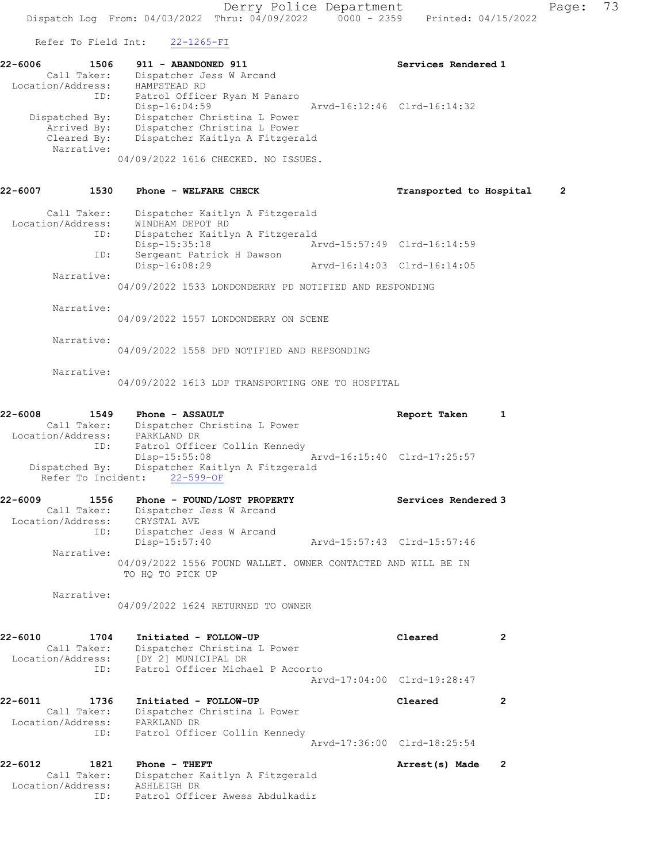Refer To Field Int: 22-1265-FI

| 1506                                           |                     | Services Rendered 1                                                    |
|------------------------------------------------|---------------------|------------------------------------------------------------------------|
| Dispatcher Jess W Arcand<br>Call Taker:        |                     |                                                                        |
| HAMPSTEAD RD                                   |                     |                                                                        |
| Patrol Officer Ryan M Panaro                   |                     |                                                                        |
| Disp-16:04:59                                  |                     | Arvd-16:12:46 Clrd-16:14:32                                            |
| Dispatcher Christina L Power<br>Dispatched By: |                     |                                                                        |
| Dispatcher Christina L Power<br>Arrived By:    |                     |                                                                        |
|                                                |                     |                                                                        |
|                                                |                     |                                                                        |
|                                                |                     |                                                                        |
|                                                | 911 - ABANDONED 911 | Dispatcher Kaitlyn A Fitzgerald<br>04/09/2022 1616 CHECKED. NO ISSUES. |

## 22-6007 1530 Phone - WELFARE CHECK **Transported to Hospital** 2 Call Taker: Dispatcher Kaitlyn A Fitzgerald Location/Address: WINDHAM DEPOT RD

| ID:        | Dispatcher Kaitlyn A Fitzgerald |                                                        |  |  |  |                             |  |
|------------|---------------------------------|--------------------------------------------------------|--|--|--|-----------------------------|--|
|            | Disp-15:35:18                   |                                                        |  |  |  | Arvd-15:57:49 Clrd-16:14:59 |  |
| ID:        |                                 | Sergeant Patrick H Dawson                              |  |  |  |                             |  |
|            | Disp-16:08:29                   |                                                        |  |  |  | Arvd-16:14:03 Clrd-16:14:05 |  |
| Narrative: |                                 |                                                        |  |  |  |                             |  |
|            |                                 | 04/09/2022 1533 LONDONDERRY PD NOTIFIED AND RESPONDING |  |  |  |                             |  |
|            |                                 |                                                        |  |  |  |                             |  |
| Narrative: |                                 |                                                        |  |  |  |                             |  |

04/09/2022 1557 LONDONDERRY ON SCENE

Narrative:

04/09/2022 1558 DFD NOTIFIED AND REPSONDING

Narrative:

04/09/2022 1613 LDP TRANSPORTING ONE TO HOSPITAL

## 22-6008 1549 Phone - ASSAULT Report Taken 1 Call Taker: Dispatcher Christina L Power Location/Address: PARKLAND DR ID: Patrol Officer Collin Kennedy Disp-15:55:08 Arvd-16:15:40 Clrd-17:25:57 Dispatched By: Dispatcher Kaitlyn A Fitzgerald Refer To Incident: 22-599-OF

| 22-6009<br>1556   | Phone - FOUND/LOST PROPERTY                                                      | Services Rendered 3         |
|-------------------|----------------------------------------------------------------------------------|-----------------------------|
| Call Taker:       | Dispatcher Jess W Arcand                                                         |                             |
| Location/Address: | CRYSTAL AVE                                                                      |                             |
| ID:               | Dispatcher Jess W Arcand                                                         |                             |
|                   | Disp-15:57:40                                                                    | Arvd-15:57:43 Clrd-15:57:46 |
| Narrative:        |                                                                                  |                             |
|                   | 04/09/2022 1556 FOUND WALLET. OWNER CONTACTED AND WILL BE IN<br>TO HO TO PICK UP |                             |

Narrative:

04/09/2022 1624 RETURNED TO OWNER

22-6010 1704 Initiated - FOLLOW-UP Cleared 2 Call Taker: Dispatcher Christina L Power Location/Address: [DY 2] MUNICIPAL DR ID: Patrol Officer Michael P Accorto Arvd-17:04:00 Clrd-19:28:47

22-6011 1736 Initiated - FOLLOW-UP Cleared 2 Call Taker: Dispatcher Christina L Power Location/Address: PARKLAND DR ID: Patrol Officer Collin Kennedy Arvd-17:36:00 Clrd-18:25:54

22-6012 1821 Phone - THEFT Arrest(s) Made 2 Call Taker: Dispatcher Kaitlyn A Fitzgerald Location/Address: ASHLEIGH DR ID: Patrol Officer Awess Abdulkadir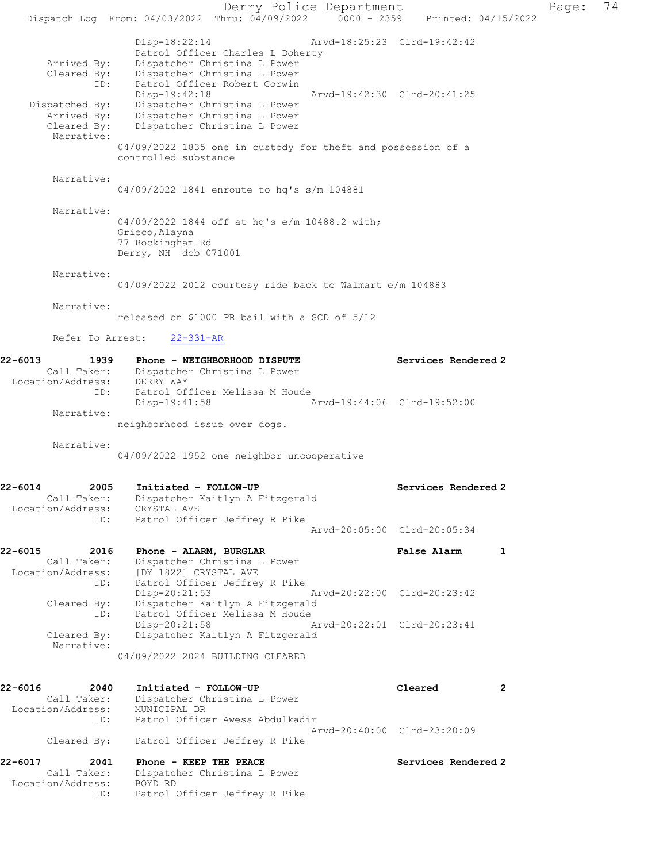Derry Police Department Page: 74 Dispatch Log From: 04/03/2022 Thru: 04/09/2022 0000 - 2359 Printed: 04/15/2022 Disp-18:22:14 Arvd-18:25:23 Clrd-19:42:42 Patrol Officer Charles L Doherty Arrived By: Dispatcher Christina L Power Cleared By: Dispatcher Christina L Power ID: Patrol Officer Robert Corwin Disp-19:42:18 Arvd-19:42:30 Clrd-20:41:25 Dispatched By: Dispatcher Christina L Power Arrived By: Dispatcher Christina L Power Cleared By: Dispatcher Christina L Power Narrative: 04/09/2022 1835 one in custody for theft and possession of a controlled substance Narrative: 04/09/2022 1841 enroute to hq's s/m 104881 Narrative: 04/09/2022 1844 off at hq's e/m 10488.2 with; Grieco,Alayna 77 Rockingham Rd Derry, NH dob 071001 Narrative: 04/09/2022 2012 courtesy ride back to Walmart e/m 104883 Narrative: released on \$1000 PR bail with a SCD of 5/12 Refer To Arrest: 22-331-AR 22-6013 1939 Phone - NEIGHBORHOOD DISPUTE Services Rendered 2 Call Taker: Dispatcher Christina L Power Location/Address: DERRY WAY ID: Patrol Officer Melissa M Houde Disp-19:41:58 Arvd-19:44:06 Clrd-19:52:00 Narrative: neighborhood issue over dogs. Narrative: 04/09/2022 1952 one neighbor uncooperative 22-6014 2005 Initiated - FOLLOW-UP Services Rendered 2 Call Taker: Dispatcher Kaitlyn A Fitzgerald Location/Address: CRYSTAL AVE ID: Patrol Officer Jeffrey R Pike Arvd-20:05:00 Clrd-20:05:34 22-6015 2016 Phone - ALARM, BURGLAR False Alarm 1 Call Taker: Dispatcher Christina L Power Location/Address: [DY 1822] CRYSTAL AVE ID: Patrol Officer Jeffrey R Pike<br>Disp-20:21:53 Arvd-20:22:00 Clrd-20:23:42 Disp-20:21:53 Arvd-20:22:00 Clrd-20:23:42 Cleared By: Dispatcher Kaitlyn A Fitzgerald ID: Patrol Officer Melissa M Houde Disp-20:21:58 Arvd-20:22:01 Clrd-20:23:41 Cleared By: Dispatcher Kaitlyn A Fitzgerald Narrative: 04/09/2022 2024 BUILDING CLEARED 22-6016 2040 Initiated - FOLLOW-UP Cleared 2 Call Taker: Dispatcher Christina L Power Location/Address: MUNICIPAL DR ID: Patrol Officer Awess Abdulkadir Arvd-20:40:00 Clrd-23:20:09 Cleared By: Patrol Officer Jeffrey R Pike 22-6017 2041 Phone - KEEP THE PEACE Services Rendered 2 Call Taker: Dispatcher Christina L Power Location/Address: BOYD RD ID: Patrol Officer Jeffrey R Pike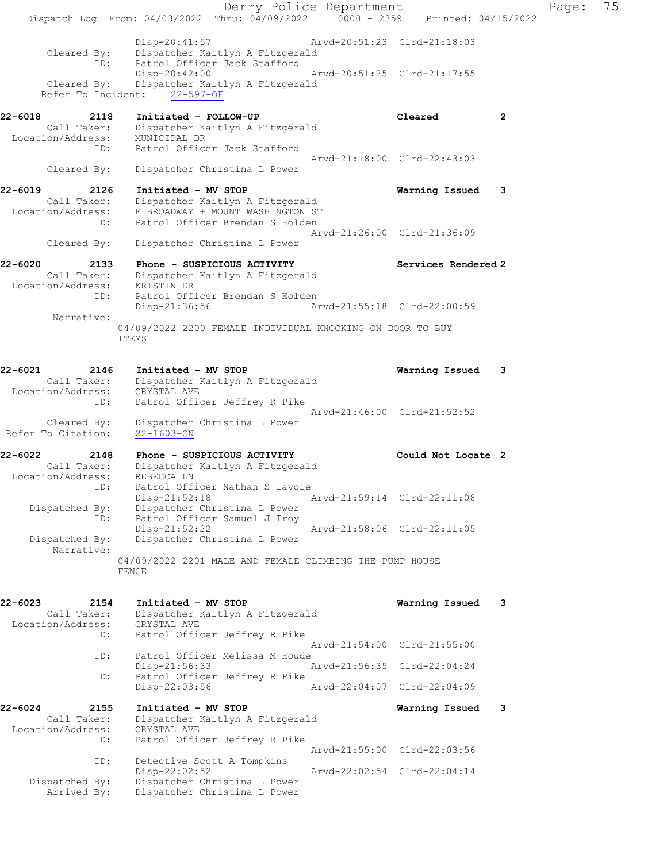|                                                     | Dispatch Log From: 04/03/2022 Thru: 04/09/2022 0000 - 2359 Printed: 04/15/2022                         | Derry Police Department                                    |                     |              | Page: | 75 |
|-----------------------------------------------------|--------------------------------------------------------------------------------------------------------|------------------------------------------------------------|---------------------|--------------|-------|----|
| Cleared By:<br>ID:                                  | Disp-20:41:57<br>Dispatcher Kaitlyn A Fitzgerald<br>Patrol Officer Jack Stafford                       | Arvd-20:51:23 Clrd-21:18:03                                |                     |              |       |    |
| Refer To Incident:                                  | Disp-20:42:00<br>Cleared By: Dispatcher Kaitlyn A Fitzgerald<br>$22 - 597 - OF$                        | Arvd-20:51:25 Clrd-21:17:55                                |                     |              |       |    |
| 22-6018<br>2118<br>Call Taker:<br>Location/Address: | Initiated - FOLLOW-UP<br>Dispatcher Kaitlyn A Fitzgerald<br>MUNICIPAL DR                               |                                                            | Cleared             | $\mathbf{2}$ |       |    |
| ID:<br>Cleared By:                                  | Patrol Officer Jack Stafford<br>Dispatcher Christina L Power                                           | Arvd-21:18:00 Clrd-22:43:03                                |                     |              |       |    |
| 22-6019<br>2126                                     | Initiated - MV STOP                                                                                    |                                                            | Warning Issued      | -3           |       |    |
| Call Taker:<br>Location/Address:<br>ID:             | Dispatcher Kaitlyn A Fitzgerald<br>E BROADWAY + MOUNT WASHINGTON ST<br>Patrol Officer Brendan S Holden |                                                            |                     |              |       |    |
| Cleared By:                                         | Dispatcher Christina L Power                                                                           | Arvd-21:26:00 Clrd-21:36:09                                |                     |              |       |    |
| 22-6020<br>2133<br>Location/Address: KRISTIN DR     | Phone - SUSPICIOUS ACTIVITY<br>Call Taker: Dispatcher Kaitlyn A Fitzgerald                             |                                                            | Services Rendered 2 |              |       |    |
| ID:<br>Narrative:                                   | Patrol Officer Brendan S Holden<br>Disp-21:36:56                                                       | Arvd-21:55:18 Clrd-22:00:59                                |                     |              |       |    |
|                                                     | 04/09/2022 2200 FEMALE INDIVIDUAL KNOCKING ON DOOR TO BUY<br><b>ITEMS</b>                              |                                                            |                     |              |       |    |
| 22-6021<br>2146<br>Call Taker:                      | Initiated - MV STOP<br>Dispatcher Kaitlyn A Fitzgerald                                                 |                                                            | Warning Issued      | 3            |       |    |
| Location/Address:<br>ID:                            | CRYSTAL AVE<br>Patrol Officer Jeffrey R Pike                                                           |                                                            |                     |              |       |    |
| Cleared By:<br>Refer To Citation:                   | Dispatcher Christina L Power<br>$22 - 1603 - CN$                                                       | Arvd-21:46:00 Clrd-21:52:52                                |                     |              |       |    |
| 22-6022<br>2148<br>Call Taker:                      | Phone - SUSPICIOUS ACTIVITY<br>Dispatcher Kaitlyn A Fitzgerald                                         |                                                            | Could Not Locate 2  |              |       |    |
| Location/Address:<br>TD:                            | REBECCA LN<br>Patrol Officer Nathan S Lavoie<br>$Disp-21:52:18$                                        | Arvd-21:59:14 Clrd-22:11:08                                |                     |              |       |    |
| Dispatched By:                                      | Dispatcher Christina L Power<br>ID: Patrol Officer Samuel J Troy<br>Disp-21:52:22                      | Arvd-21:58:06 Clrd-22:11:05                                |                     |              |       |    |
| Dispatched By:<br>Narrative:                        | Dispatcher Christina L Power                                                                           |                                                            |                     |              |       |    |
|                                                     | 04/09/2022 2201 MALE AND FEMALE CLIMBING THE PUMP HOUSE<br>FENCE                                       |                                                            |                     |              |       |    |
| 22-6023<br>2154<br>Call Taker:                      | Initiated - MV STOP<br>Dispatcher Kaitlyn A Fitzgerald                                                 |                                                            | Warning Issued      | - 3          |       |    |
| Location/Address:<br>ID:                            | CRYSTAL AVE<br>Patrol Officer Jeffrey R Pike                                                           | Arvd-21:54:00 Clrd-21:55:00                                |                     |              |       |    |
| ID:                                                 | Patrol Officer Melissa M Houde<br>Disp-21:56:33                                                        | Arvd-21:56:35 Clrd-22:04:24                                |                     |              |       |    |
| ID:                                                 | Patrol Officer Jeffrey R Pike<br>Disp-22:03:56                                                         | Arvd-22:04:07 Clrd-22:04:09                                |                     |              |       |    |
| 22-6024<br>2155<br>Call Taker:                      | Initiated - MV STOP<br>Dispatcher Kaitlyn A Fitzgerald                                                 |                                                            | Warning Issued      | -3           |       |    |
| Location/Address:<br>ID:                            | CRYSTAL AVE<br>Patrol Officer Jeffrey R Pike                                                           |                                                            |                     |              |       |    |
| ID:                                                 | Detective Scott A Tompkins<br>Disp-22:02:52                                                            | Arvd-21:55:00 Clrd-22:03:56<br>Arvd-22:02:54 Clrd-22:04:14 |                     |              |       |    |
| Dispatched By:<br>Arrived By:                       | Dispatcher Christina L Power<br>Dispatcher Christina L Power                                           |                                                            |                     |              |       |    |
|                                                     |                                                                                                        |                                                            |                     |              |       |    |